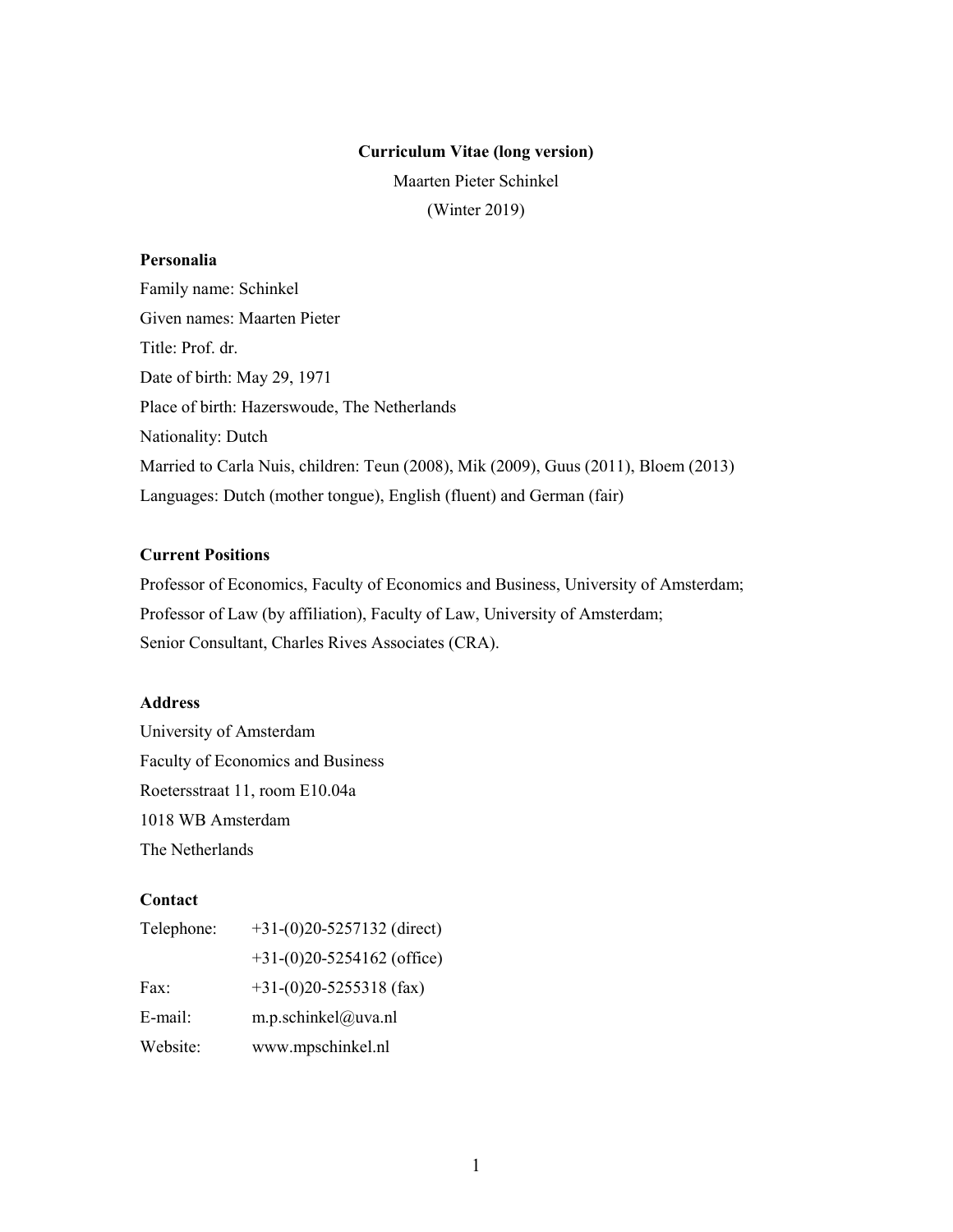### Curriculum Vitae (long version)

Maarten Pieter Schinkel (Winter 2019)

# Personalia

Family name: Schinkel Given names: Maarten Pieter Title: Prof. dr. Date of birth: May 29, 1971 Place of birth: Hazerswoude, The Netherlands Nationality: Dutch Married to Carla Nuis, children: Teun (2008), Mik (2009), Guus (2011), Bloem (2013) Languages: Dutch (mother tongue), English (fluent) and German (fair)

# Current Positions

Professor of Economics, Faculty of Economics and Business, University of Amsterdam; Professor of Law (by affiliation), Faculty of Law, University of Amsterdam; Senior Consultant, Charles Rives Associates (CRA).

# Address

University of Amsterdam Faculty of Economics and Business Roetersstraat 11, room E10.04a 1018 WB Amsterdam The Netherlands

# **Contact**

| Telephone: | $+31-(0)20-5257132$ (direct) |
|------------|------------------------------|
|            | $+31-(0)20-5254162$ (office) |
| Fax:       | $+31-(0)20-5255318$ (fax)    |
| E-mail:    | m.p.schinkel@uva.nl          |
| Website:   | www.mpschinkel.nl            |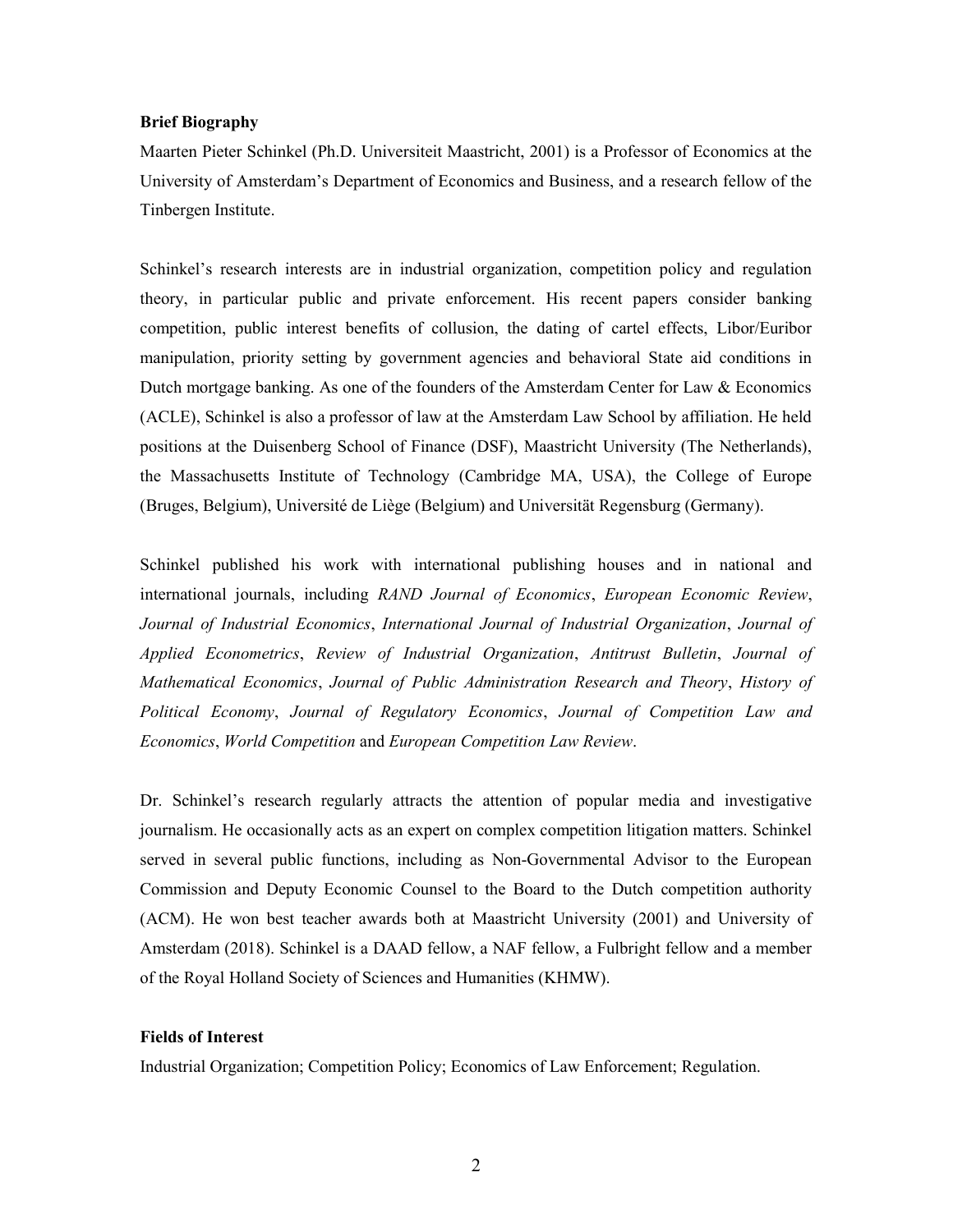## Brief Biography

Maarten Pieter Schinkel (Ph.D. Universiteit Maastricht, 2001) is a Professor of Economics at the University of Amsterdam's Department of Economics and Business, and a research fellow of the Tinbergen Institute.

Schinkel's research interests are in industrial organization, competition policy and regulation theory, in particular public and private enforcement. His recent papers consider banking competition, public interest benefits of collusion, the dating of cartel effects, Libor/Euribor manipulation, priority setting by government agencies and behavioral State aid conditions in Dutch mortgage banking. As one of the founders of the Amsterdam Center for Law & Economics (ACLE), Schinkel is also a professor of law at the Amsterdam Law School by affiliation. He held positions at the Duisenberg School of Finance (DSF), Maastricht University (The Netherlands), the Massachusetts Institute of Technology (Cambridge MA, USA), the College of Europe (Bruges, Belgium), Université de Liège (Belgium) and Universität Regensburg (Germany).

Schinkel published his work with international publishing houses and in national and international journals, including RAND Journal of Economics, European Economic Review, Journal of Industrial Economics, International Journal of Industrial Organization, Journal of Applied Econometrics, Review of Industrial Organization, Antitrust Bulletin, Journal of Mathematical Economics, Journal of Public Administration Research and Theory, History of Political Economy, Journal of Regulatory Economics, Journal of Competition Law and Economics, World Competition and European Competition Law Review.

Dr. Schinkel's research regularly attracts the attention of popular media and investigative journalism. He occasionally acts as an expert on complex competition litigation matters. Schinkel served in several public functions, including as Non-Governmental Advisor to the European Commission and Deputy Economic Counsel to the Board to the Dutch competition authority (ACM). He won best teacher awards both at Maastricht University (2001) and University of Amsterdam (2018). Schinkel is a DAAD fellow, a NAF fellow, a Fulbright fellow and a member of the Royal Holland Society of Sciences and Humanities (KHMW).

## Fields of Interest

Industrial Organization; Competition Policy; Economics of Law Enforcement; Regulation.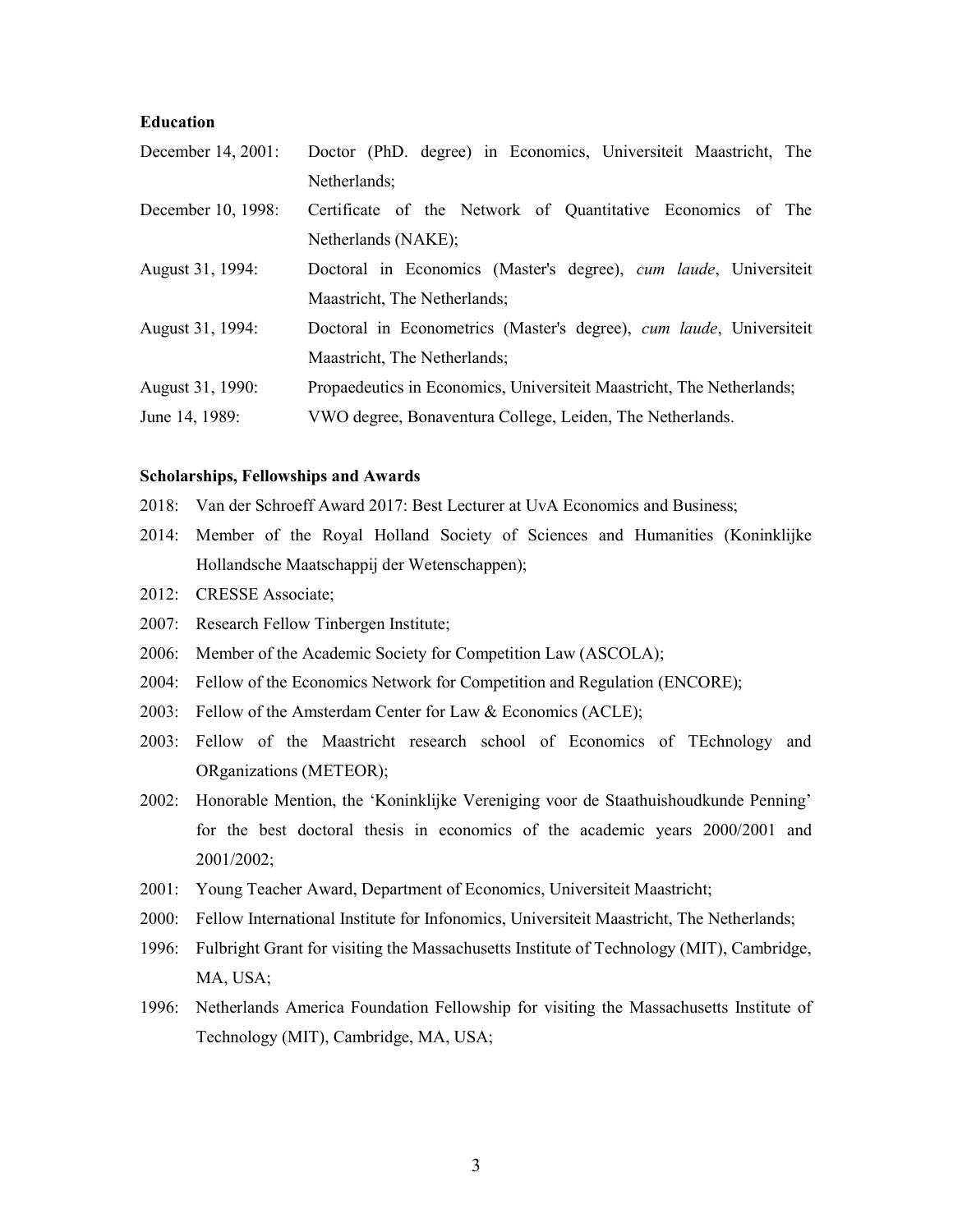#### Education

| December 14, 2001: | Doctor (PhD. degree) in Economics, Universiteit Maastricht, The       |
|--------------------|-----------------------------------------------------------------------|
|                    | Netherlands:                                                          |
| December 10, 1998: | Certificate of the Network of Quantitative Economics of The           |
|                    | Netherlands (NAKE);                                                   |
| August 31, 1994:   | Doctoral in Economics (Master's degree), cum laude, Universiteit      |
|                    | Maastricht, The Netherlands;                                          |
| August 31, 1994:   | Doctoral in Econometrics (Master's degree), cum laude, Universiteit   |
|                    | Maastricht, The Netherlands;                                          |
| August 31, 1990:   | Propaedeutics in Economics, Universiteit Maastricht, The Netherlands; |
| June 14, 1989:     | VWO degree, Bonaventura College, Leiden, The Netherlands.             |

#### Scholarships, Fellowships and Awards

- 2018: Van der Schroeff Award 2017: Best Lecturer at UvA Economics and Business;
- 2014: Member of the Royal Holland Society of Sciences and Humanities (Koninklijke Hollandsche Maatschappij der Wetenschappen);
- 2012: CRESSE Associate;
- 2007: Research Fellow Tinbergen Institute;
- 2006: Member of the Academic Society for Competition Law (ASCOLA);
- 2004: Fellow of the Economics Network for Competition and Regulation (ENCORE);
- 2003: Fellow of the Amsterdam Center for Law & Economics (ACLE);
- 2003: Fellow of the Maastricht research school of Economics of TEchnology and ORganizations (METEOR);
- 2002: Honorable Mention, the 'Koninklijke Vereniging voor de Staathuishoudkunde Penning' for the best doctoral thesis in economics of the academic years 2000/2001 and 2001/2002;
- 2001: Young Teacher Award, Department of Economics, Universiteit Maastricht;
- 2000: Fellow International Institute for Infonomics, Universiteit Maastricht, The Netherlands;
- 1996: Fulbright Grant for visiting the Massachusetts Institute of Technology (MIT), Cambridge, MA, USA;
- 1996: Netherlands America Foundation Fellowship for visiting the Massachusetts Institute of Technology (MIT), Cambridge, MA, USA;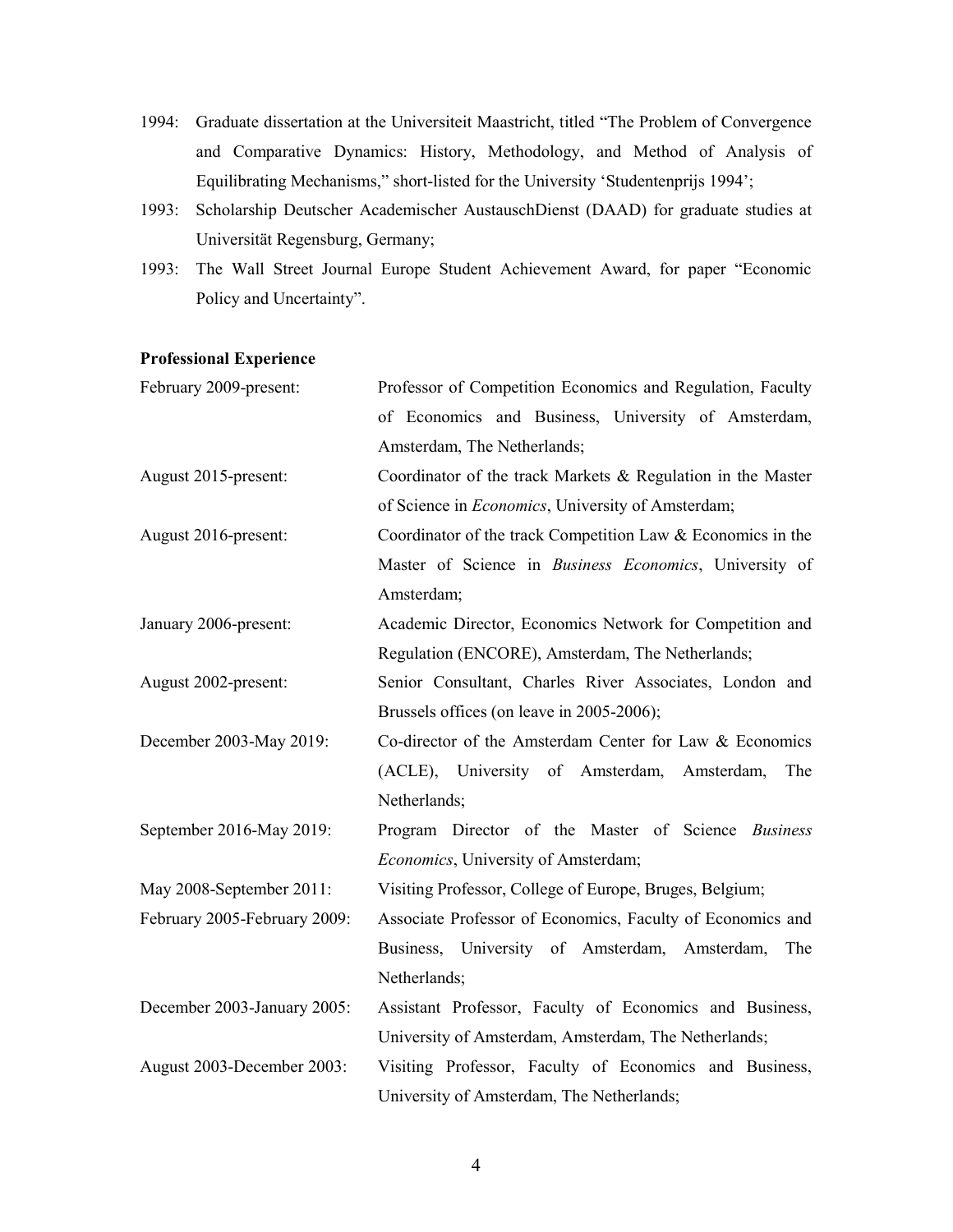- 1994: Graduate dissertation at the Universiteit Maastricht, titled "The Problem of Convergence and Comparative Dynamics: History, Methodology, and Method of Analysis of Equilibrating Mechanisms," short-listed for the University 'Studentenprijs 1994';
- 1993: Scholarship Deutscher Academischer AustauschDienst (DAAD) for graduate studies at Universität Regensburg, Germany;
- 1993: The Wall Street Journal Europe Student Achievement Award, for paper "Economic Policy and Uncertainty".

# Professional Experience

| February 2009-present:       | Professor of Competition Economics and Regulation, Faculty     |
|------------------------------|----------------------------------------------------------------|
|                              | of Economics and Business, University of Amsterdam,            |
|                              | Amsterdam, The Netherlands;                                    |
| August 2015-present:         | Coordinator of the track Markets $\&$ Regulation in the Master |
|                              | of Science in Economics, University of Amsterdam;              |
| August 2016-present:         | Coordinator of the track Competition Law & Economics in the    |
|                              | Master of Science in Business Economics, University of         |
|                              | Amsterdam;                                                     |
| January 2006-present:        | Academic Director, Economics Network for Competition and       |
|                              | Regulation (ENCORE), Amsterdam, The Netherlands;               |
| August 2002-present:         | Senior Consultant, Charles River Associates, London and        |
|                              | Brussels offices (on leave in 2005-2006);                      |
| December 2003-May 2019:      | Co-director of the Amsterdam Center for Law & Economics        |
|                              | (ACLE), University of Amsterdam, Amsterdam,<br>The             |
|                              | Netherlands;                                                   |
| September 2016-May 2019:     | Program Director of the Master of Science Business             |
|                              | <i>Economics</i> , University of Amsterdam;                    |
| May 2008-September 2011:     | Visiting Professor, College of Europe, Bruges, Belgium;        |
| February 2005-February 2009: | Associate Professor of Economics, Faculty of Economics and     |
|                              | Business, University of Amsterdam, Amsterdam,<br>The           |
|                              | Netherlands;                                                   |
| December 2003-January 2005:  | Assistant Professor, Faculty of Economics and Business,        |
|                              | University of Amsterdam, Amsterdam, The Netherlands;           |
| August 2003-December 2003:   | Visiting Professor, Faculty of Economics and Business,         |
|                              | University of Amsterdam, The Netherlands;                      |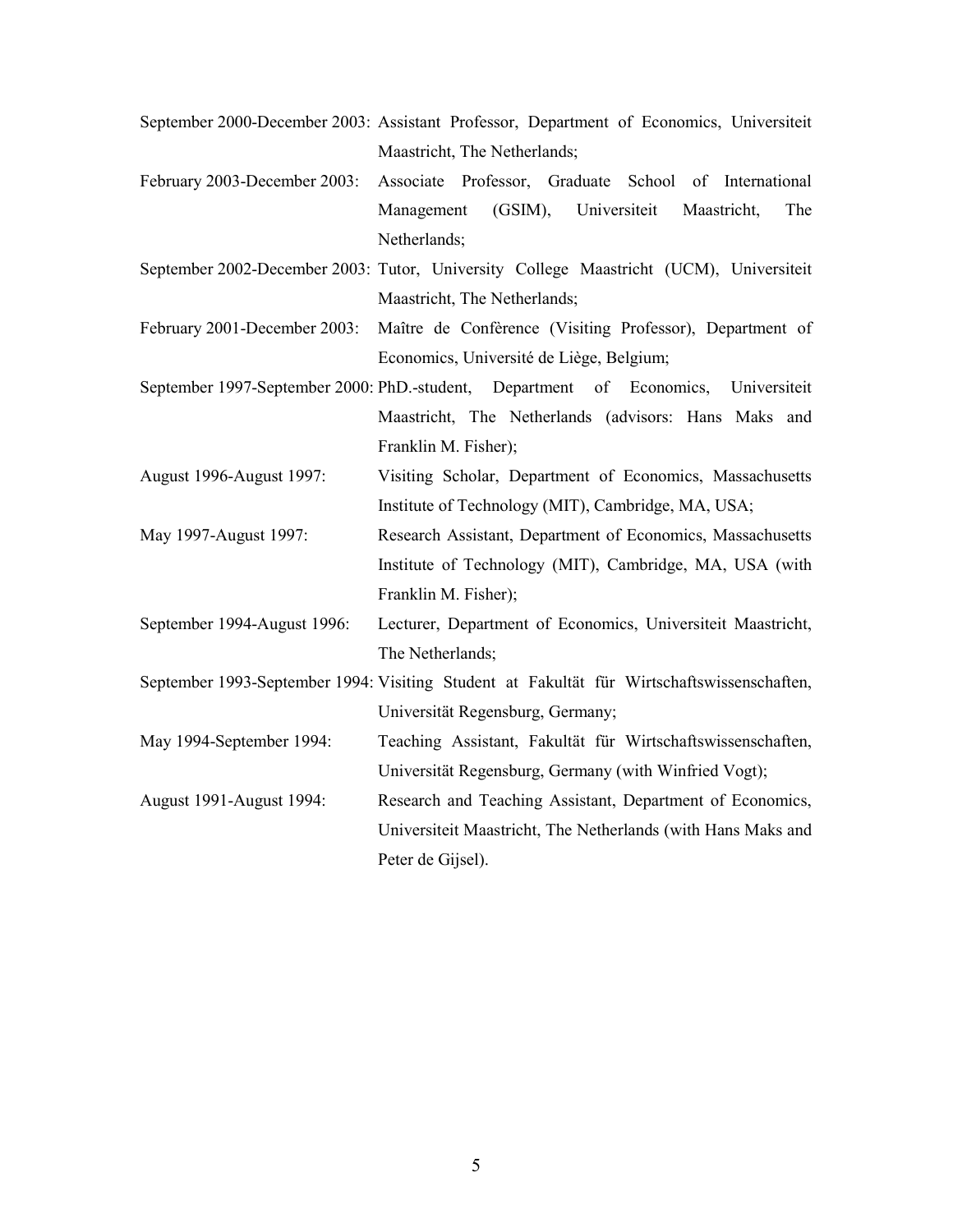- September 2000-December 2003: Assistant Professor, Department of Economics, Universiteit Maastricht, The Netherlands;
- February 2003-December 2003: Associate Professor, Graduate School of International Management (GSIM), Universiteit Maastricht, The Netherlands;
- September 2002-December 2003: Tutor, University College Maastricht (UCM), Universiteit Maastricht, The Netherlands;
- February 2001-December 2003: Maître de Confèrence (Visiting Professor), Department of Economics, Université de Liège, Belgium;
- September 1997-September 2000: PhD.-student, Department of Economics, Universiteit Maastricht, The Netherlands (advisors: Hans Maks and Franklin M. Fisher);
- August 1996-August 1997: Visiting Scholar, Department of Economics, Massachusetts Institute of Technology (MIT), Cambridge, MA, USA;
- May 1997-August 1997: Research Assistant, Department of Economics, Massachusetts Institute of Technology (MIT), Cambridge, MA, USA (with Franklin M. Fisher);
- September 1994-August 1996: Lecturer, Department of Economics, Universiteit Maastricht, The Netherlands;
- September 1993-September 1994: Visiting Student at Fakultät für Wirtschaftswissenschaften, Universität Regensburg, Germany;
- May 1994-September 1994: Teaching Assistant, Fakultät für Wirtschaftswissenschaften, Universität Regensburg, Germany (with Winfried Vogt);
- August 1991-August 1994: Research and Teaching Assistant, Department of Economics, Universiteit Maastricht, The Netherlands (with Hans Maks and Peter de Gijsel).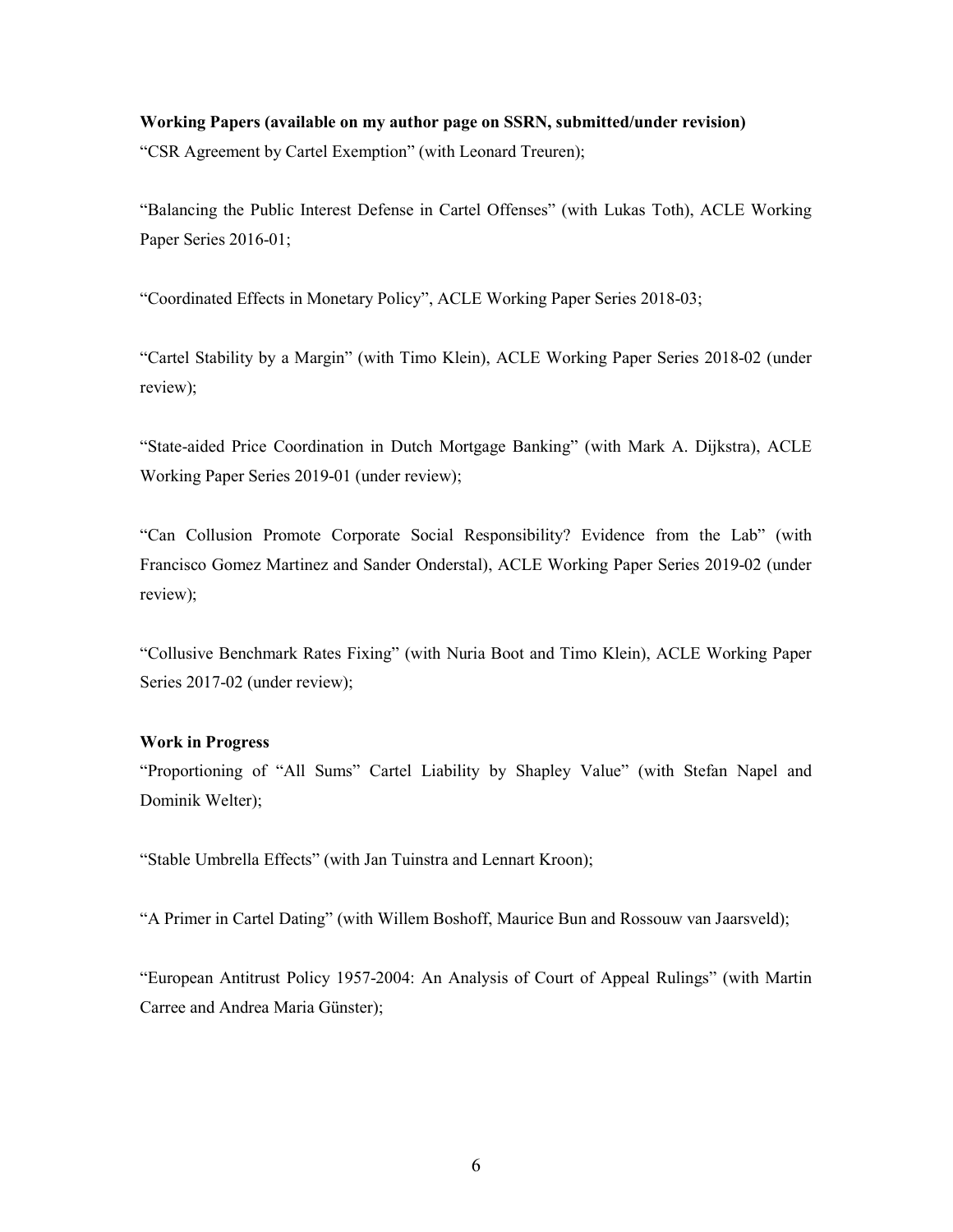## Working Papers (available on my author page on SSRN, submitted/under revision)

"CSR Agreement by Cartel Exemption" (with Leonard Treuren);

"Balancing the Public Interest Defense in Cartel Offenses" (with Lukas Toth), ACLE Working Paper Series 2016-01;

"Coordinated Effects in Monetary Policy", ACLE Working Paper Series 2018-03;

"Cartel Stability by a Margin" (with Timo Klein), ACLE Working Paper Series 2018-02 (under review);

"State-aided Price Coordination in Dutch Mortgage Banking" (with Mark A. Dijkstra), ACLE Working Paper Series 2019-01 (under review);

"Can Collusion Promote Corporate Social Responsibility? Evidence from the Lab" (with Francisco Gomez Martinez and Sander Onderstal), ACLE Working Paper Series 2019-02 (under review);

"Collusive Benchmark Rates Fixing" (with Nuria Boot and Timo Klein), ACLE Working Paper Series 2017-02 (under review);

## Work in Progress

"Proportioning of "All Sums" Cartel Liability by Shapley Value" (with Stefan Napel and Dominik Welter);

"Stable Umbrella Effects" (with Jan Tuinstra and Lennart Kroon);

"A Primer in Cartel Dating" (with Willem Boshoff, Maurice Bun and Rossouw van Jaarsveld);

"European Antitrust Policy 1957-2004: An Analysis of Court of Appeal Rulings" (with Martin Carree and Andrea Maria Günster);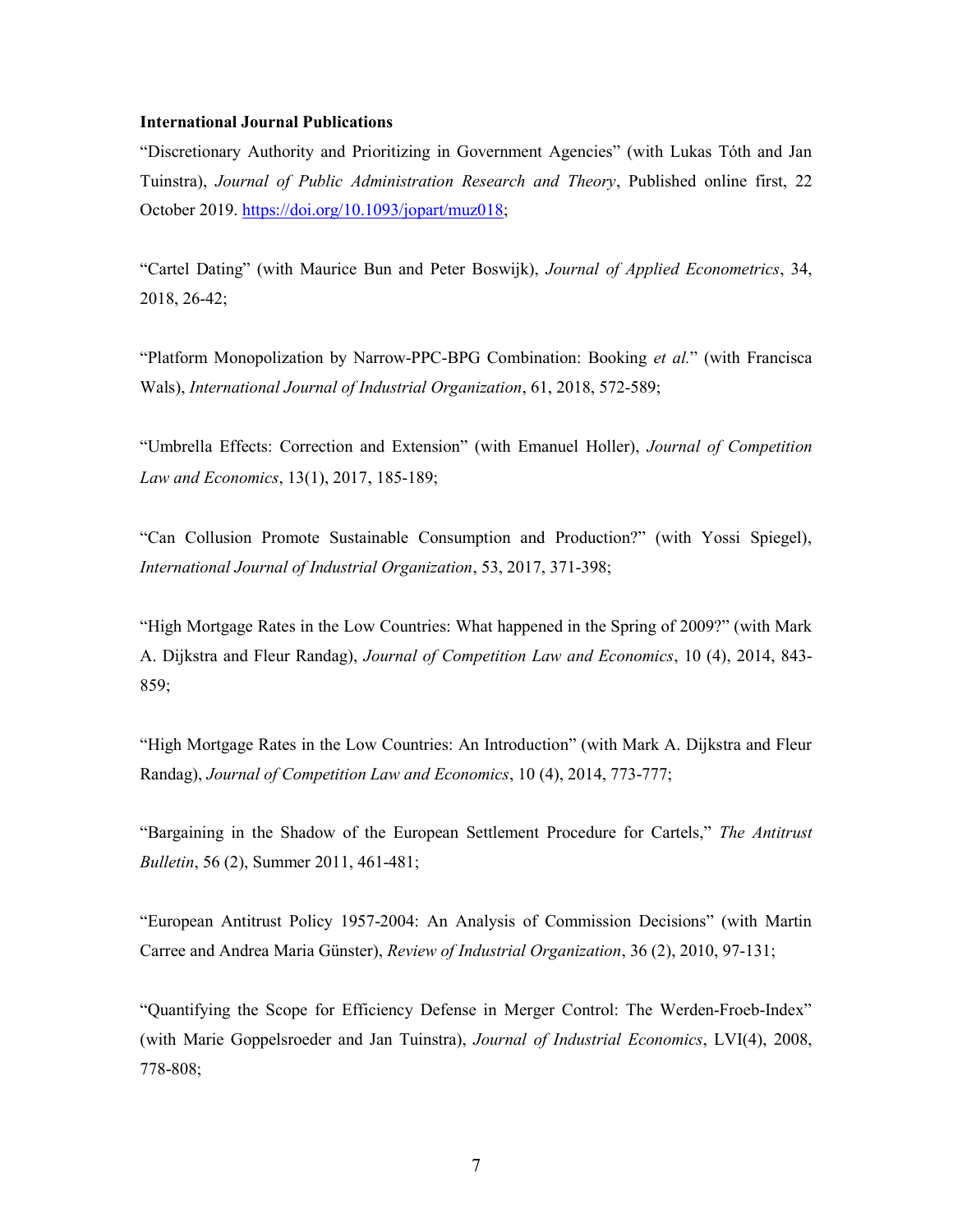#### International Journal Publications

"Discretionary Authority and Prioritizing in Government Agencies" (with Lukas Tóth and Jan Tuinstra), Journal of Public Administration Research and Theory, Published online first, 22 October 2019. https://doi.org/10.1093/jopart/muz018;

"Cartel Dating" (with Maurice Bun and Peter Boswijk), Journal of Applied Econometrics, 34, 2018, 26-42;

"Platform Monopolization by Narrow-PPC-BPG Combination: Booking et al." (with Francisca Wals), International Journal of Industrial Organization, 61, 2018, 572-589;

"Umbrella Effects: Correction and Extension" (with Emanuel Holler), Journal of Competition Law and Economics, 13(1), 2017, 185-189;

"Can Collusion Promote Sustainable Consumption and Production?" (with Yossi Spiegel), International Journal of Industrial Organization, 53, 2017, 371-398;

"High Mortgage Rates in the Low Countries: What happened in the Spring of 2009?" (with Mark A. Dijkstra and Fleur Randag), Journal of Competition Law and Economics, 10 (4), 2014, 843- 859;

"High Mortgage Rates in the Low Countries: An Introduction" (with Mark A. Dijkstra and Fleur Randag), Journal of Competition Law and Economics, 10 (4), 2014, 773-777;

"Bargaining in the Shadow of the European Settlement Procedure for Cartels," The Antitrust Bulletin, 56 (2), Summer 2011, 461-481;

"European Antitrust Policy 1957-2004: An Analysis of Commission Decisions" (with Martin Carree and Andrea Maria Günster), Review of Industrial Organization, 36 (2), 2010, 97-131;

"Quantifying the Scope for Efficiency Defense in Merger Control: The Werden-Froeb-Index" (with Marie Goppelsroeder and Jan Tuinstra), Journal of Industrial Economics, LVI(4), 2008, 778-808;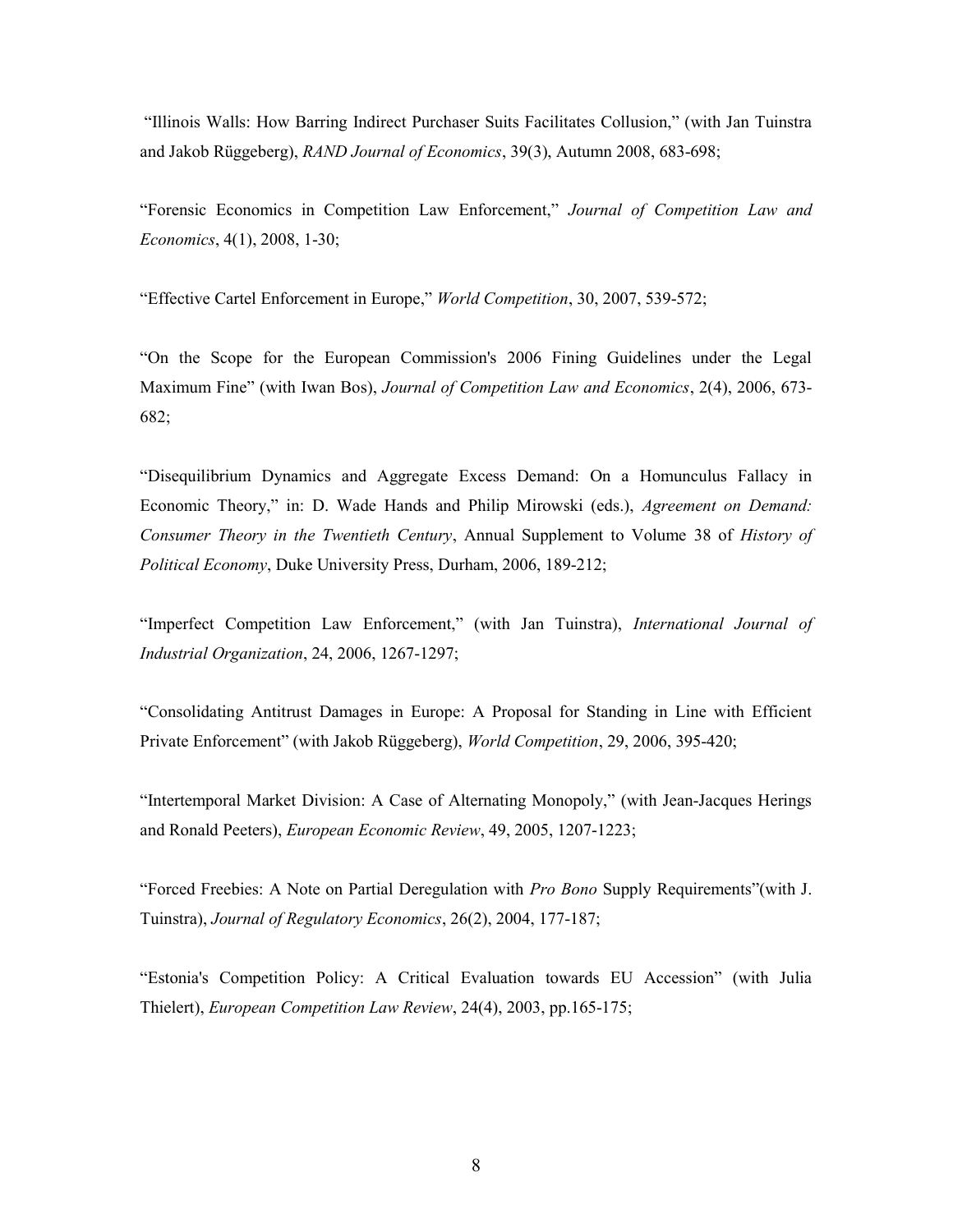"Illinois Walls: How Barring Indirect Purchaser Suits Facilitates Collusion," (with Jan Tuinstra and Jakob Rüggeberg), RAND Journal of Economics, 39(3), Autumn 2008, 683-698;

"Forensic Economics in Competition Law Enforcement," Journal of Competition Law and Economics, 4(1), 2008, 1-30;

"Effective Cartel Enforcement in Europe," World Competition, 30, 2007, 539-572;

"On the Scope for the European Commission's 2006 Fining Guidelines under the Legal Maximum Fine" (with Iwan Bos), *Journal of Competition Law and Economics*, 2(4), 2006, 673-682;

"Disequilibrium Dynamics and Aggregate Excess Demand: On a Homunculus Fallacy in Economic Theory," in: D. Wade Hands and Philip Mirowski (eds.), Agreement on Demand: Consumer Theory in the Twentieth Century, Annual Supplement to Volume 38 of History of Political Economy, Duke University Press, Durham, 2006, 189-212;

"Imperfect Competition Law Enforcement," (with Jan Tuinstra), International Journal of Industrial Organization, 24, 2006, 1267-1297;

"Consolidating Antitrust Damages in Europe: A Proposal for Standing in Line with Efficient Private Enforcement" (with Jakob Rüggeberg), World Competition, 29, 2006, 395-420;

"Intertemporal Market Division: A Case of Alternating Monopoly," (with Jean-Jacques Herings and Ronald Peeters), European Economic Review, 49, 2005, 1207-1223;

"Forced Freebies: A Note on Partial Deregulation with Pro Bono Supply Requirements"(with J. Tuinstra), Journal of Regulatory Economics, 26(2), 2004, 177-187;

"Estonia's Competition Policy: A Critical Evaluation towards EU Accession" (with Julia Thielert), European Competition Law Review, 24(4), 2003, pp.165-175;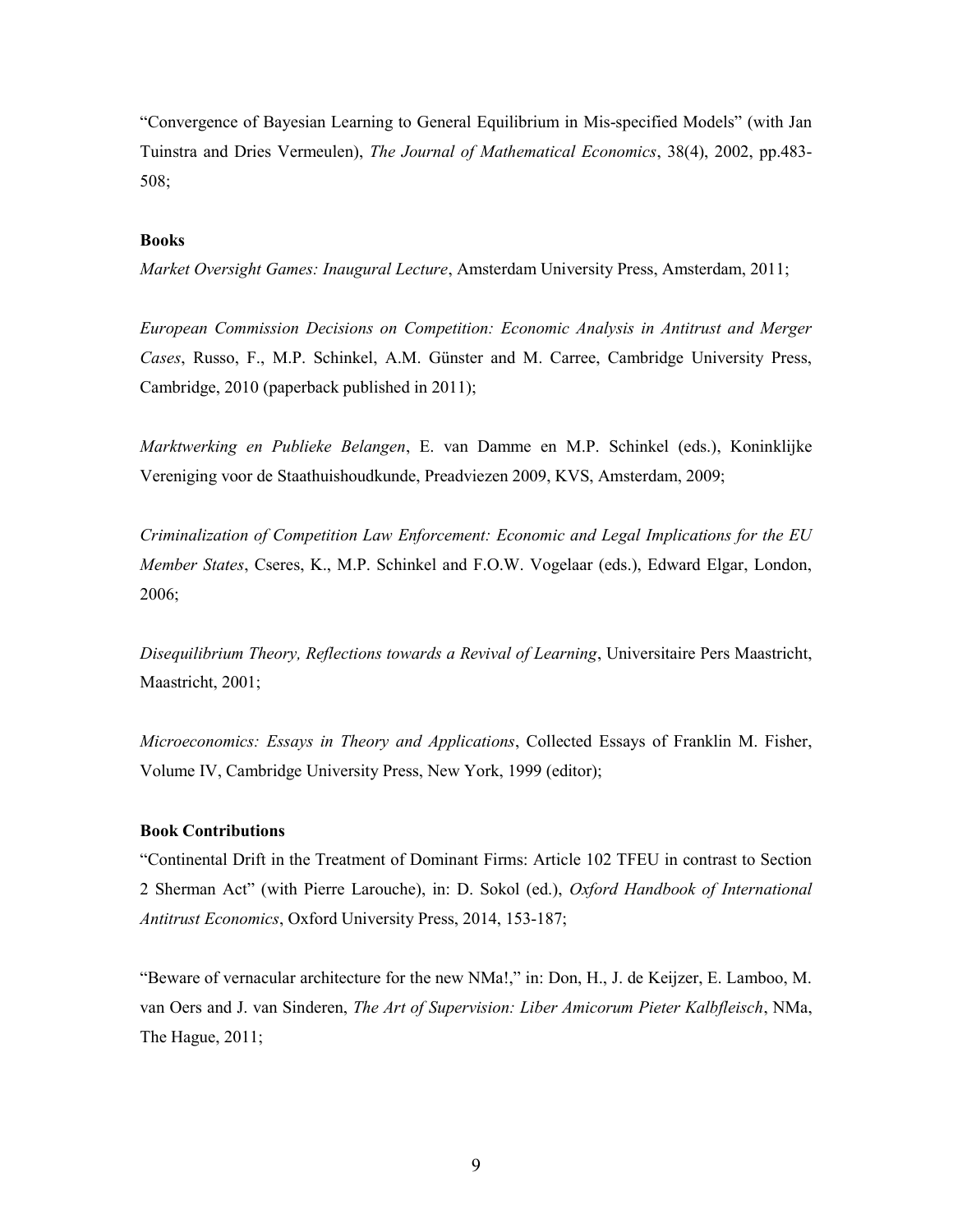"Convergence of Bayesian Learning to General Equilibrium in Mis-specified Models" (with Jan Tuinstra and Dries Vermeulen), The Journal of Mathematical Economics, 38(4), 2002, pp.483- 508;

# Books

Market Oversight Games: Inaugural Lecture, Amsterdam University Press, Amsterdam, 2011;

European Commission Decisions on Competition: Economic Analysis in Antitrust and Merger Cases, Russo, F., M.P. Schinkel, A.M. Günster and M. Carree, Cambridge University Press, Cambridge, 2010 (paperback published in 2011);

Marktwerking en Publieke Belangen, E. van Damme en M.P. Schinkel (eds.), Koninklijke Vereniging voor de Staathuishoudkunde, Preadviezen 2009, KVS, Amsterdam, 2009;

Criminalization of Competition Law Enforcement: Economic and Legal Implications for the EU Member States, Cseres, K., M.P. Schinkel and F.O.W. Vogelaar (eds.), Edward Elgar, London, 2006;

Disequilibrium Theory, Reflections towards a Revival of Learning, Universitaire Pers Maastricht, Maastricht, 2001;

Microeconomics: Essays in Theory and Applications, Collected Essays of Franklin M. Fisher, Volume IV, Cambridge University Press, New York, 1999 (editor);

## Book Contributions

"Continental Drift in the Treatment of Dominant Firms: Article 102 TFEU in contrast to Section 2 Sherman Act" (with Pierre Larouche), in: D. Sokol (ed.), Oxford Handbook of International Antitrust Economics, Oxford University Press, 2014, 153-187;

"Beware of vernacular architecture for the new NMa!," in: Don, H., J. de Keijzer, E. Lamboo, M. van Oers and J. van Sinderen, The Art of Supervision: Liber Amicorum Pieter Kalbfleisch, NMa, The Hague, 2011;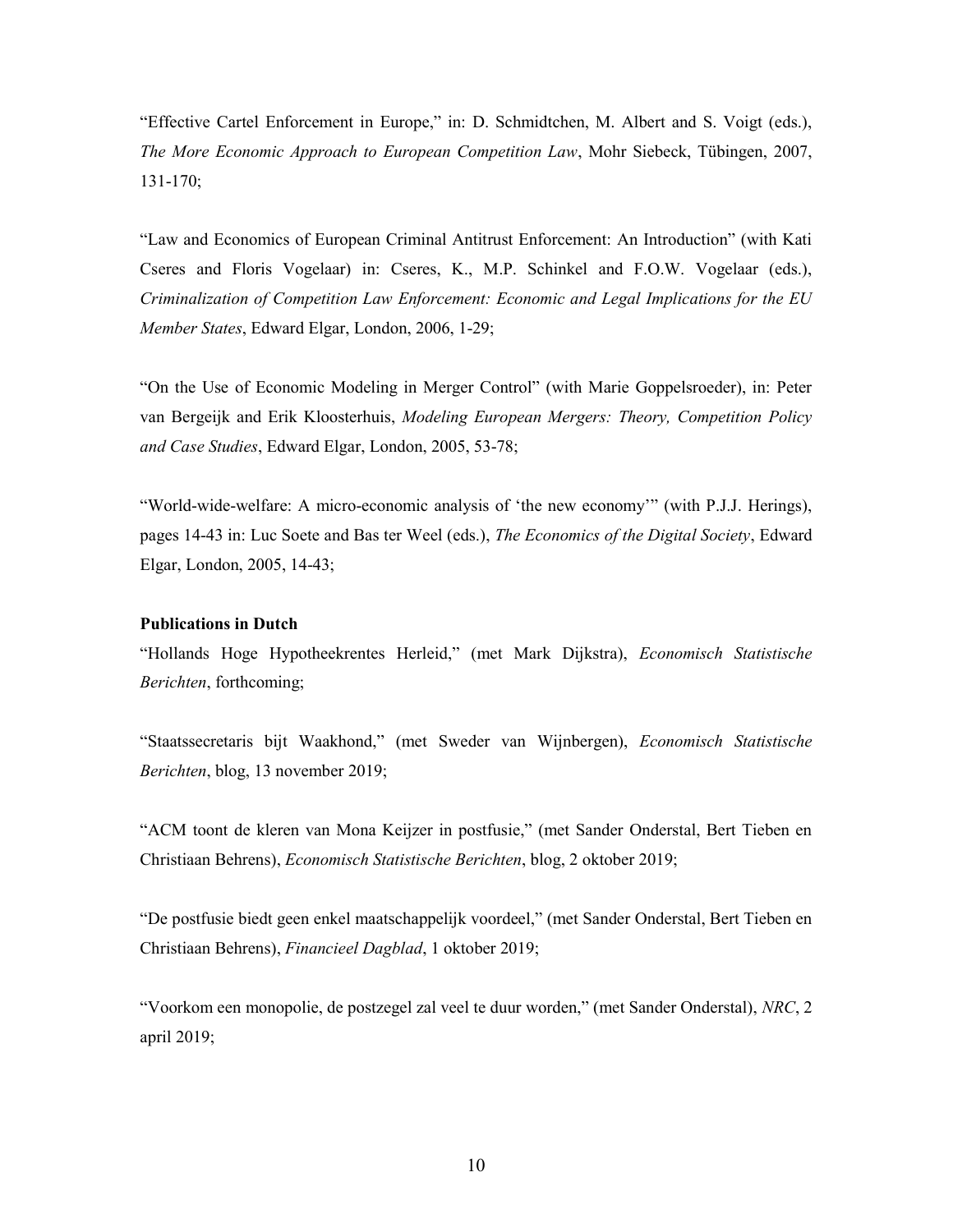"Effective Cartel Enforcement in Europe," in: D. Schmidtchen, M. Albert and S. Voigt (eds.), The More Economic Approach to European Competition Law, Mohr Siebeck, Tübingen, 2007, 131-170;

"Law and Economics of European Criminal Antitrust Enforcement: An Introduction" (with Kati Cseres and Floris Vogelaar) in: Cseres, K., M.P. Schinkel and F.O.W. Vogelaar (eds.), Criminalization of Competition Law Enforcement: Economic and Legal Implications for the EU Member States, Edward Elgar, London, 2006, 1-29;

"On the Use of Economic Modeling in Merger Control" (with Marie Goppelsroeder), in: Peter van Bergeijk and Erik Kloosterhuis, Modeling European Mergers: Theory, Competition Policy and Case Studies, Edward Elgar, London, 2005, 53-78;

"World-wide-welfare: A micro-economic analysis of 'the new economy'" (with P.J.J. Herings), pages 14-43 in: Luc Soete and Bas ter Weel (eds.), The Economics of the Digital Society, Edward Elgar, London, 2005, 14-43;

# Publications in Dutch

"Hollands Hoge Hypotheekrentes Herleid," (met Mark Dijkstra), Economisch Statistische Berichten, forthcoming;

"Staatssecretaris bijt Waakhond," (met Sweder van Wijnbergen), Economisch Statistische Berichten, blog, 13 november 2019;

"ACM toont de kleren van Mona Keijzer in postfusie," (met Sander Onderstal, Bert Tieben en Christiaan Behrens), Economisch Statistische Berichten, blog, 2 oktober 2019;

"De postfusie biedt geen enkel maatschappelijk voordeel," (met Sander Onderstal, Bert Tieben en Christiaan Behrens), Financieel Dagblad, 1 oktober 2019;

"Voorkom een monopolie, de postzegel zal veel te duur worden," (met Sander Onderstal), NRC, 2 april 2019;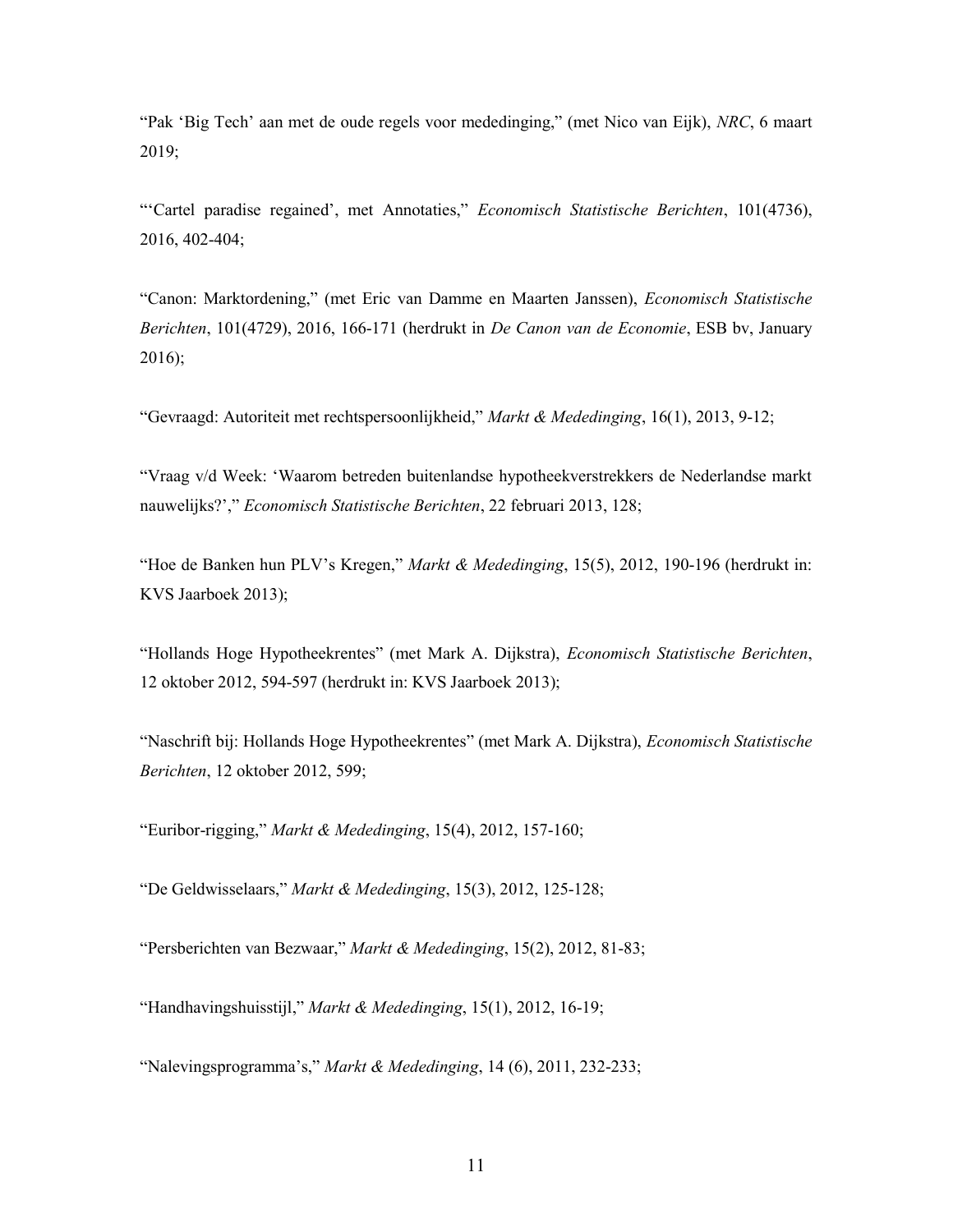"Pak 'Big Tech' aan met de oude regels voor mededinging," (met Nico van Eijk), NRC, 6 maart 2019;

"'Cartel paradise regained', met Annotaties," Economisch Statistische Berichten, 101(4736), 2016, 402-404;

"Canon: Marktordening," (met Eric van Damme en Maarten Janssen), Economisch Statistische Berichten, 101(4729), 2016, 166-171 (herdrukt in De Canon van de Economie, ESB by, January 2016);

"Gevraagd: Autoriteit met rechtspersoonlijkheid," Markt & Mededinging, 16(1), 2013, 9-12;

"Vraag v/d Week: 'Waarom betreden buitenlandse hypotheekverstrekkers de Nederlandse markt nauwelijks?'," Economisch Statistische Berichten, 22 februari 2013, 128;

"Hoe de Banken hun PLV's Kregen," Markt & Mededinging, 15(5), 2012, 190-196 (herdrukt in: KVS Jaarboek 2013);

"Hollands Hoge Hypotheekrentes" (met Mark A. Dijkstra), Economisch Statistische Berichten, 12 oktober 2012, 594-597 (herdrukt in: KVS Jaarboek 2013);

"Naschrift bij: Hollands Hoge Hypotheekrentes" (met Mark A. Dijkstra), Economisch Statistische Berichten, 12 oktober 2012, 599;

"Euribor-rigging," Markt & Mededinging, 15(4), 2012, 157-160;

"De Geldwisselaars," Markt & Mededinging, 15(3), 2012, 125-128;

"Persberichten van Bezwaar," Markt & Mededinging, 15(2), 2012, 81-83;

"Handhavingshuisstijl," Markt & Mededinging, 15(1), 2012, 16-19;

"Nalevingsprogramma's," Markt & Mededinging, 14 (6), 2011, 232-233;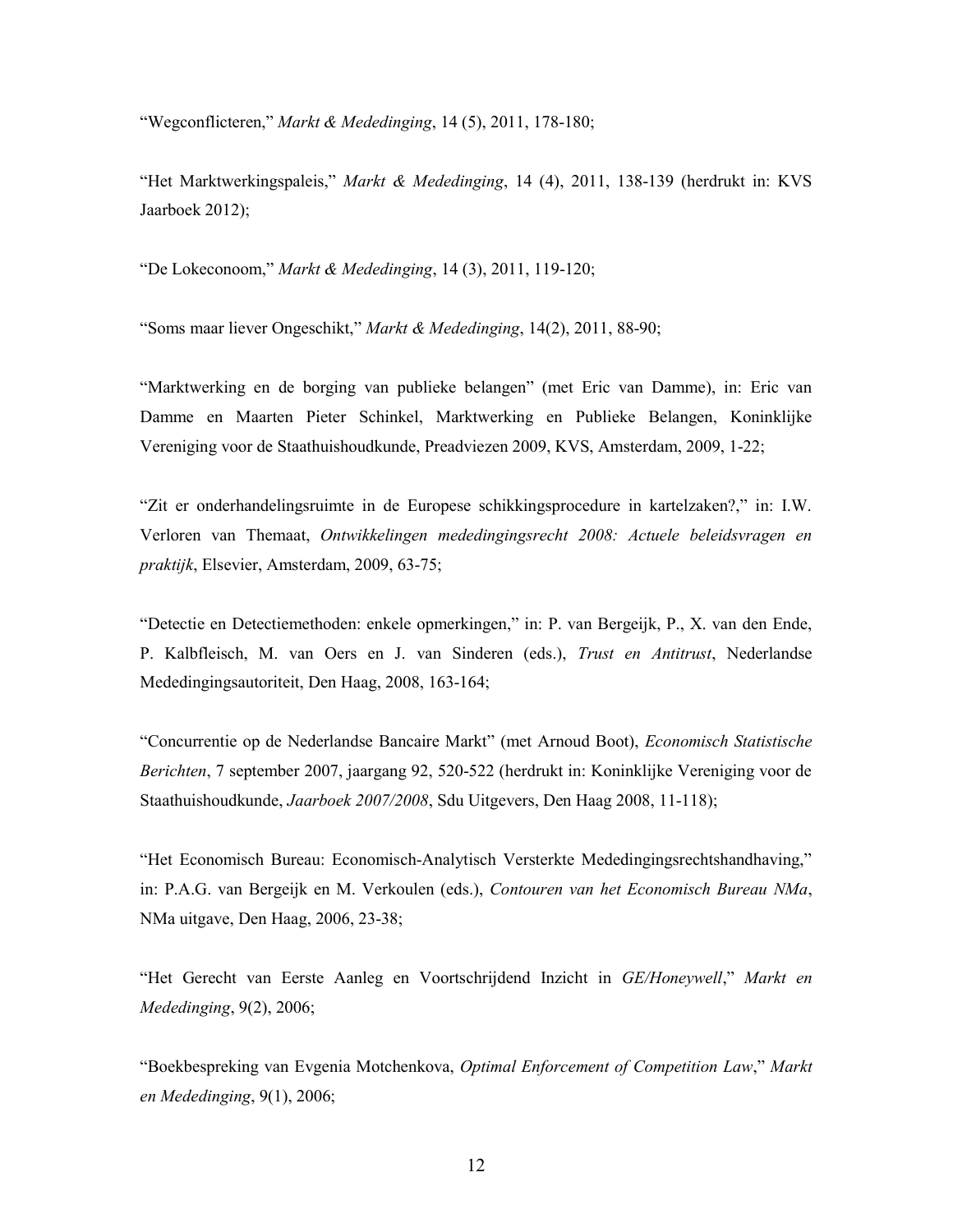"Wegconflicteren," Markt & Mededinging, 14 (5), 2011, 178-180;

"Het Marktwerkingspaleis," Markt & Mededinging, 14 (4), 2011, 138-139 (herdrukt in: KVS Jaarboek 2012);

"De Lokeconoom," Markt & Mededinging, 14 (3), 2011, 119-120;

"Soms maar liever Ongeschikt," Markt & Mededinging, 14(2), 2011, 88-90;

"Marktwerking en de borging van publieke belangen" (met Eric van Damme), in: Eric van Damme en Maarten Pieter Schinkel, Marktwerking en Publieke Belangen, Koninklijke Vereniging voor de Staathuishoudkunde, Preadviezen 2009, KVS, Amsterdam, 2009, 1-22;

"Zit er onderhandelingsruimte in de Europese schikkingsprocedure in kartelzaken?," in: I.W. Verloren van Themaat, Ontwikkelingen mededingingsrecht 2008: Actuele beleidsvragen en praktijk, Elsevier, Amsterdam, 2009, 63-75;

"Detectie en Detectiemethoden: enkele opmerkingen," in: P. van Bergeijk, P., X. van den Ende, P. Kalbfleisch, M. van Oers en J. van Sinderen (eds.), Trust en Antitrust, Nederlandse Mededingingsautoriteit, Den Haag, 2008, 163-164;

"Concurrentie op de Nederlandse Bancaire Markt" (met Arnoud Boot), Economisch Statistische Berichten, 7 september 2007, jaargang 92, 520-522 (herdrukt in: Koninklijke Vereniging voor de Staathuishoudkunde, Jaarboek 2007/2008, Sdu Uitgevers, Den Haag 2008, 11-118);

"Het Economisch Bureau: Economisch-Analytisch Versterkte Mededingingsrechtshandhaving," in: P.A.G. van Bergeijk en M. Verkoulen (eds.), Contouren van het Economisch Bureau NMa, NMa uitgave, Den Haag, 2006, 23-38;

"Het Gerecht van Eerste Aanleg en Voortschrijdend Inzicht in GE/Honeywell," Markt en Mededinging, 9(2), 2006;

"Boekbespreking van Evgenia Motchenkova, Optimal Enforcement of Competition Law," Markt en Mededinging, 9(1), 2006;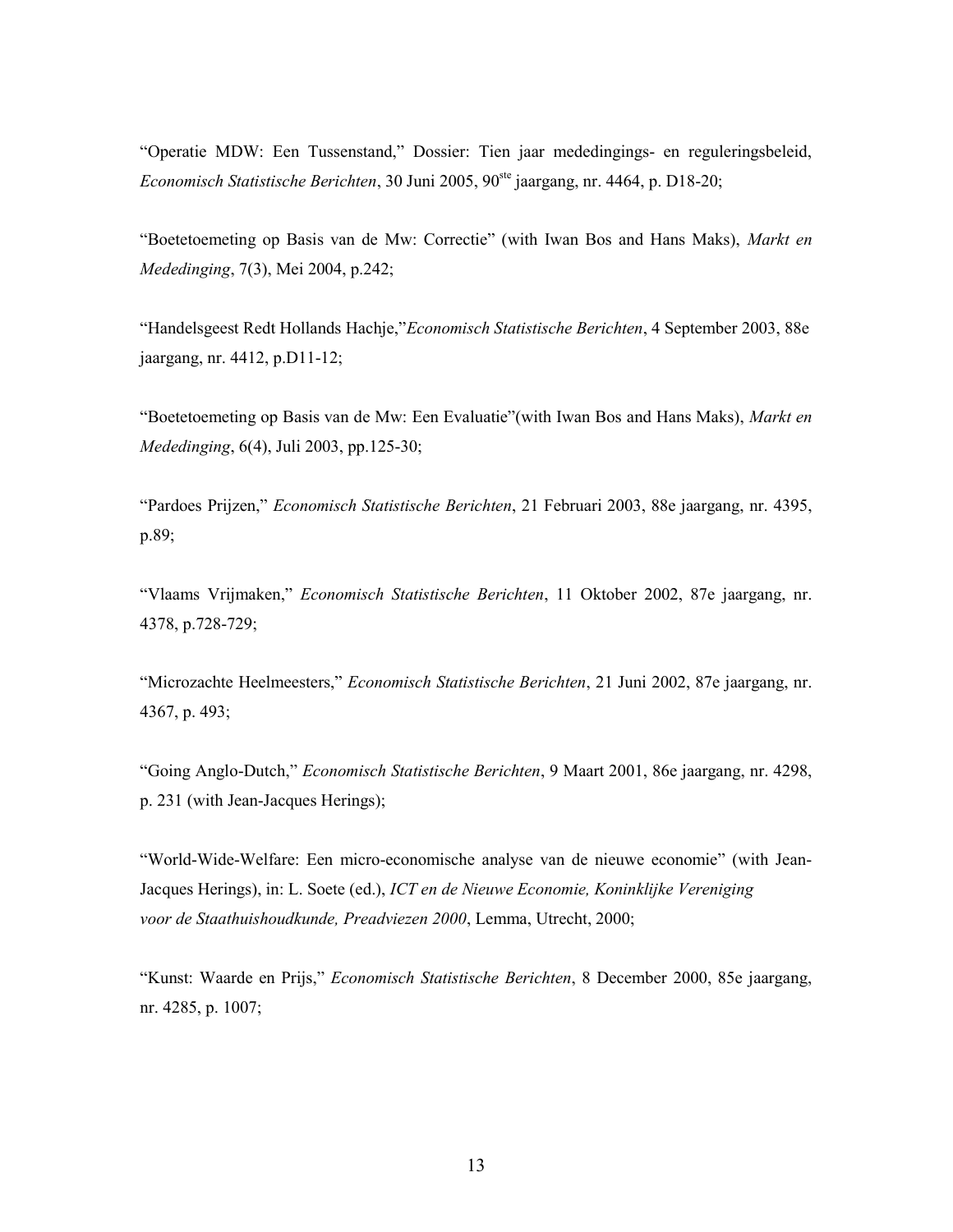"Operatie MDW: Een Tussenstand," Dossier: Tien jaar mededingings- en reguleringsbeleid, Economisch Statistische Berichten, 30 Juni 2005,  $90^{\text{ste}}$  jaargang, nr. 4464, p. D18-20;

"Boetetoemeting op Basis van de Mw: Correctie" (with Iwan Bos and Hans Maks), Markt en Mededinging, 7(3), Mei 2004, p.242;

"Handelsgeest Redt Hollands Hachje,"Economisch Statistische Berichten, 4 September 2003, 88e jaargang, nr. 4412, p.D11-12;

"Boetetoemeting op Basis van de Mw: Een Evaluatie"(with Iwan Bos and Hans Maks), Markt en Mededinging, 6(4), Juli 2003, pp.125-30;

"Pardoes Prijzen," Economisch Statistische Berichten, 21 Februari 2003, 88e jaargang, nr. 4395, p.89;

"Vlaams Vrijmaken," Economisch Statistische Berichten, 11 Oktober 2002, 87e jaargang, nr. 4378, p.728-729;

"Microzachte Heelmeesters," Economisch Statistische Berichten, 21 Juni 2002, 87e jaargang, nr. 4367, p. 493;

"Going Anglo-Dutch," Economisch Statistische Berichten, 9 Maart 2001, 86e jaargang, nr. 4298, p. 231 (with Jean-Jacques Herings);

"World-Wide-Welfare: Een micro-economische analyse van de nieuwe economie" (with Jean-Jacques Herings), in: L. Soete (ed.), ICT en de Nieuwe Economie, Koninklijke Vereniging voor de Staathuishoudkunde, Preadviezen 2000, Lemma, Utrecht, 2000;

"Kunst: Waarde en Prijs," Economisch Statistische Berichten, 8 December 2000, 85e jaargang, nr. 4285, p. 1007;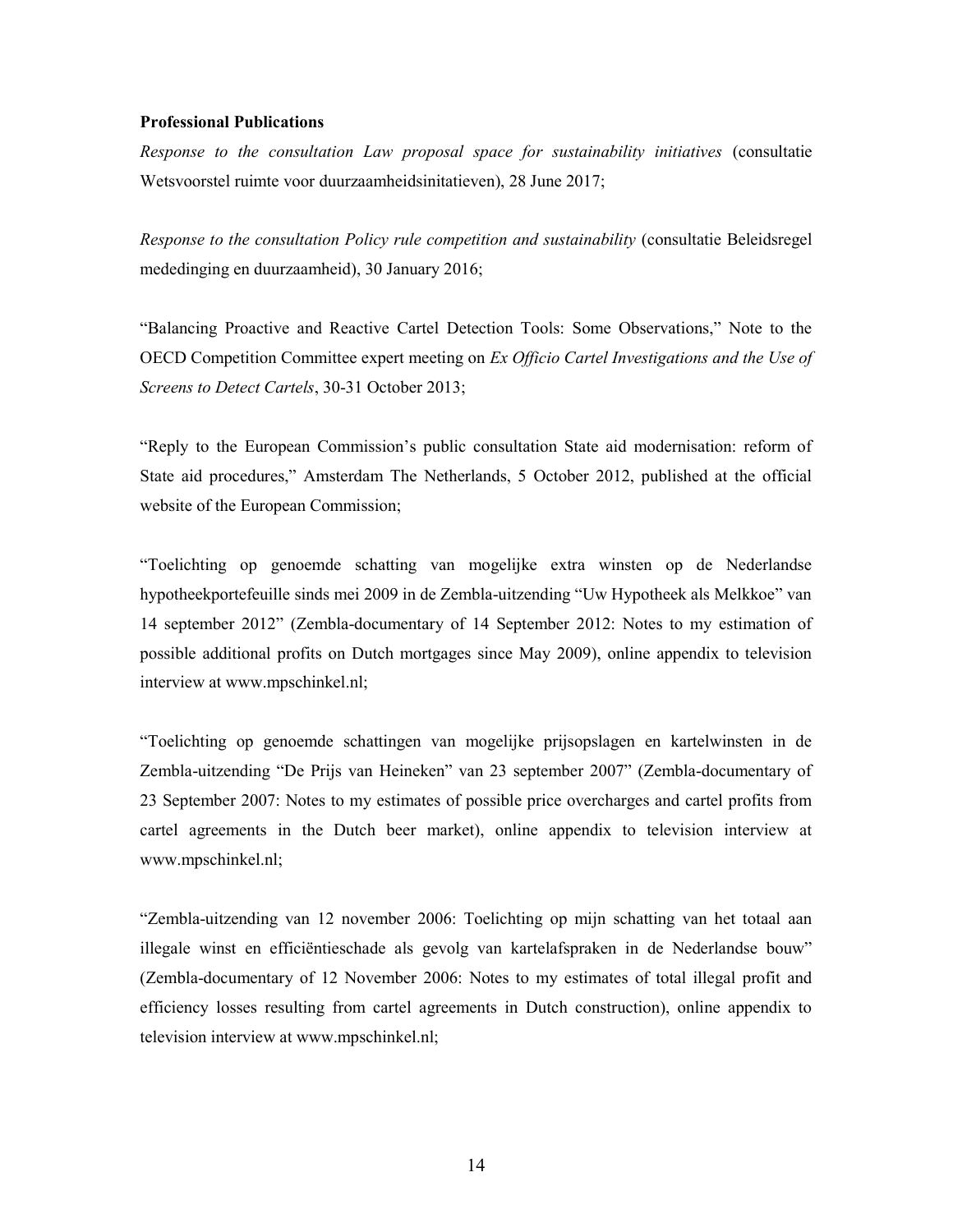#### Professional Publications

Response to the consultation Law proposal space for sustainability initiatives (consultatie Wetsvoorstel ruimte voor duurzaamheidsinitatieven), 28 June 2017;

Response to the consultation Policy rule competition and sustainability (consultatie Beleidsregel mededinging en duurzaamheid), 30 January 2016;

"Balancing Proactive and Reactive Cartel Detection Tools: Some Observations," Note to the OECD Competition Committee expert meeting on Ex Officio Cartel Investigations and the Use of Screens to Detect Cartels, 30-31 October 2013;

"Reply to the European Commission's public consultation State aid modernisation: reform of State aid procedures," Amsterdam The Netherlands, 5 October 2012, published at the official website of the European Commission;

"Toelichting op genoemde schatting van mogelijke extra winsten op de Nederlandse hypotheekportefeuille sinds mei 2009 in de Zembla-uitzending "Uw Hypotheek als Melkkoe" van 14 september 2012" (Zembla-documentary of 14 September 2012: Notes to my estimation of possible additional profits on Dutch mortgages since May 2009), online appendix to television interview at www.mpschinkel.nl;

"Toelichting op genoemde schattingen van mogelijke prijsopslagen en kartelwinsten in de Zembla-uitzending "De Prijs van Heineken" van 23 september 2007" (Zembla-documentary of 23 September 2007: Notes to my estimates of possible price overcharges and cartel profits from cartel agreements in the Dutch beer market), online appendix to television interview at www.mpschinkel.nl;

"Zembla-uitzending van 12 november 2006: Toelichting op mijn schatting van het totaal aan illegale winst en efficiëntieschade als gevolg van kartelafspraken in de Nederlandse bouw" (Zembla-documentary of 12 November 2006: Notes to my estimates of total illegal profit and efficiency losses resulting from cartel agreements in Dutch construction), online appendix to television interview at www.mpschinkel.nl;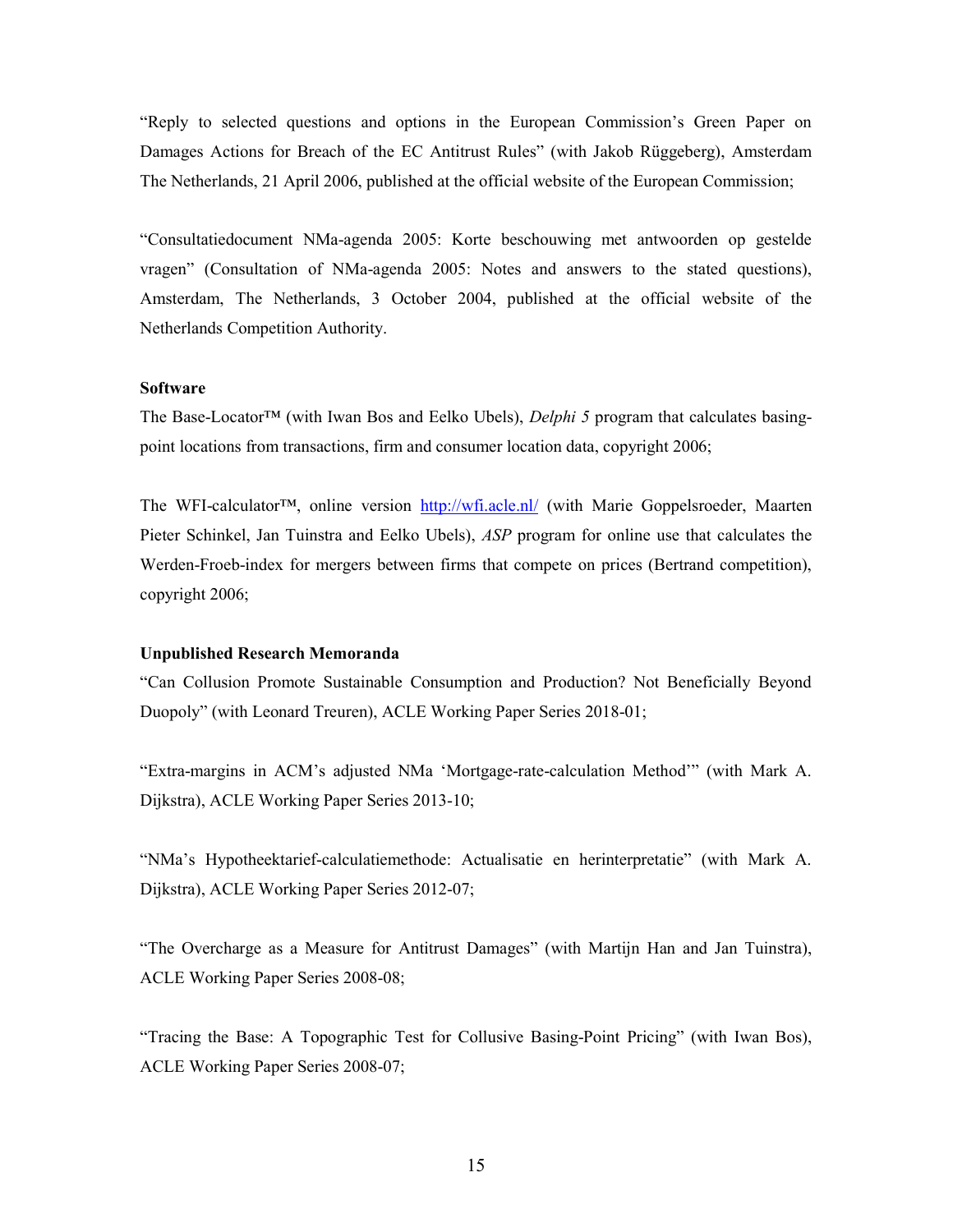"Reply to selected questions and options in the European Commission's Green Paper on Damages Actions for Breach of the EC Antitrust Rules" (with Jakob Rüggeberg), Amsterdam The Netherlands, 21 April 2006, published at the official website of the European Commission;

"Consultatiedocument NMa-agenda 2005: Korte beschouwing met antwoorden op gestelde vragen" (Consultation of NMa-agenda 2005: Notes and answers to the stated questions), Amsterdam, The Netherlands, 3 October 2004, published at the official website of the Netherlands Competition Authority.

## **Software**

The Base-Locator™ (with Iwan Bos and Eelko Ubels), Delphi 5 program that calculates basingpoint locations from transactions, firm and consumer location data, copyright 2006;

The WFI-calculator™, online version http://wfi.acle.nl/ (with Marie Goppelsroeder, Maarten Pieter Schinkel, Jan Tuinstra and Eelko Ubels), ASP program for online use that calculates the Werden-Froeb-index for mergers between firms that compete on prices (Bertrand competition), copyright 2006;

#### Unpublished Research Memoranda

"Can Collusion Promote Sustainable Consumption and Production? Not Beneficially Beyond Duopoly" (with Leonard Treuren), ACLE Working Paper Series 2018-01;

"Extra-margins in ACM's adjusted NMa 'Mortgage-rate-calculation Method'" (with Mark A. Dijkstra), ACLE Working Paper Series 2013-10;

"NMa's Hypotheektarief-calculatiemethode: Actualisatie en herinterpretatie" (with Mark A. Dijkstra), ACLE Working Paper Series 2012-07;

"The Overcharge as a Measure for Antitrust Damages" (with Martijn Han and Jan Tuinstra), ACLE Working Paper Series 2008-08;

"Tracing the Base: A Topographic Test for Collusive Basing-Point Pricing" (with Iwan Bos), ACLE Working Paper Series 2008-07;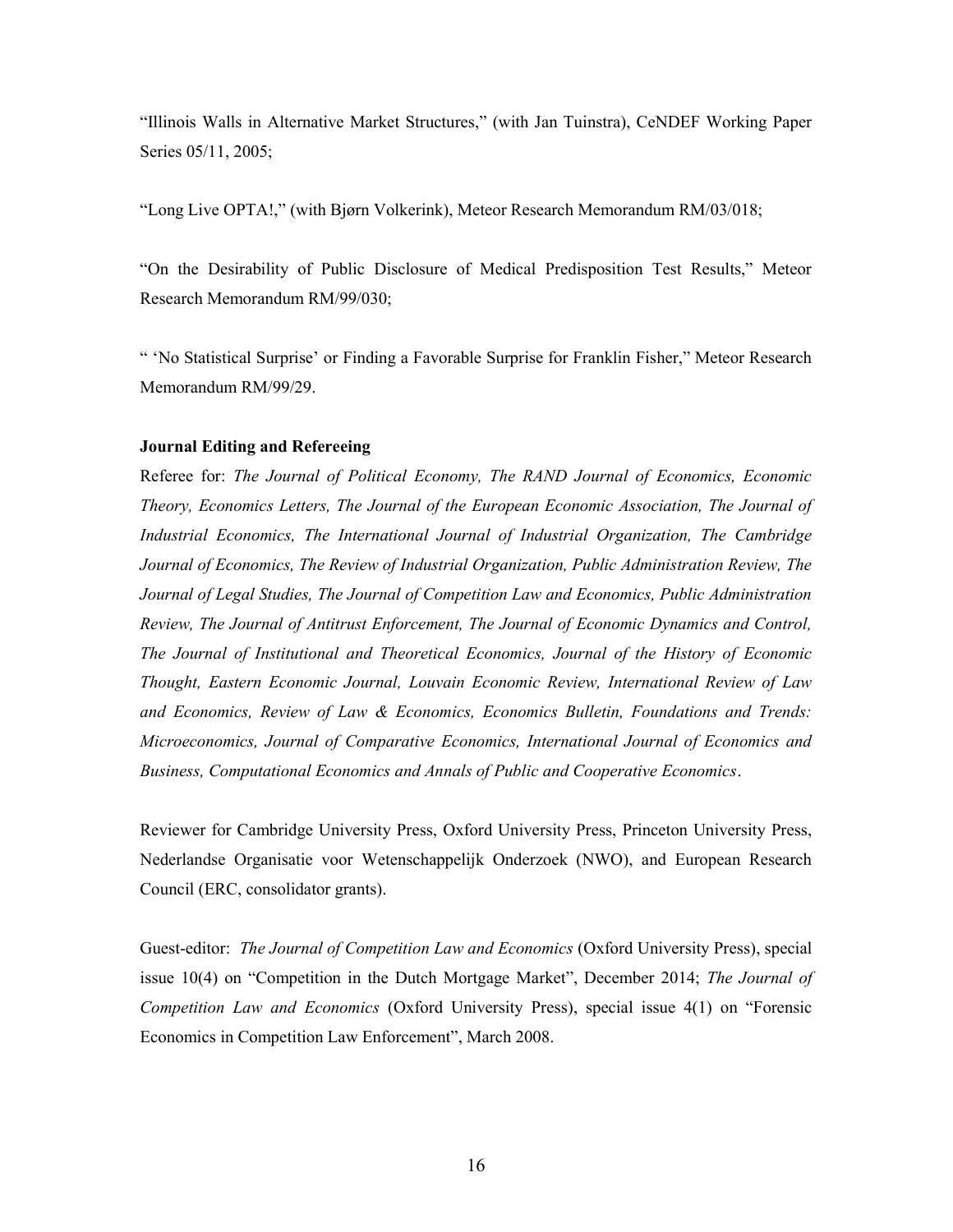"Illinois Walls in Alternative Market Structures," (with Jan Tuinstra), CeNDEF Working Paper Series 05/11, 2005;

"Long Live OPTA!," (with Bjørn Volkerink), Meteor Research Memorandum RM/03/018;

"On the Desirability of Public Disclosure of Medical Predisposition Test Results," Meteor Research Memorandum RM/99/030;

" 'No Statistical Surprise' or Finding a Favorable Surprise for Franklin Fisher," Meteor Research Memorandum RM/99/29.

## Journal Editing and Refereeing

Referee for: The Journal of Political Economy, The RAND Journal of Economics, Economic Theory, Economics Letters, The Journal of the European Economic Association, The Journal of Industrial Economics, The International Journal of Industrial Organization, The Cambridge Journal of Economics, The Review of Industrial Organization, Public Administration Review, The Journal of Legal Studies, The Journal of Competition Law and Economics, Public Administration Review, The Journal of Antitrust Enforcement, The Journal of Economic Dynamics and Control, The Journal of Institutional and Theoretical Economics, Journal of the History of Economic Thought, Eastern Economic Journal, Louvain Economic Review, International Review of Law and Economics, Review of Law & Economics, Economics Bulletin, Foundations and Trends: Microeconomics, Journal of Comparative Economics, International Journal of Economics and Business, Computational Economics and Annals of Public and Cooperative Economics.

Reviewer for Cambridge University Press, Oxford University Press, Princeton University Press, Nederlandse Organisatie voor Wetenschappelijk Onderzoek (NWO), and European Research Council (ERC, consolidator grants).

Guest-editor: The Journal of Competition Law and Economics (Oxford University Press), special issue 10(4) on "Competition in the Dutch Mortgage Market", December 2014; The Journal of Competition Law and Economics (Oxford University Press), special issue 4(1) on "Forensic Economics in Competition Law Enforcement", March 2008.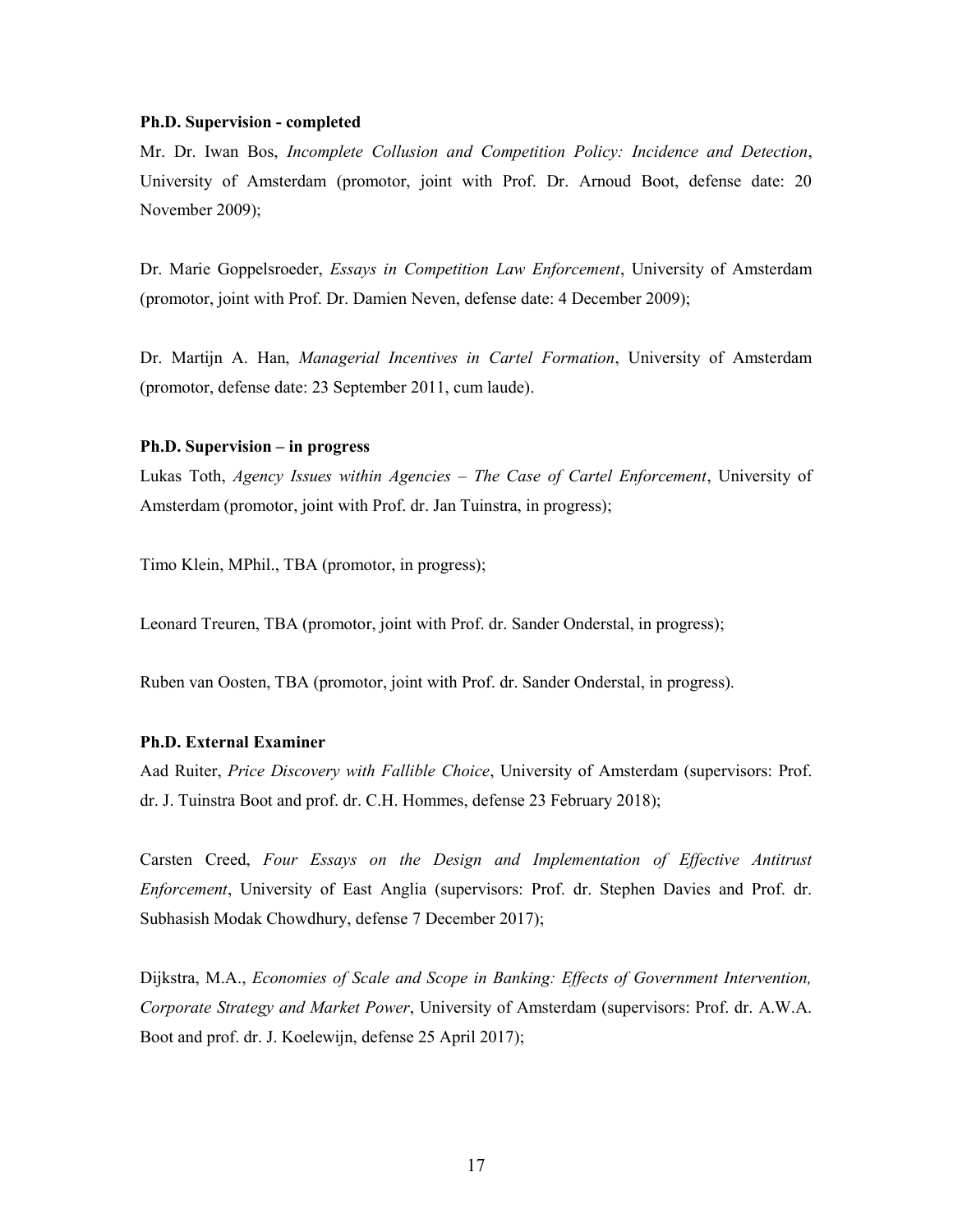#### Ph.D. Supervision - completed

Mr. Dr. Iwan Bos, Incomplete Collusion and Competition Policy: Incidence and Detection, University of Amsterdam (promotor, joint with Prof. Dr. Arnoud Boot, defense date: 20 November 2009);

Dr. Marie Goppelsroeder, *Essays in Competition Law Enforcement*, University of Amsterdam (promotor, joint with Prof. Dr. Damien Neven, defense date: 4 December 2009);

Dr. Martijn A. Han, Managerial Incentives in Cartel Formation, University of Amsterdam (promotor, defense date: 23 September 2011, cum laude).

#### Ph.D. Supervision – in progress

Lukas Toth, Agency Issues within Agencies – The Case of Cartel Enforcement, University of Amsterdam (promotor, joint with Prof. dr. Jan Tuinstra, in progress);

Timo Klein, MPhil., TBA (promotor, in progress);

Leonard Treuren, TBA (promotor, joint with Prof. dr. Sander Onderstal, in progress);

Ruben van Oosten, TBA (promotor, joint with Prof. dr. Sander Onderstal, in progress).

#### Ph.D. External Examiner

Aad Ruiter, Price Discovery with Fallible Choice, University of Amsterdam (supervisors: Prof. dr. J. Tuinstra Boot and prof. dr. C.H. Hommes, defense 23 February 2018);

Carsten Creed, Four Essays on the Design and Implementation of Effective Antitrust Enforcement, University of East Anglia (supervisors: Prof. dr. Stephen Davies and Prof. dr. Subhasish Modak Chowdhury, defense 7 December 2017);

Dijkstra, M.A., Economies of Scale and Scope in Banking: Effects of Government Intervention, Corporate Strategy and Market Power, University of Amsterdam (supervisors: Prof. dr. A.W.A. Boot and prof. dr. J. Koelewijn, defense 25 April 2017);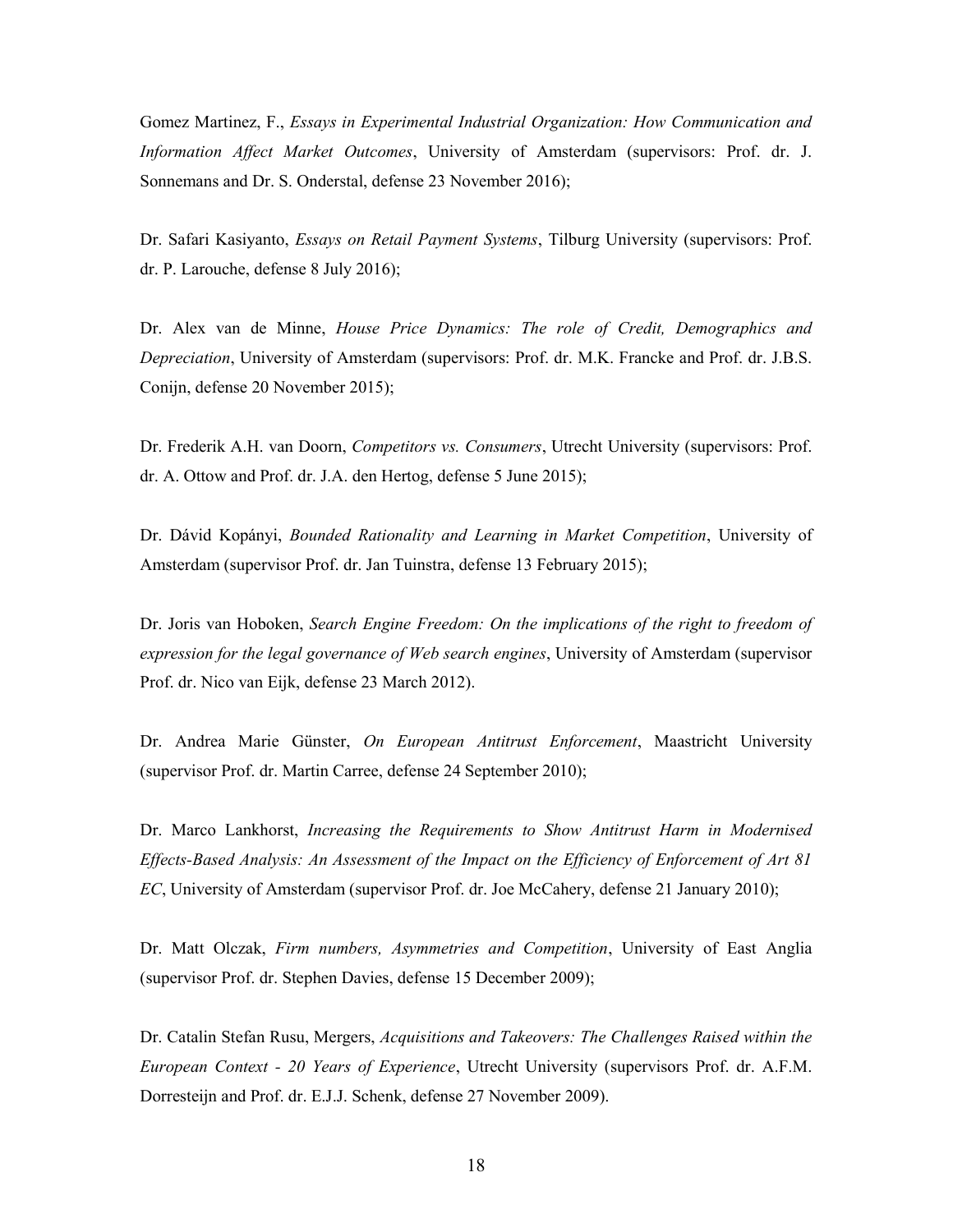Gomez Martinez, F., Essays in Experimental Industrial Organization: How Communication and Information Affect Market Outcomes, University of Amsterdam (supervisors: Prof. dr. J. Sonnemans and Dr. S. Onderstal, defense 23 November 2016);

Dr. Safari Kasiyanto, *Essays on Retail Payment Systems*, Tilburg University (supervisors: Prof. dr. P. Larouche, defense 8 July 2016);

Dr. Alex van de Minne, House Price Dynamics: The role of Credit, Demographics and Depreciation, University of Amsterdam (supervisors: Prof. dr. M.K. Francke and Prof. dr. J.B.S. Conijn, defense 20 November 2015);

Dr. Frederik A.H. van Doorn, Competitors vs. Consumers, Utrecht University (supervisors: Prof. dr. A. Ottow and Prof. dr. J.A. den Hertog, defense 5 June 2015);

Dr. Dávid Kopányi, Bounded Rationality and Learning in Market Competition, University of Amsterdam (supervisor Prof. dr. Jan Tuinstra, defense 13 February 2015);

Dr. Joris van Hoboken, Search Engine Freedom: On the implications of the right to freedom of expression for the legal governance of Web search engines, University of Amsterdam (supervisor Prof. dr. Nico van Eijk, defense 23 March 2012).

Dr. Andrea Marie Günster, On European Antitrust Enforcement, Maastricht University (supervisor Prof. dr. Martin Carree, defense 24 September 2010);

Dr. Marco Lankhorst, Increasing the Requirements to Show Antitrust Harm in Modernised Effects-Based Analysis: An Assessment of the Impact on the Efficiency of Enforcement of Art 81 EC, University of Amsterdam (supervisor Prof. dr. Joe McCahery, defense 21 January 2010);

Dr. Matt Olczak, Firm numbers, Asymmetries and Competition, University of East Anglia (supervisor Prof. dr. Stephen Davies, defense 15 December 2009);

Dr. Catalin Stefan Rusu, Mergers, Acquisitions and Takeovers: The Challenges Raised within the European Context - 20 Years of Experience, Utrecht University (supervisors Prof. dr. A.F.M. Dorresteijn and Prof. dr. E.J.J. Schenk, defense 27 November 2009).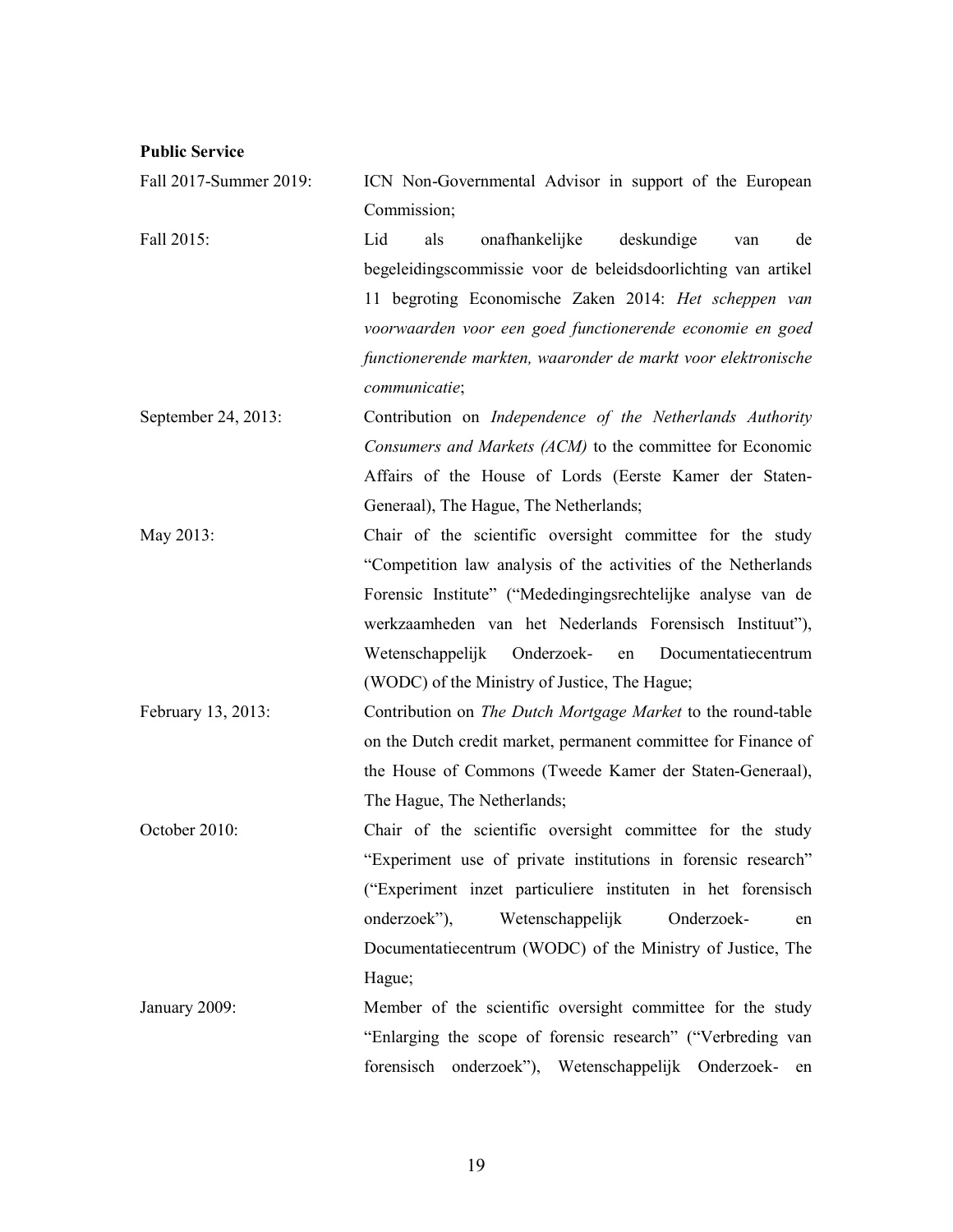# Public Service

| Fall 2017-Summer 2019: | ICN Non-Governmental Advisor in support of the European        |
|------------------------|----------------------------------------------------------------|
|                        | Commission;                                                    |
| Fall 2015:             | Lid<br>onafhankelijke<br>deskundige<br>de<br>als<br>van        |
|                        | begeleidingscommissie voor de beleidsdoorlichting van artikel  |
|                        | 11 begroting Economische Zaken 2014: Het scheppen van          |
|                        | voorwaarden voor een goed functionerende economie en goed      |
|                        | functionerende markten, waaronder de markt voor elektronische  |
|                        | communicatie;                                                  |
| September 24, 2013:    | Contribution on Independence of the Netherlands Authority      |
|                        | Consumers and Markets (ACM) to the committee for Economic      |
|                        | Affairs of the House of Lords (Eerste Kamer der Staten-        |
|                        | Generaal), The Hague, The Netherlands;                         |
| May 2013:              | Chair of the scientific oversight committee for the study      |
|                        | "Competition law analysis of the activities of the Netherlands |
|                        | Forensic Institute" ("Mededingingsrechtelijke analyse van de   |
|                        | werkzaamheden van het Nederlands Forensisch Instituut"),       |
|                        | Wetenschappelijk<br>Onderzoek-<br>Documentatiecentrum<br>en    |
|                        | (WODC) of the Ministry of Justice, The Hague;                  |
| February 13, 2013:     | Contribution on The Dutch Mortgage Market to the round-table   |
|                        | on the Dutch credit market, permanent committee for Finance of |
|                        | the House of Commons (Tweede Kamer der Staten-Generaal),       |
|                        | The Hague, The Netherlands;                                    |
| October 2010:          | Chair of the scientific oversight committee for the study      |
|                        | "Experiment use of private institutions in forensic research"  |
|                        | ("Experiment inzet particuliere instituten in het forensisch   |
|                        | onderzoek"),<br>Wetenschappelijk<br>Onderzoek-<br>en           |
|                        | Documentatiecentrum (WODC) of the Ministry of Justice, The     |
|                        | Hague;                                                         |
| January 2009:          | Member of the scientific oversight committee for the study     |
|                        | "Enlarging the scope of forensic research" ("Verbreding van    |

forensisch onderzoek"), Wetenschappelijk Onderzoek- en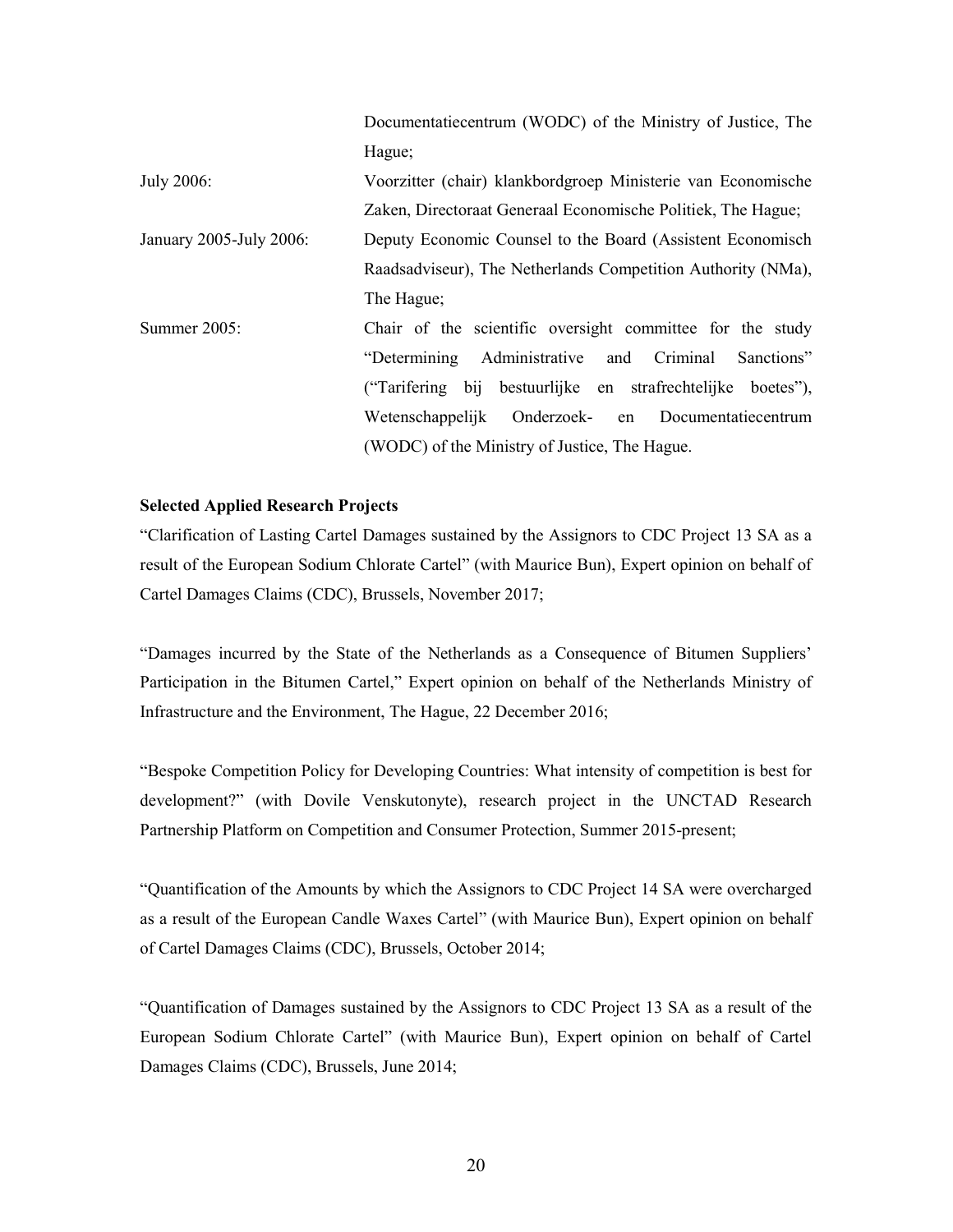|                         | Documentatiecentrum (WODC) of the Ministry of Justice, The   |
|-------------------------|--------------------------------------------------------------|
|                         | Hague;                                                       |
| July 2006:              | Voorzitter (chair) klankbordgroep Ministerie van Economische |
|                         | Zaken, Directoraat Generaal Economische Politiek, The Hague; |
| January 2005-July 2006: | Deputy Economic Counsel to the Board (Assistent Economisch   |
|                         | Raadsadviseur), The Netherlands Competition Authority (NMa), |
|                         | The Hague;                                                   |
| Summer 2005:            | Chair of the scientific oversight committee for the study    |
|                         | "Determining<br>Administrative and Criminal<br>Sanctions"    |
|                         | ("Tarifering bij bestuurlijke en strafrechtelijke boetes"),  |
|                         | Wetenschappelijk Onderzoek- en Documentatiecentrum           |
|                         | (WODC) of the Ministry of Justice, The Hague.                |

## Selected Applied Research Projects

"Clarification of Lasting Cartel Damages sustained by the Assignors to CDC Project 13 SA as a result of the European Sodium Chlorate Cartel" (with Maurice Bun), Expert opinion on behalf of Cartel Damages Claims (CDC), Brussels, November 2017;

"Damages incurred by the State of the Netherlands as a Consequence of Bitumen Suppliers' Participation in the Bitumen Cartel," Expert opinion on behalf of the Netherlands Ministry of Infrastructure and the Environment, The Hague, 22 December 2016;

"Bespoke Competition Policy for Developing Countries: What intensity of competition is best for development?" (with Dovile Venskutonyte), research project in the UNCTAD Research Partnership Platform on Competition and Consumer Protection, Summer 2015-present;

"Quantification of the Amounts by which the Assignors to CDC Project 14 SA were overcharged as a result of the European Candle Waxes Cartel" (with Maurice Bun), Expert opinion on behalf of Cartel Damages Claims (CDC), Brussels, October 2014;

"Quantification of Damages sustained by the Assignors to CDC Project 13 SA as a result of the European Sodium Chlorate Cartel" (with Maurice Bun), Expert opinion on behalf of Cartel Damages Claims (CDC), Brussels, June 2014;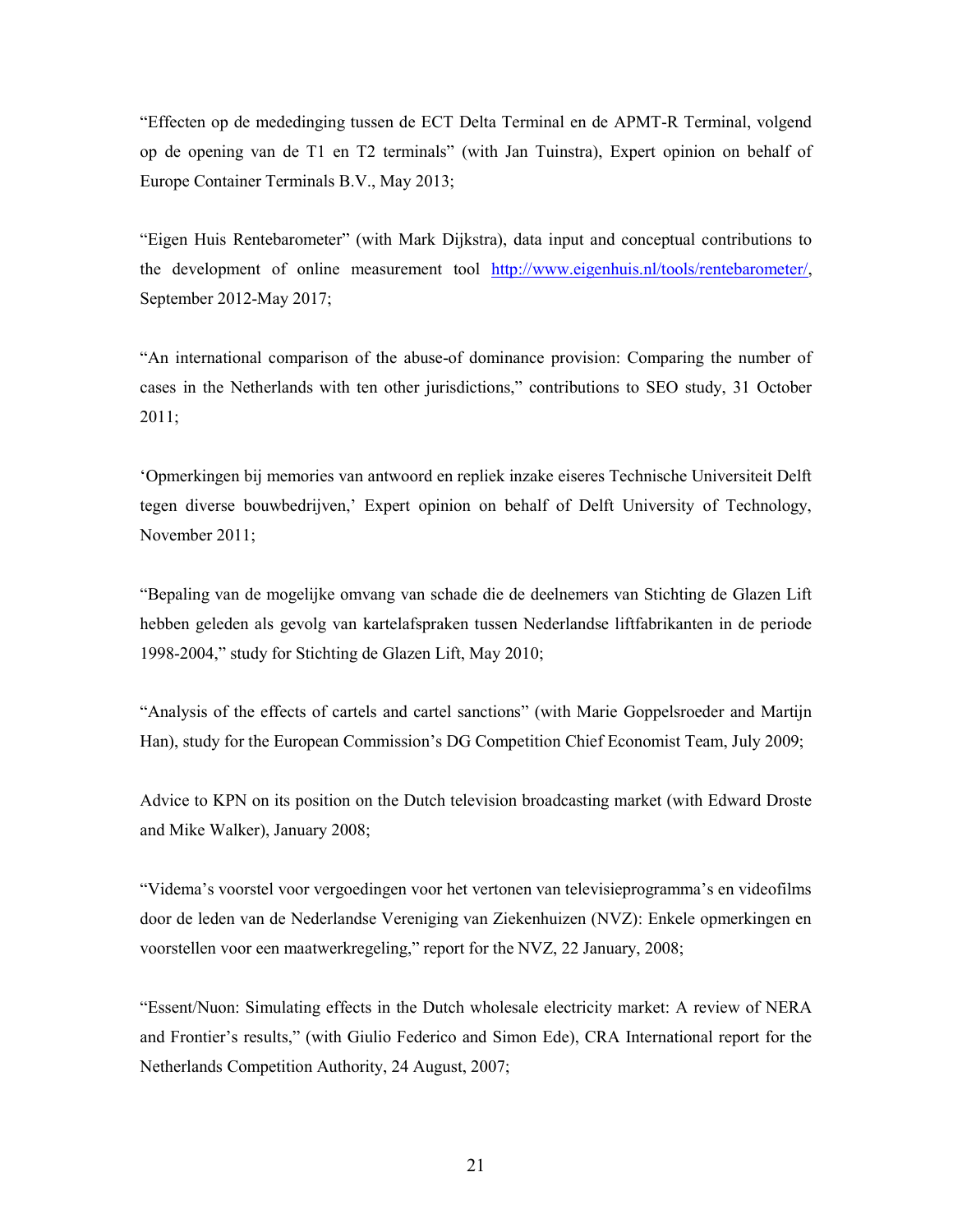"Effecten op de mededinging tussen de ECT Delta Terminal en de APMT-R Terminal, volgend op de opening van de T1 en T2 terminals" (with Jan Tuinstra), Expert opinion on behalf of Europe Container Terminals B.V., May 2013;

"Eigen Huis Rentebarometer" (with Mark Dijkstra), data input and conceptual contributions to the development of online measurement tool http://www.eigenhuis.nl/tools/rentebarometer/, September 2012-May 2017;

"An international comparison of the abuse-of dominance provision: Comparing the number of cases in the Netherlands with ten other jurisdictions," contributions to SEO study, 31 October 2011;

'Opmerkingen bij memories van antwoord en repliek inzake eiseres Technische Universiteit Delft tegen diverse bouwbedrijven,' Expert opinion on behalf of Delft University of Technology, November 2011;

"Bepaling van de mogelijke omvang van schade die de deelnemers van Stichting de Glazen Lift hebben geleden als gevolg van kartelafspraken tussen Nederlandse liftfabrikanten in de periode 1998-2004," study for Stichting de Glazen Lift, May 2010;

"Analysis of the effects of cartels and cartel sanctions" (with Marie Goppelsroeder and Martijn Han), study for the European Commission's DG Competition Chief Economist Team, July 2009;

Advice to KPN on its position on the Dutch television broadcasting market (with Edward Droste and Mike Walker), January 2008;

"Videma's voorstel voor vergoedingen voor het vertonen van televisieprogramma's en videofilms door de leden van de Nederlandse Vereniging van Ziekenhuizen (NVZ): Enkele opmerkingen en voorstellen voor een maatwerkregeling," report for the NVZ, 22 January, 2008;

"Essent/Nuon: Simulating effects in the Dutch wholesale electricity market: A review of NERA and Frontier's results," (with Giulio Federico and Simon Ede), CRA International report for the Netherlands Competition Authority, 24 August, 2007;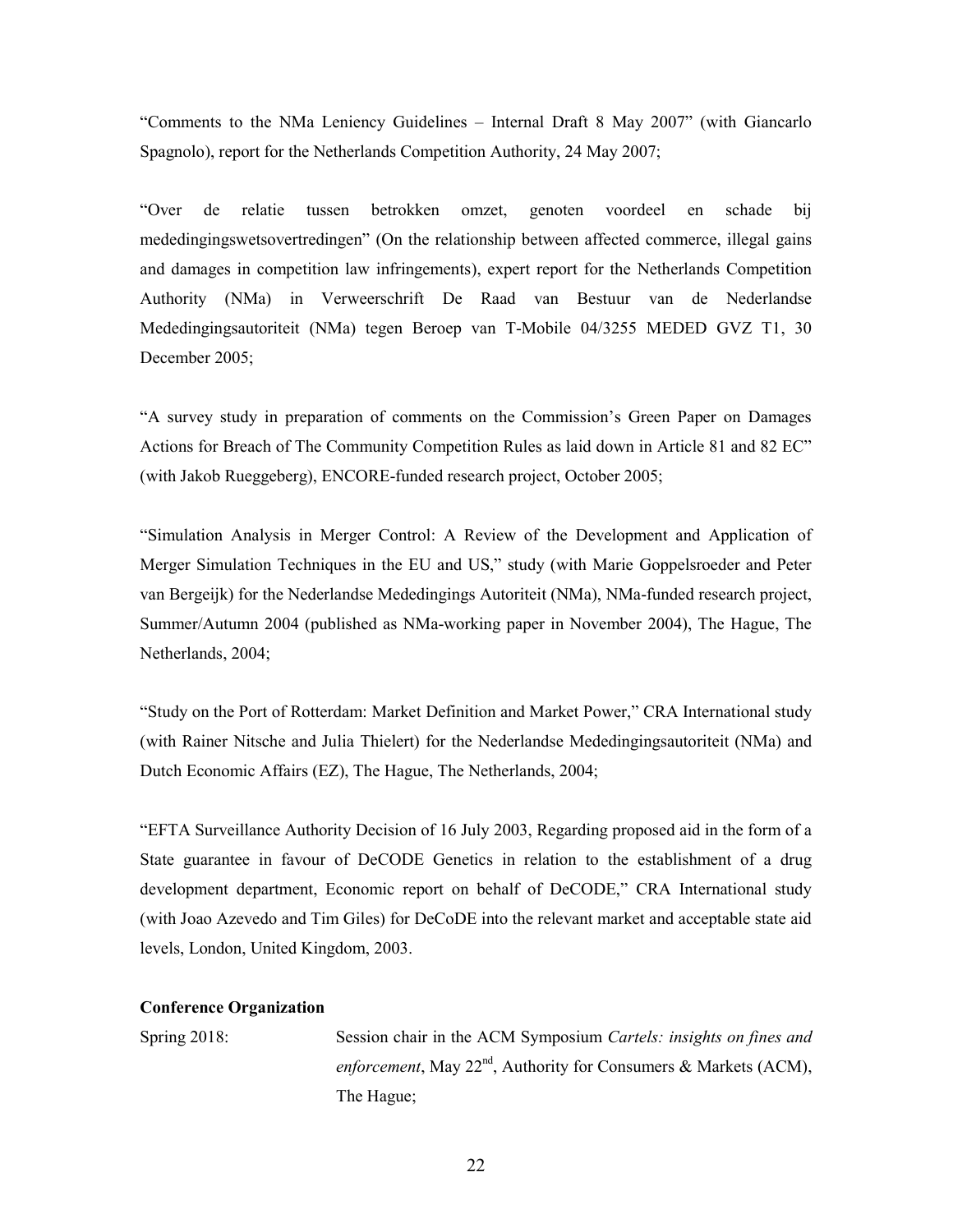"Comments to the NMa Leniency Guidelines – Internal Draft 8 May 2007" (with Giancarlo Spagnolo), report for the Netherlands Competition Authority, 24 May 2007;

"Over de relatie tussen betrokken omzet, genoten voordeel en schade bij mededingingswetsovertredingen" (On the relationship between affected commerce, illegal gains and damages in competition law infringements), expert report for the Netherlands Competition Authority (NMa) in Verweerschrift De Raad van Bestuur van de Nederlandse Mededingingsautoriteit (NMa) tegen Beroep van T-Mobile 04/3255 MEDED GVZ T1, 30 December 2005;

"A survey study in preparation of comments on the Commission's Green Paper on Damages Actions for Breach of The Community Competition Rules as laid down in Article 81 and 82 EC" (with Jakob Rueggeberg), ENCORE-funded research project, October 2005;

"Simulation Analysis in Merger Control: A Review of the Development and Application of Merger Simulation Techniques in the EU and US," study (with Marie Goppelsroeder and Peter van Bergeijk) for the Nederlandse Mededingings Autoriteit (NMa), NMa-funded research project, Summer/Autumn 2004 (published as NMa-working paper in November 2004), The Hague, The Netherlands, 2004;

"Study on the Port of Rotterdam: Market Definition and Market Power," CRA International study (with Rainer Nitsche and Julia Thielert) for the Nederlandse Mededingingsautoriteit (NMa) and Dutch Economic Affairs (EZ), The Hague, The Netherlands, 2004;

"EFTA Surveillance Authority Decision of 16 July 2003, Regarding proposed aid in the form of a State guarantee in favour of DeCODE Genetics in relation to the establishment of a drug development department, Economic report on behalf of DeCODE," CRA International study (with Joao Azevedo and Tim Giles) for DeCoDE into the relevant market and acceptable state aid levels, London, United Kingdom, 2003.

#### Conference Organization

Spring 2018: Session chair in the ACM Symposium Cartels: insights on fines and enforcement, May  $22^{nd}$ , Authority for Consumers & Markets (ACM), The Hague;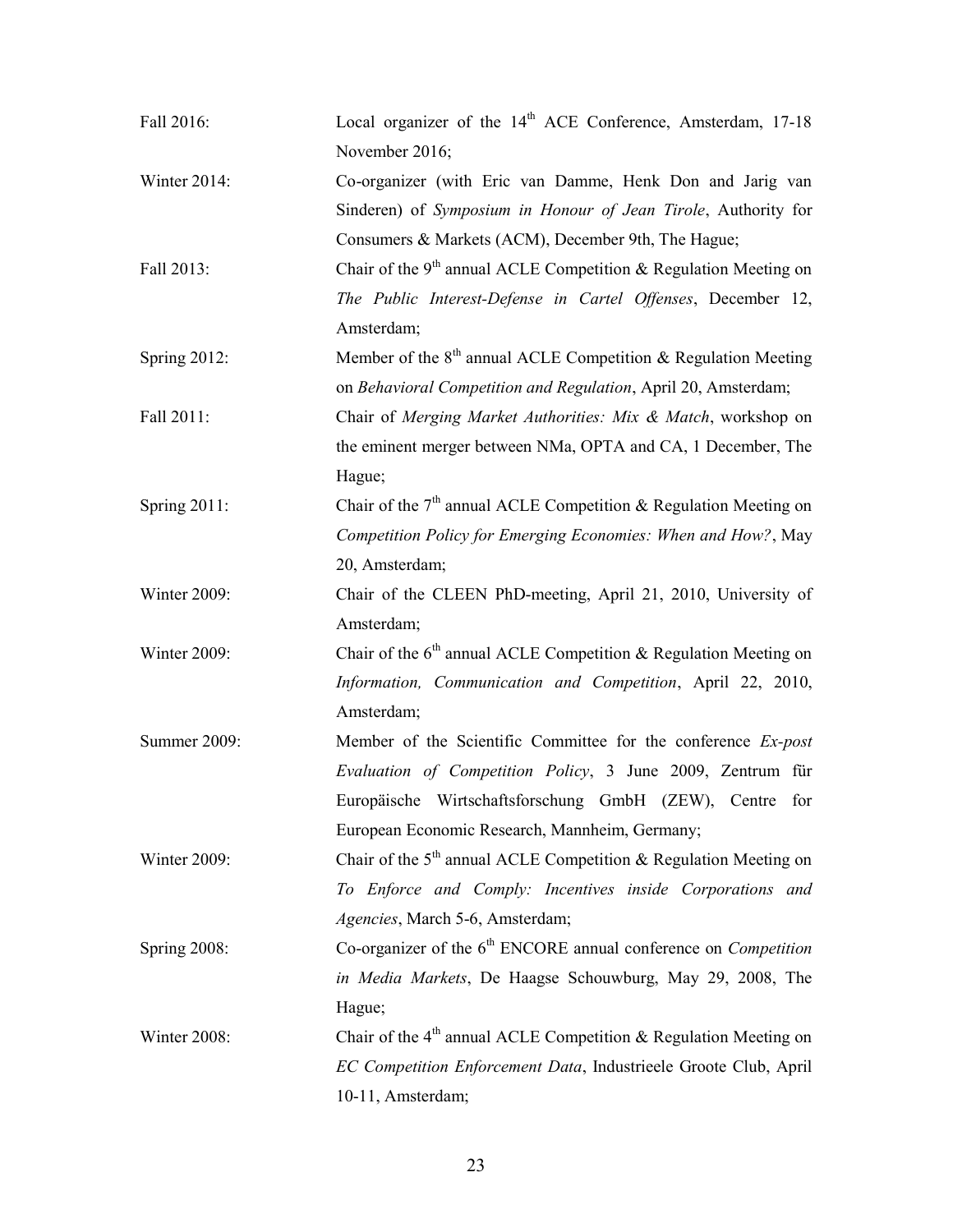| Fall 2016:      | Local organizer of the 14 <sup>th</sup> ACE Conference, Amsterdam, 17-18     |
|-----------------|------------------------------------------------------------------------------|
|                 | November 2016;                                                               |
| Winter 2014:    | Co-organizer (with Eric van Damme, Henk Don and Jarig van                    |
|                 | Sinderen) of Symposium in Honour of Jean Tirole, Authority for               |
|                 | Consumers & Markets (ACM), December 9th, The Hague;                          |
| Fall 2013:      | Chair of the $9th$ annual ACLE Competition & Regulation Meeting on           |
|                 | The Public Interest-Defense in Cartel Offenses, December 12,                 |
|                 | Amsterdam;                                                                   |
| Spring 2012:    | Member of the 8 <sup>th</sup> annual ACLE Competition & Regulation Meeting   |
|                 | on Behavioral Competition and Regulation, April 20, Amsterdam;               |
| Fall 2011:      | Chair of Merging Market Authorities: Mix & Match, workshop on                |
|                 | the eminent merger between NMa, OPTA and CA, 1 December, The                 |
|                 | Hague;                                                                       |
| Spring $2011$ : | Chair of the $7th$ annual ACLE Competition & Regulation Meeting on           |
|                 | Competition Policy for Emerging Economies: When and How?, May                |
|                 | 20, Amsterdam;                                                               |
| Winter 2009:    | Chair of the CLEEN PhD-meeting, April 21, 2010, University of                |
|                 | Amsterdam;                                                                   |
| Winter 2009:    | Chair of the 6 <sup>th</sup> annual ACLE Competition & Regulation Meeting on |
|                 | Information, Communication and Competition, April 22, 2010,                  |
|                 | Amsterdam;                                                                   |
| Summer 2009:    | Member of the Scientific Committee for the conference Ex-post                |
|                 | Evaluation of Competition Policy, 3 June 2009, Zentrum für                   |
|                 | Europäische Wirtschaftsforschung GmbH (ZEW), Centre for                      |
|                 | European Economic Research, Mannheim, Germany;                               |
| Winter 2009:    | Chair of the 5 <sup>th</sup> annual ACLE Competition & Regulation Meeting on |
|                 | To Enforce and Comply: Incentives inside Corporations and                    |
|                 | Agencies, March 5-6, Amsterdam;                                              |
| Spring 2008:    | Co-organizer of the $6th$ ENCORE annual conference on <i>Competition</i>     |
|                 | in Media Markets, De Haagse Schouwburg, May 29, 2008, The                    |
|                 | Hague;                                                                       |
| Winter 2008:    | Chair of the 4 <sup>th</sup> annual ACLE Competition & Regulation Meeting on |
|                 | EC Competition Enforcement Data, Industrieele Groote Club, April             |
|                 | 10-11, Amsterdam;                                                            |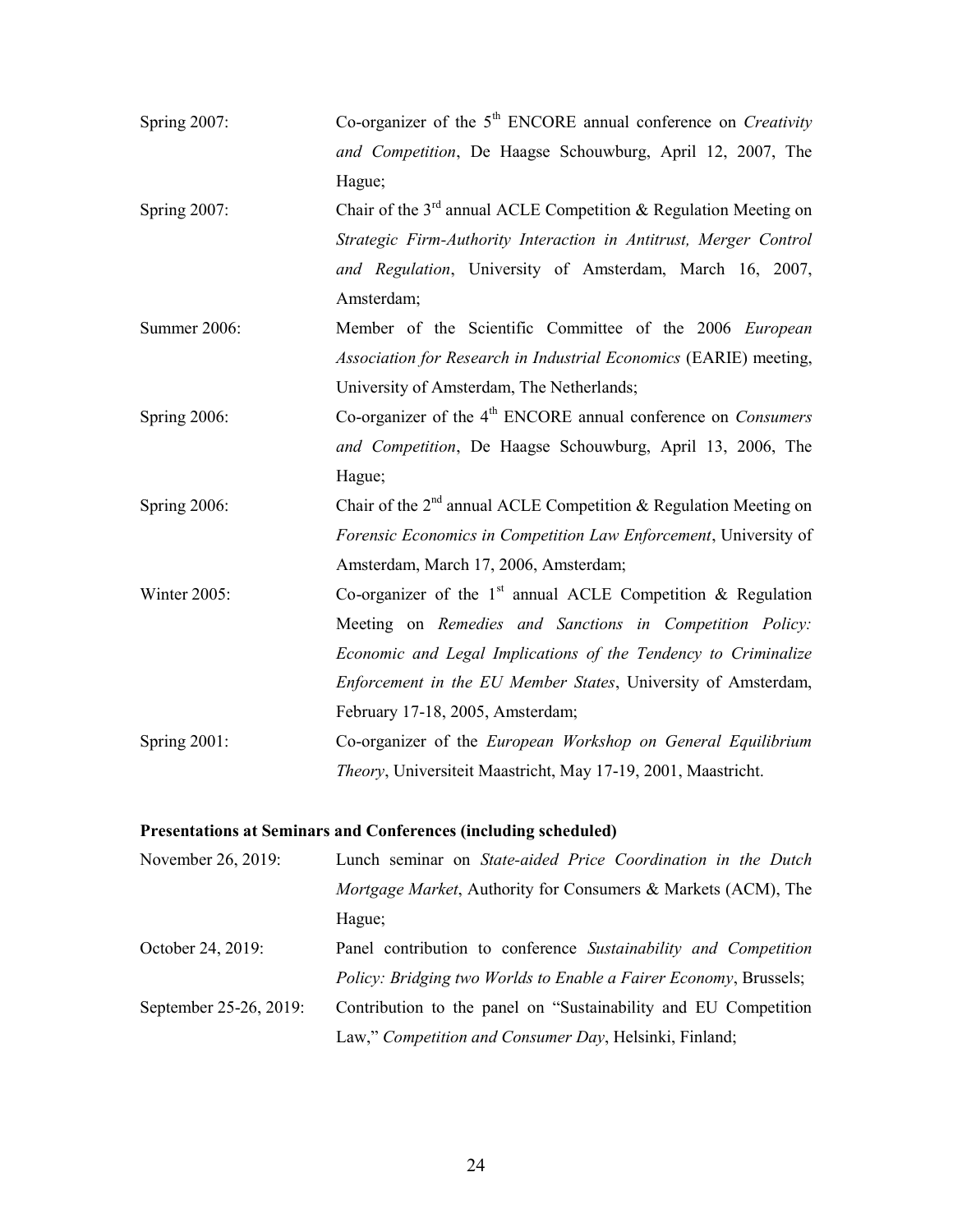| Spring 2007: | Co-organizer of the $5th$ ENCORE annual conference on <i>Creativity</i>      |
|--------------|------------------------------------------------------------------------------|
|              | and Competition, De Haagse Schouwburg, April 12, 2007, The                   |
|              | Hague;                                                                       |
| Spring 2007: | Chair of the $3rd$ annual ACLE Competition & Regulation Meeting on           |
|              | Strategic Firm-Authority Interaction in Antitrust, Merger Control            |
|              | and Regulation, University of Amsterdam, March 16, 2007,                     |
|              | Amsterdam;                                                                   |
| Summer 2006: | Member of the Scientific Committee of the 2006 European                      |
|              | Association for Research in Industrial Economics (EARIE) meeting,            |
|              | University of Amsterdam, The Netherlands;                                    |
| Spring 2006: | Co-organizer of the 4 <sup>th</sup> ENCORE annual conference on Consumers    |
|              | and Competition, De Haagse Schouwburg, April 13, 2006, The                   |
|              | Hague;                                                                       |
| Spring 2006: | Chair of the 2 <sup>nd</sup> annual ACLE Competition & Regulation Meeting on |
|              | Forensic Economics in Competition Law Enforcement, University of             |
|              | Amsterdam, March 17, 2006, Amsterdam;                                        |
| Winter 2005: | Co-organizer of the $1st$ annual ACLE Competition & Regulation               |
|              | Meeting on Remedies and Sanctions in Competition Policy:                     |
|              | Economic and Legal Implications of the Tendency to Criminalize               |
|              | Enforcement in the EU Member States, University of Amsterdam,                |
|              | February 17-18, 2005, Amsterdam;                                             |
| Spring 2001: | Co-organizer of the European Workshop on General Equilibrium                 |
|              | Theory, Universiteit Maastricht, May 17-19, 2001, Maastricht.                |

# Presentations at Seminars and Conferences (including scheduled)

| November 26, 2019:     | Lunch seminar on State-aided Price Coordination in the Dutch             |
|------------------------|--------------------------------------------------------------------------|
|                        | Mortgage Market, Authority for Consumers & Markets (ACM), The            |
|                        | Hague;                                                                   |
| October 24, 2019:      | Panel contribution to conference Sustainability and Competition          |
|                        | <i>Policy: Bridging two Worlds to Enable a Fairer Economy, Brussels;</i> |
| September 25-26, 2019: | Contribution to the panel on "Sustainability and EU Competition"         |
|                        | Law," Competition and Consumer Day, Helsinki, Finland;                   |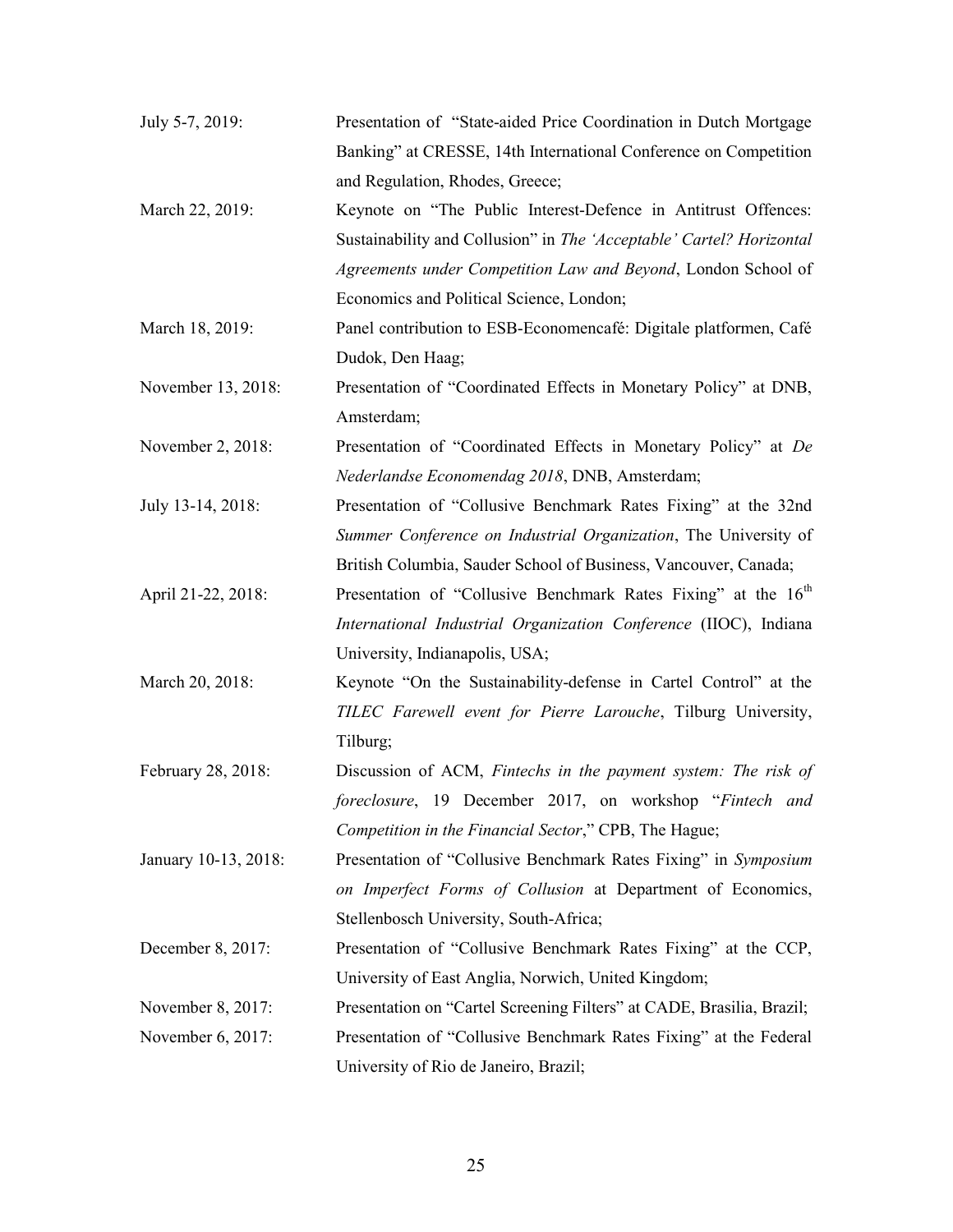| July 5-7, 2019:      | Presentation of "State-aided Price Coordination in Dutch Mortgage          |
|----------------------|----------------------------------------------------------------------------|
|                      | Banking" at CRESSE, 14th International Conference on Competition           |
|                      | and Regulation, Rhodes, Greece;                                            |
| March 22, 2019:      | Keynote on "The Public Interest-Defence in Antitrust Offences:             |
|                      | Sustainability and Collusion" in The 'Acceptable' Cartel? Horizontal       |
|                      | Agreements under Competition Law and Beyond, London School of              |
|                      | Economics and Political Science, London;                                   |
| March 18, 2019:      | Panel contribution to ESB-Economencafé: Digitale platformen, Café          |
|                      | Dudok, Den Haag;                                                           |
| November 13, 2018:   | Presentation of "Coordinated Effects in Monetary Policy" at DNB,           |
|                      | Amsterdam;                                                                 |
| November 2, 2018:    | Presentation of "Coordinated Effects in Monetary Policy" at De             |
|                      | Nederlandse Economendag 2018, DNB, Amsterdam;                              |
| July 13-14, 2018:    | Presentation of "Collusive Benchmark Rates Fixing" at the 32nd             |
|                      | Summer Conference on Industrial Organization, The University of            |
|                      | British Columbia, Sauder School of Business, Vancouver, Canada;            |
| April 21-22, 2018:   | Presentation of "Collusive Benchmark Rates Fixing" at the 16 <sup>th</sup> |
|                      | International Industrial Organization Conference (IIOC), Indiana           |
|                      | University, Indianapolis, USA;                                             |
| March 20, 2018:      | Keynote "On the Sustainability-defense in Cartel Control" at the           |
|                      | TILEC Farewell event for Pierre Larouche, Tilburg University,              |
|                      | Tilburg;                                                                   |
| February 28, 2018:   | Discussion of ACM, Fintechs in the payment system: The risk of             |
|                      | foreclosure, 19 December 2017, on workshop "Fintech and                    |
|                      | Competition in the Financial Sector," CPB, The Hague;                      |
| January 10-13, 2018: | Presentation of "Collusive Benchmark Rates Fixing" in Symposium            |
|                      | on Imperfect Forms of Collusion at Department of Economics,                |
|                      | Stellenbosch University, South-Africa;                                     |
| December 8, 2017:    | Presentation of "Collusive Benchmark Rates Fixing" at the CCP,             |
|                      | University of East Anglia, Norwich, United Kingdom;                        |
| November 8, 2017:    | Presentation on "Cartel Screening Filters" at CADE, Brasilia, Brazil;      |
| November 6, 2017:    | Presentation of "Collusive Benchmark Rates Fixing" at the Federal          |
|                      | University of Rio de Janeiro, Brazil;                                      |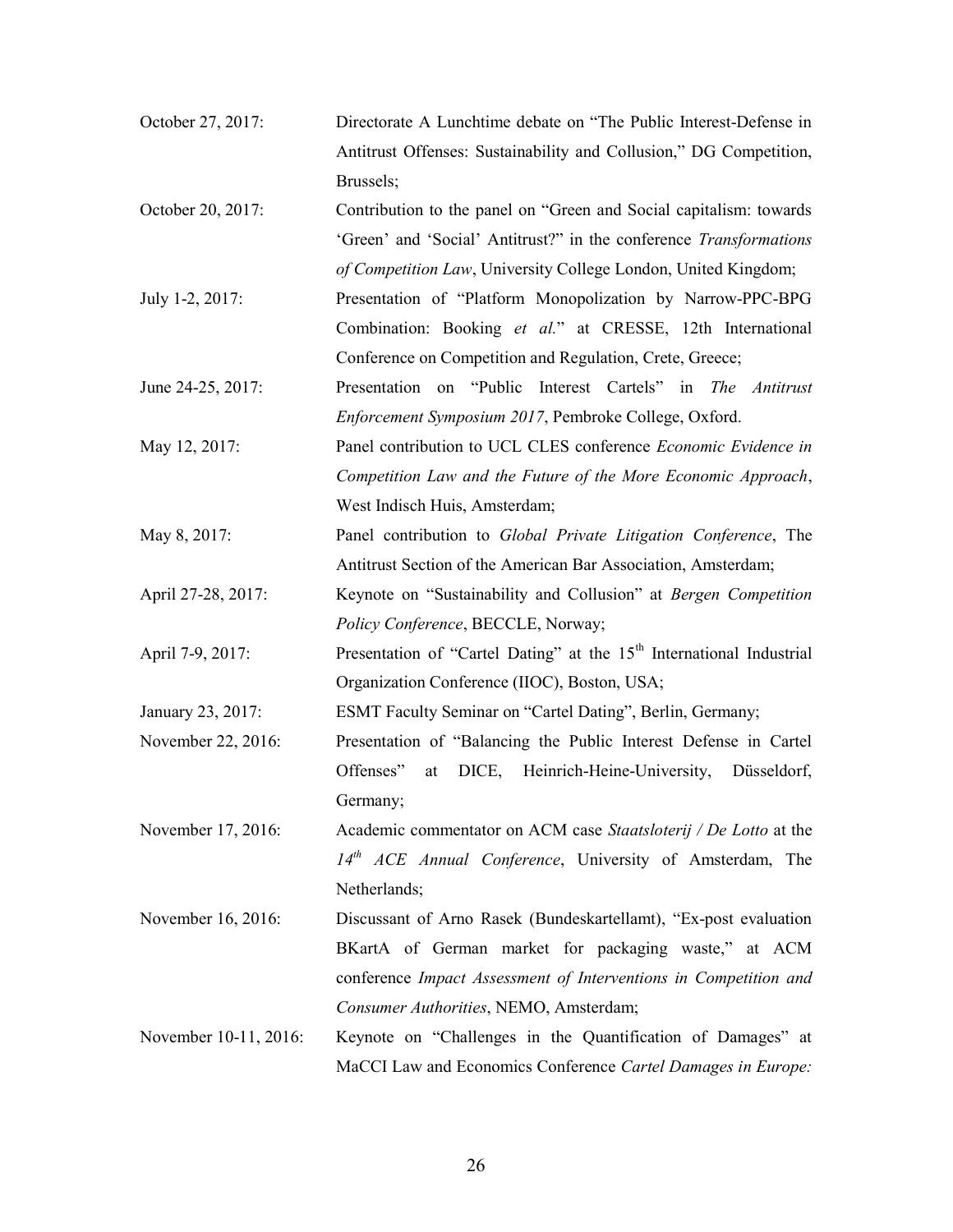| October 27, 2017:     | Directorate A Lunchtime debate on "The Public Interest-Defense in                |
|-----------------------|----------------------------------------------------------------------------------|
|                       | Antitrust Offenses: Sustainability and Collusion," DG Competition,               |
|                       | Brussels;                                                                        |
| October 20, 2017:     | Contribution to the panel on "Green and Social capitalism: towards               |
|                       | 'Green' and 'Social' Antitrust?" in the conference Transformations               |
|                       | of Competition Law, University College London, United Kingdom;                   |
| July 1-2, 2017:       | Presentation of "Platform Monopolization by Narrow-PPC-BPG                       |
|                       | Combination: Booking et al." at CRESSE, 12th International                       |
|                       | Conference on Competition and Regulation, Crete, Greece;                         |
| June 24-25, 2017:     | Presentation on "Public Interest Cartels" in The Antitrust                       |
|                       | Enforcement Symposium 2017, Pembroke College, Oxford.                            |
| May 12, 2017:         | Panel contribution to UCL CLES conference Economic Evidence in                   |
|                       | Competition Law and the Future of the More Economic Approach,                    |
|                       | West Indisch Huis, Amsterdam;                                                    |
| May 8, 2017:          | Panel contribution to Global Private Litigation Conference, The                  |
|                       | Antitrust Section of the American Bar Association, Amsterdam;                    |
| April 27-28, 2017:    | Keynote on "Sustainability and Collusion" at Bergen Competition                  |
|                       | Policy Conference, BECCLE, Norway;                                               |
| April 7-9, 2017:      | Presentation of "Cartel Dating" at the 15 <sup>th</sup> International Industrial |
|                       | Organization Conference (IIOC), Boston, USA;                                     |
| January 23, 2017:     | ESMT Faculty Seminar on "Cartel Dating", Berlin, Germany;                        |
| November 22, 2016:    | Presentation of "Balancing the Public Interest Defense in Cartel                 |
|                       | Offenses"<br>Heinrich-Heine-University,<br>DICE,<br>Düsseldorf,<br>at            |
|                       | Germany;                                                                         |
| November 17, 2016:    | Academic commentator on ACM case Staatsloterij / De Lotto at the                 |
|                       | $14th$ ACE Annual Conference, University of Amsterdam, The                       |
|                       | Netherlands;                                                                     |
| November 16, 2016:    | Discussant of Arno Rasek (Bundeskartellamt), "Ex-post evaluation                 |
|                       | BKartA of German market for packaging waste," at ACM                             |
|                       | conference Impact Assessment of Interventions in Competition and                 |
|                       | Consumer Authorities, NEMO, Amsterdam;                                           |
| November 10-11, 2016: | Keynote on "Challenges in the Quantification of Damages" at                      |
|                       | MaCCI Law and Economics Conference Cartel Damages in Europe:                     |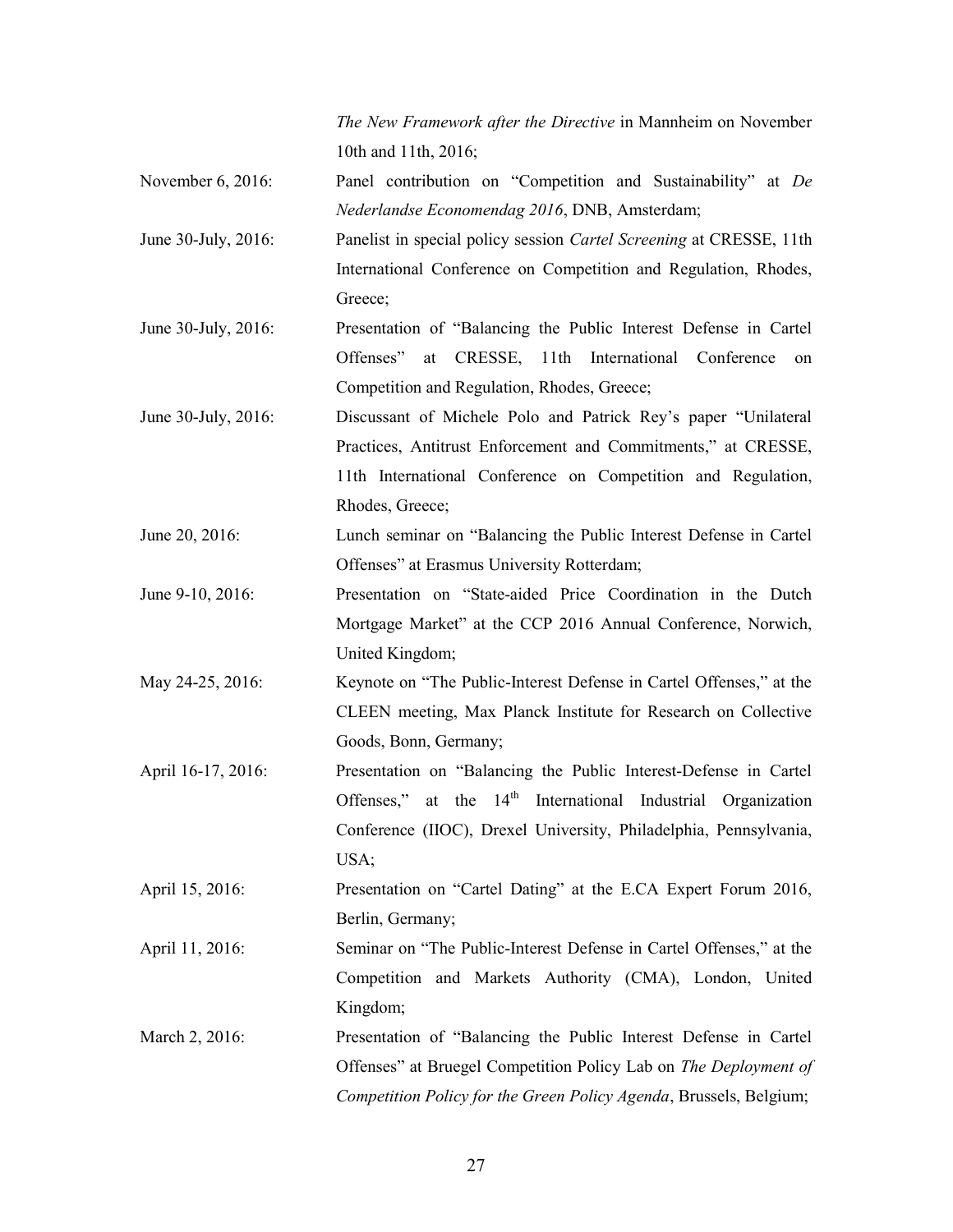The New Framework after the Directive in Mannheim on November 10th and 11th, 2016;

- November 6, 2016: Panel contribution on "Competition and Sustainability" at *De* Nederlandse Economendag 2016, DNB, Amsterdam;
- June 30-July, 2016: Panelist in special policy session *Cartel Screening* at CRESSE, 11th International Conference on Competition and Regulation, Rhodes, Greece:
- June 30-July, 2016: Presentation of "Balancing the Public Interest Defense in Cartel Offenses" at CRESSE, 11th International Conference on Competition and Regulation, Rhodes, Greece;
- June 30-July, 2016: Discussant of Michele Polo and Patrick Rey's paper "Unilateral Practices, Antitrust Enforcement and Commitments," at CRESSE, 11th International Conference on Competition and Regulation, Rhodes, Greece;
- June 20, 2016: Lunch seminar on "Balancing the Public Interest Defense in Cartel Offenses" at Erasmus University Rotterdam;
- June 9-10, 2016: Presentation on "State-aided Price Coordination in the Dutch Mortgage Market" at the CCP 2016 Annual Conference, Norwich, United Kingdom;
- May 24-25, 2016: Keynote on "The Public-Interest Defense in Cartel Offenses," at the CLEEN meeting, Max Planck Institute for Research on Collective Goods, Bonn, Germany;
- April 16-17, 2016: Presentation on "Balancing the Public Interest-Defense in Cartel Offenses," at the 14<sup>th</sup> International Industrial Organization Conference (IIOC), Drexel University, Philadelphia, Pennsylvania, USA;
- April 15, 2016: Presentation on "Cartel Dating" at the E.CA Expert Forum 2016, Berlin, Germany;
- April 11, 2016: Seminar on "The Public-Interest Defense in Cartel Offenses," at the Competition and Markets Authority (CMA), London, United Kingdom;
- March 2, 2016: Presentation of "Balancing the Public Interest Defense in Cartel Offenses" at Bruegel Competition Policy Lab on The Deployment of Competition Policy for the Green Policy Agenda, Brussels, Belgium;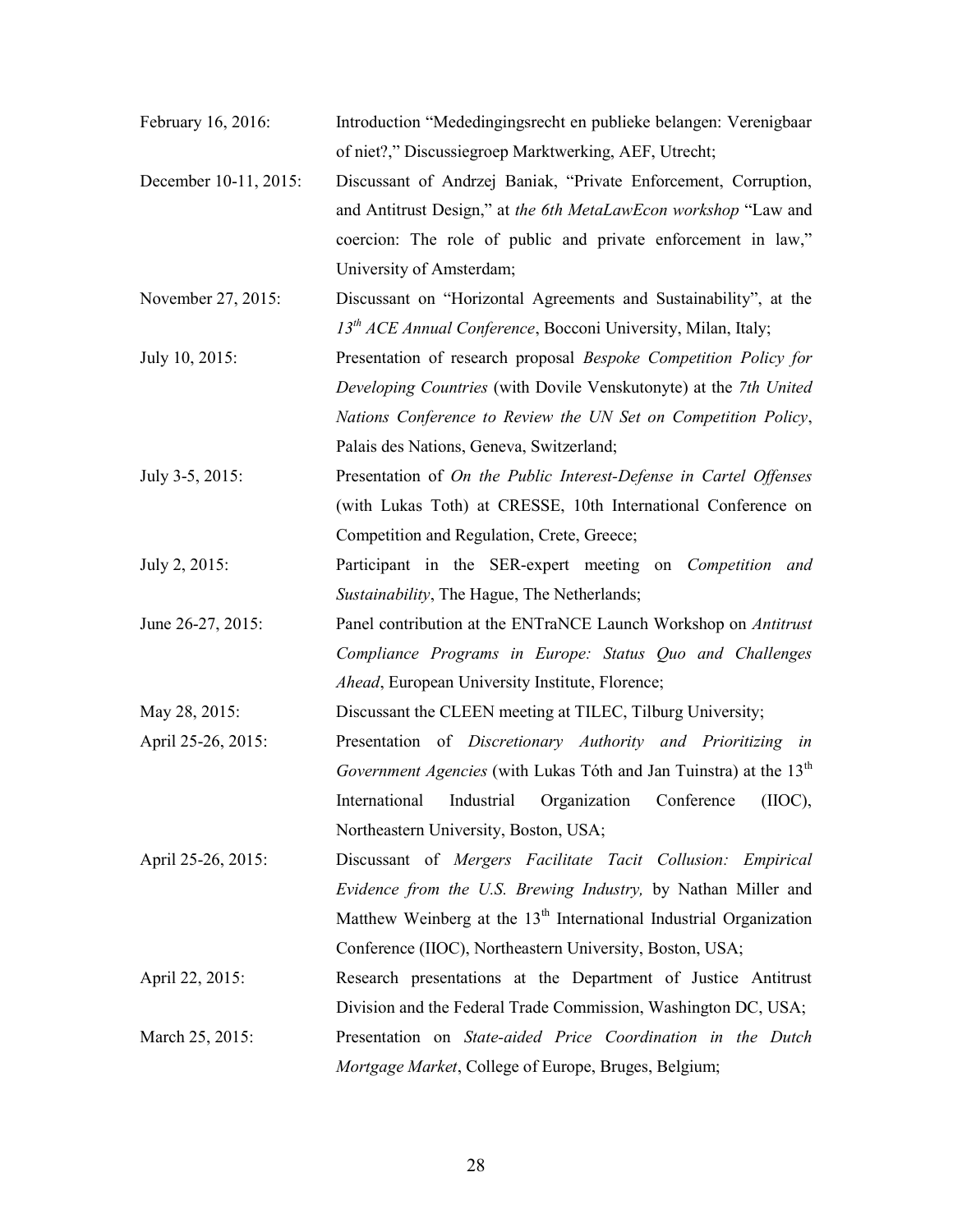- February 16, 2016: Introduction "Mededingingsrecht en publieke belangen: Verenigbaar of niet?," Discussiegroep Marktwerking, AEF, Utrecht;
- December 10-11, 2015: Discussant of Andrzej Baniak, "Private Enforcement, Corruption, and Antitrust Design," at the 6th MetaLawEcon workshop "Law and coercion: The role of public and private enforcement in law," University of Amsterdam;
- November 27, 2015: Discussant on "Horizontal Agreements and Sustainability", at the  $13<sup>th</sup> ACE Annual Conference$ , Bocconi University, Milan, Italy;
- July 10, 2015: Presentation of research proposal Bespoke Competition Policy for Developing Countries (with Dovile Venskutonyte) at the 7th United Nations Conference to Review the UN Set on Competition Policy, Palais des Nations, Geneva, Switzerland;
- July 3-5, 2015: Presentation of On the Public Interest-Defense in Cartel Offenses (with Lukas Toth) at CRESSE, 10th International Conference on Competition and Regulation, Crete, Greece;
- July 2, 2015: Participant in the SER-expert meeting on Competition and Sustainability, The Hague, The Netherlands;
- June 26-27, 2015: Panel contribution at the ENTraNCE Launch Workshop on Antitrust Compliance Programs in Europe: Status Quo and Challenges Ahead, European University Institute, Florence;

May 28, 2015: Discussant the CLEEN meeting at TILEC, Tilburg University;

- April 25-26, 2015: Presentation of Discretionary Authority and Prioritizing in Government Agencies (with Lukas Tóth and Jan Tuinstra) at the  $13<sup>th</sup>$ International Industrial Organization Conference (IIOC), Northeastern University, Boston, USA;
- April 25-26, 2015: Discussant of Mergers Facilitate Tacit Collusion: Empirical Evidence from the U.S. Brewing Industry, by Nathan Miller and Matthew Weinberg at the  $13<sup>th</sup>$  International Industrial Organization Conference (IIOC), Northeastern University, Boston, USA;
- April 22, 2015: Research presentations at the Department of Justice Antitrust Division and the Federal Trade Commission, Washington DC, USA; March 25, 2015: Presentation on State-aided Price Coordination in the Dutch Mortgage Market, College of Europe, Bruges, Belgium;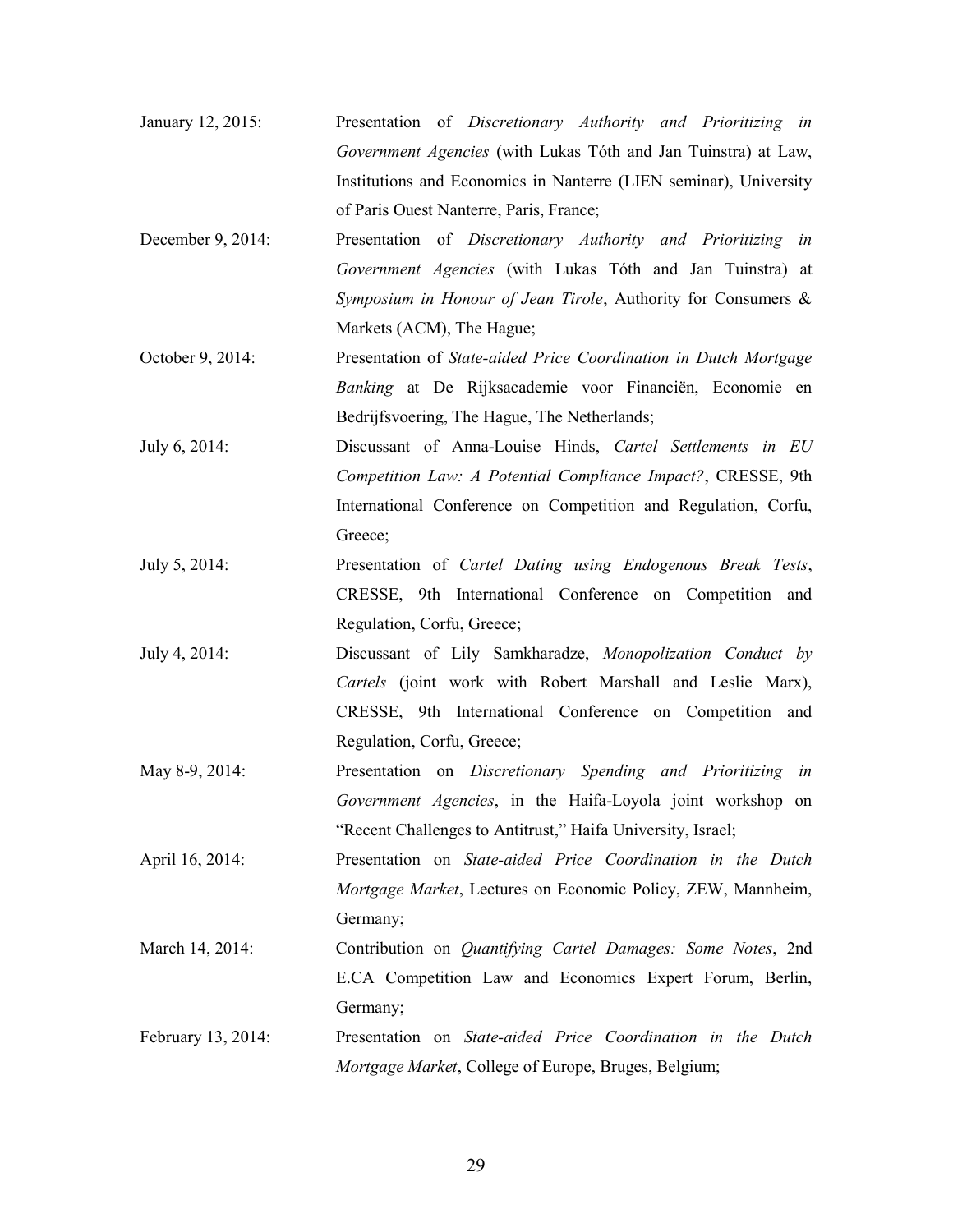- January 12, 2015: Presentation of Discretionary Authority and Prioritizing in Government Agencies (with Lukas Tóth and Jan Tuinstra) at Law, Institutions and Economics in Nanterre (LIEN seminar), University of Paris Ouest Nanterre, Paris, France;
- December 9, 2014: Presentation of Discretionary Authority and Prioritizing in Government Agencies (with Lukas Tóth and Jan Tuinstra) at Symposium in Honour of Jean Tirole, Authority for Consumers & Markets (ACM), The Hague;
- October 9, 2014: Presentation of State-aided Price Coordination in Dutch Mortgage Banking at De Rijksacademie voor Financiën, Economie en Bedrijfsvoering, The Hague, The Netherlands;
- July 6, 2014: Discussant of Anna-Louise Hinds, Cartel Settlements in EU Competition Law: A Potential Compliance Impact?, CRESSE, 9th International Conference on Competition and Regulation, Corfu, Greece;
- July 5, 2014: Presentation of Cartel Dating using Endogenous Break Tests, CRESSE, 9th International Conference on Competition and Regulation, Corfu, Greece;
- July 4, 2014: Discussant of Lily Samkharadze, Monopolization Conduct by Cartels (joint work with Robert Marshall and Leslie Marx), CRESSE, 9th International Conference on Competition and Regulation, Corfu, Greece;
- May 8-9, 2014: Presentation on Discretionary Spending and Prioritizing in Government Agencies, in the Haifa-Loyola joint workshop on "Recent Challenges to Antitrust," Haifa University, Israel;
- April 16, 2014: Presentation on State-aided Price Coordination in the Dutch Mortgage Market, Lectures on Economic Policy, ZEW, Mannheim, Germany;
- March 14, 2014: Contribution on *Quantifying Cartel Damages: Some Notes*, 2nd E.CA Competition Law and Economics Expert Forum, Berlin, Germany;
- February 13, 2014: Presentation on State-aided Price Coordination in the Dutch Mortgage Market, College of Europe, Bruges, Belgium;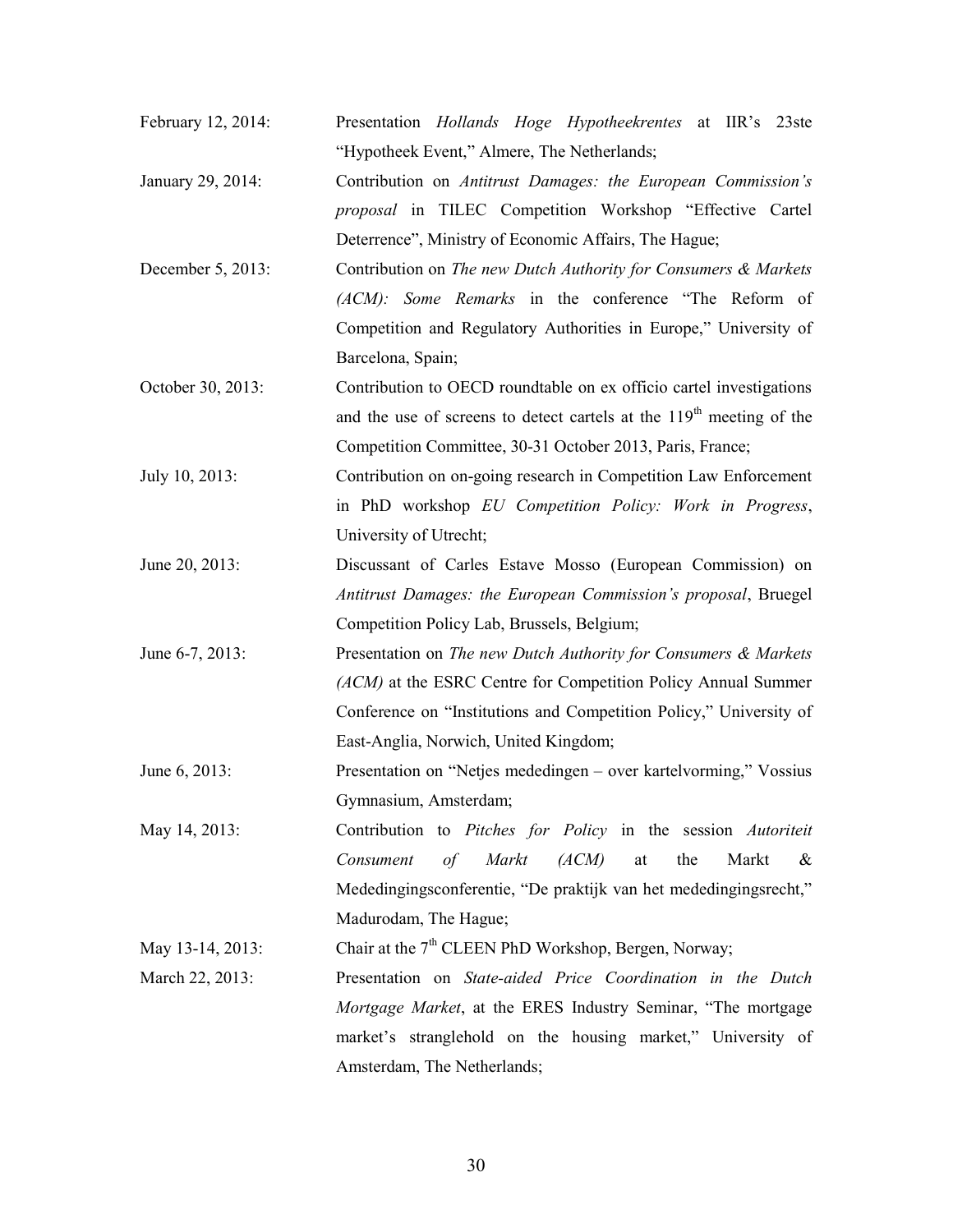- February 12, 2014: Presentation Hollands Hoge Hypotheekrentes at IIR's 23ste "Hypotheek Event," Almere, The Netherlands;
- January 29, 2014: Contribution on Antitrust Damages: the European Commission's proposal in TILEC Competition Workshop "Effective Cartel Deterrence", Ministry of Economic Affairs, The Hague;
- December 5, 2013: Contribution on The new Dutch Authority for Consumers & Markets (ACM): Some Remarks in the conference "The Reform of Competition and Regulatory Authorities in Europe," University of Barcelona, Spain;
- October 30, 2013: Contribution to OECD roundtable on ex officio cartel investigations and the use of screens to detect cartels at the  $119<sup>th</sup>$  meeting of the Competition Committee, 30-31 October 2013, Paris, France;
- July 10, 2013: Contribution on on-going research in Competition Law Enforcement in PhD workshop EU Competition Policy: Work in Progress, University of Utrecht;
- June 20, 2013: Discussant of Carles Estave Mosso (European Commission) on Antitrust Damages: the European Commission's proposal, Bruegel Competition Policy Lab, Brussels, Belgium;
- June 6-7, 2013: Presentation on The new Dutch Authority for Consumers & Markets (ACM) at the ESRC Centre for Competition Policy Annual Summer Conference on "Institutions and Competition Policy," University of East-Anglia, Norwich, United Kingdom;
- June 6, 2013: Presentation on "Netjes mededingen over kartelvorming," Vossius Gymnasium, Amsterdam;
- May 14, 2013: Contribution to Pitches for Policy in the session Autoriteit Consument of Markt (ACM) at the Markt & Mededingingsconferentie, "De praktijk van het mededingingsrecht," Madurodam, The Hague;

May 13-14, 2013: Chair at the  $7<sup>th</sup>$  CLEEN PhD Workshop, Bergen, Norway;

March 22, 2013: Presentation on State-aided Price Coordination in the Dutch Mortgage Market, at the ERES Industry Seminar, "The mortgage market's stranglehold on the housing market," University of Amsterdam, The Netherlands;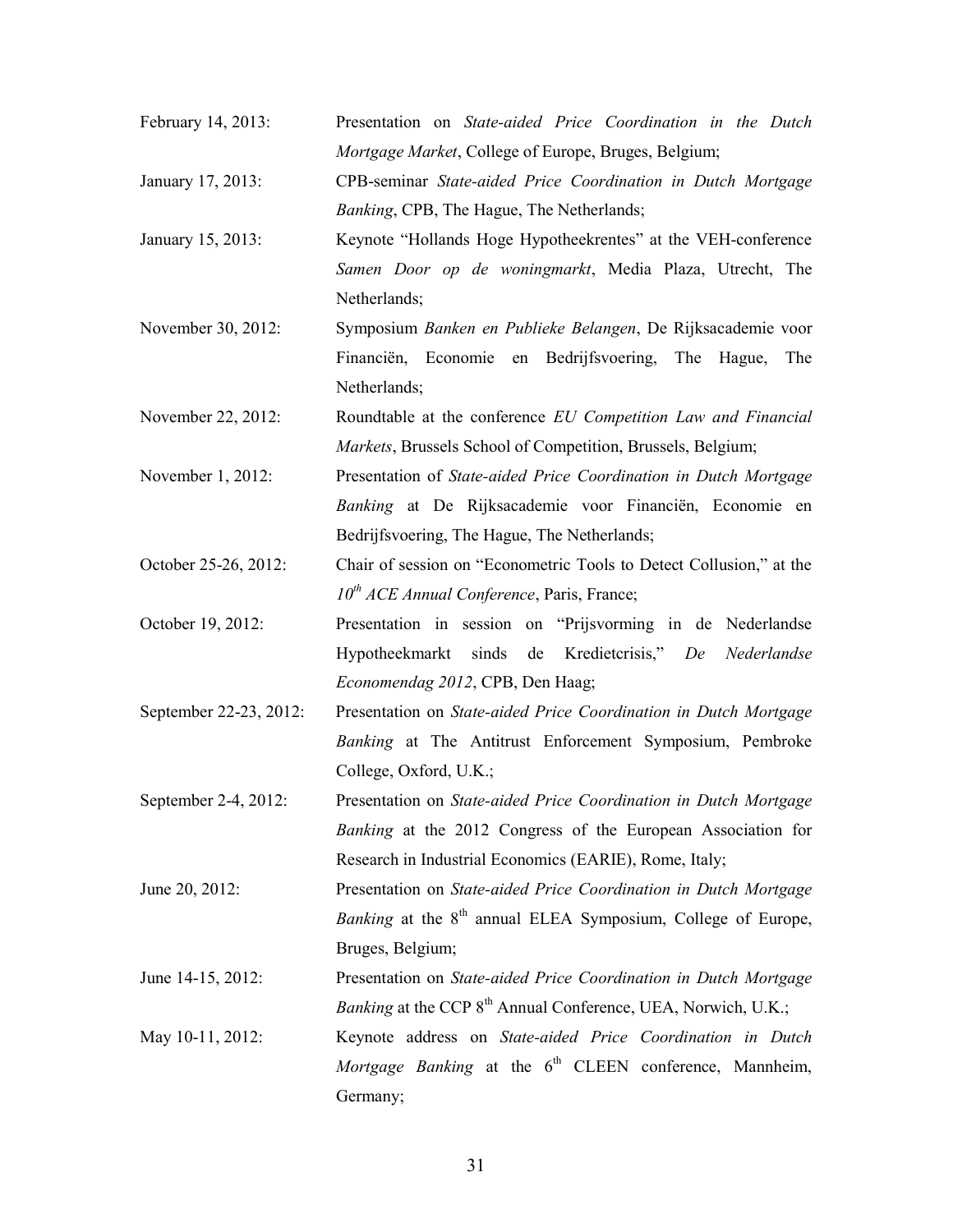- February 14, 2013: Presentation on State-aided Price Coordination in the Dutch Mortgage Market, College of Europe, Bruges, Belgium;
- January 17, 2013: CPB-seminar State-aided Price Coordination in Dutch Mortgage Banking, CPB, The Hague, The Netherlands;
- January 15, 2013: Keynote "Hollands Hoge Hypotheekrentes" at the VEH-conference Samen Door op de woningmarkt, Media Plaza, Utrecht, The Netherlands;
- November 30, 2012: Symposium Banken en Publieke Belangen, De Rijksacademie voor Financiën, Economie en Bedrijfsvoering, The Hague, The Netherlands;
- November 22, 2012: Roundtable at the conference *EU Competition Law and Financial* Markets, Brussels School of Competition, Brussels, Belgium;
- November 1, 2012: Presentation of State-aided Price Coordination in Dutch Mortgage Banking at De Rijksacademie voor Financiën, Economie en Bedrijfsvoering, The Hague, The Netherlands;
- October 25-26, 2012: Chair of session on "Econometric Tools to Detect Collusion," at the  $10^{th}$  ACE Annual Conference, Paris, France;
- October 19, 2012: Presentation in session on "Prijsvorming in de Nederlandse Hypotheekmarkt sinds de Kredietcrisis," De Nederlandse Economendag 2012, CPB, Den Haag;
- September 22-23, 2012: Presentation on State-aided Price Coordination in Dutch Mortgage Banking at The Antitrust Enforcement Symposium, Pembroke College, Oxford, U.K.;
- September 2-4, 2012: Presentation on State-aided Price Coordination in Dutch Mortgage Banking at the 2012 Congress of the European Association for Research in Industrial Economics (EARIE), Rome, Italy;
- June 20, 2012: Presentation on State-aided Price Coordination in Dutch Mortgage *Banking* at the  $8<sup>th</sup>$  annual ELEA Symposium, College of Europe, Bruges, Belgium;
- June 14-15, 2012: Presentation on State-aided Price Coordination in Dutch Mortgage Banking at the CCP  $8<sup>th</sup>$  Annual Conference, UEA, Norwich, U.K.;
- May 10-11, 2012: Keynote address on State-aided Price Coordination in Dutch Mortgage Banking at the  $6<sup>th</sup>$  CLEEN conference, Mannheim, Germany;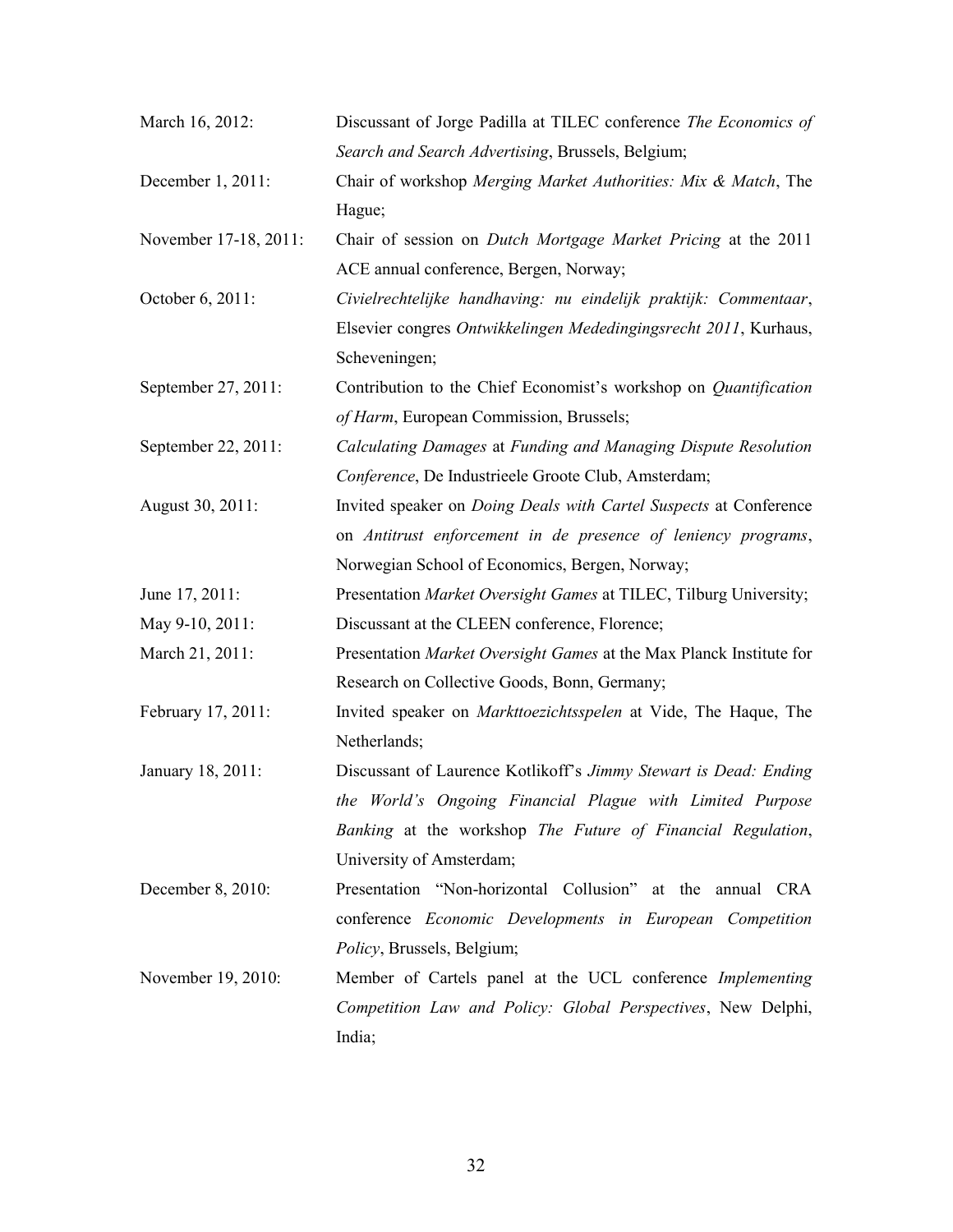| March 16, 2012:       | Discussant of Jorge Padilla at TILEC conference The Economics of         |
|-----------------------|--------------------------------------------------------------------------|
|                       | Search and Search Advertising, Brussels, Belgium;                        |
| December 1, 2011:     | Chair of workshop Merging Market Authorities: Mix & Match, The           |
|                       | Hague;                                                                   |
| November 17-18, 2011: | Chair of session on <i>Dutch Mortgage Market Pricing</i> at the 2011     |
|                       | ACE annual conference, Bergen, Norway;                                   |
| October 6, 2011:      | Civielrechtelijke handhaving: nu eindelijk praktijk: Commentaar,         |
|                       | Elsevier congres Ontwikkelingen Mededingingsrecht 2011, Kurhaus,         |
|                       | Scheveningen;                                                            |
| September 27, 2011:   | Contribution to the Chief Economist's workshop on Quantification         |
|                       | of Harm, European Commission, Brussels;                                  |
| September 22, 2011:   | Calculating Damages at Funding and Managing Dispute Resolution           |
|                       | Conference, De Industrieele Groote Club, Amsterdam;                      |
| August 30, 2011:      | Invited speaker on <i>Doing Deals with Cartel Suspects</i> at Conference |
|                       | on Antitrust enforcement in de presence of leniency programs,            |
|                       | Norwegian School of Economics, Bergen, Norway;                           |
| June 17, 2011:        | Presentation Market Oversight Games at TILEC, Tilburg University;        |
| May 9-10, 2011:       | Discussant at the CLEEN conference, Florence;                            |
| March 21, 2011:       | Presentation Market Oversight Games at the Max Planck Institute for      |
|                       | Research on Collective Goods, Bonn, Germany;                             |
| February 17, 2011:    | Invited speaker on <i>Markttoezichtsspelen</i> at Vide, The Haque, The   |
|                       | Netherlands;                                                             |
| January 18, 2011:     | Discussant of Laurence Kotlikoff's Jimmy Stewart is Dead: Ending         |
|                       | the World's Ongoing Financial Plague with Limited Purpose                |
|                       | Banking at the workshop The Future of Financial Regulation,              |
|                       | University of Amsterdam;                                                 |
| December 8, 2010:     | Presentation "Non-horizontal Collusion" at the annual CRA                |
|                       | conference <i>Economic</i> Developments in European Competition          |
|                       | Policy, Brussels, Belgium;                                               |
| November 19, 2010:    | Member of Cartels panel at the UCL conference Implementing               |
|                       | Competition Law and Policy: Global Perspectives, New Delphi,             |
|                       | India;                                                                   |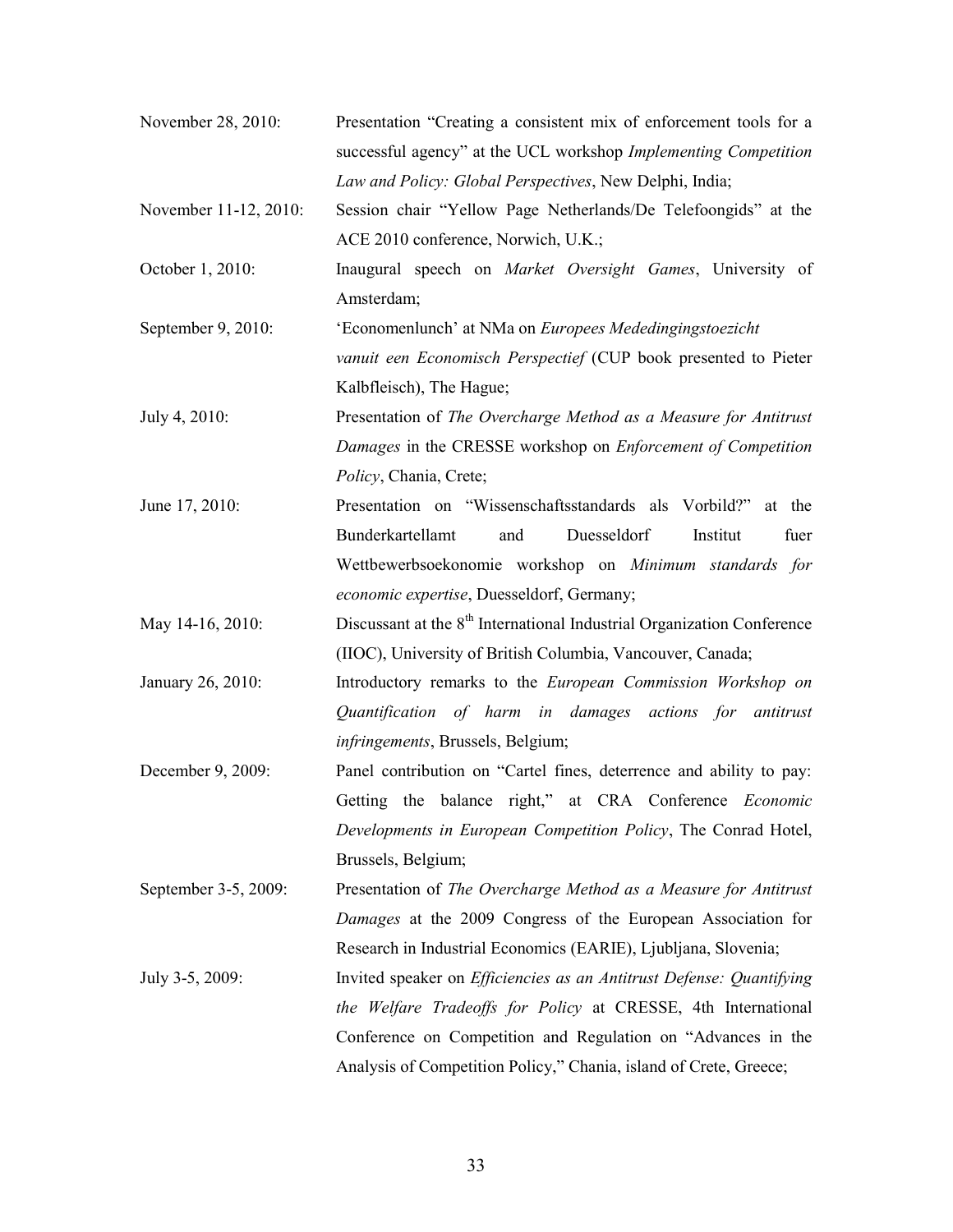| November 28, 2010:    | Presentation "Creating a consistent mix of enforcement tools for a                 |
|-----------------------|------------------------------------------------------------------------------------|
|                       | successful agency" at the UCL workshop Implementing Competition                    |
|                       | Law and Policy: Global Perspectives, New Delphi, India;                            |
| November 11-12, 2010: | Session chair "Yellow Page Netherlands/De Telefoongids" at the                     |
|                       | ACE 2010 conference, Norwich, U.K.;                                                |
| October 1, 2010:      | Inaugural speech on Market Oversight Games, University of                          |
|                       | Amsterdam;                                                                         |
| September 9, 2010:    | 'Economenlunch' at NMa on Europees Mededingingstoezicht                            |
|                       | vanuit een Economisch Perspectief (CUP book presented to Pieter                    |
|                       | Kalbfleisch), The Hague;                                                           |
| July 4, 2010:         | Presentation of The Overcharge Method as a Measure for Antitrust                   |
|                       | Damages in the CRESSE workshop on Enforcement of Competition                       |
|                       | Policy, Chania, Crete;                                                             |
| June 17, 2010:        | Presentation on "Wissenschaftsstandards als Vorbild?"<br>at the                    |
|                       | Bunderkartellamt<br>Duesseldorf<br>Institut<br>fuer<br>and                         |
|                       | Wettbewerbsoekonomie workshop on Minimum standards for                             |
|                       | economic expertise, Duesseldorf, Germany;                                          |
| May 14-16, 2010:      | Discussant at the 8 <sup>th</sup> International Industrial Organization Conference |
|                       | (IIOC), University of British Columbia, Vancouver, Canada;                         |
| January 26, 2010:     | Introductory remarks to the European Commission Workshop on                        |
|                       | Quantification of harm in damages actions for antitrust                            |
|                       | infringements, Brussels, Belgium;                                                  |
| December 9, 2009:     | Panel contribution on "Cartel fines, deterrence and ability to pay:                |
|                       | Getting the balance right," at CRA Conference Economic                             |
|                       | Developments in European Competition Policy, The Conrad Hotel,                     |
|                       | Brussels, Belgium;                                                                 |
| September 3-5, 2009:  | Presentation of The Overcharge Method as a Measure for Antitrust                   |
|                       | Damages at the 2009 Congress of the European Association for                       |
|                       | Research in Industrial Economics (EARIE), Ljubljana, Slovenia;                     |
| July 3-5, 2009:       | Invited speaker on <i>Efficiencies as an Antitrust Defense: Quantifying</i>        |
|                       | the Welfare Tradeoffs for Policy at CRESSE, 4th International                      |
|                       | Conference on Competition and Regulation on "Advances in the                       |
|                       | Analysis of Competition Policy," Chania, island of Crete, Greece;                  |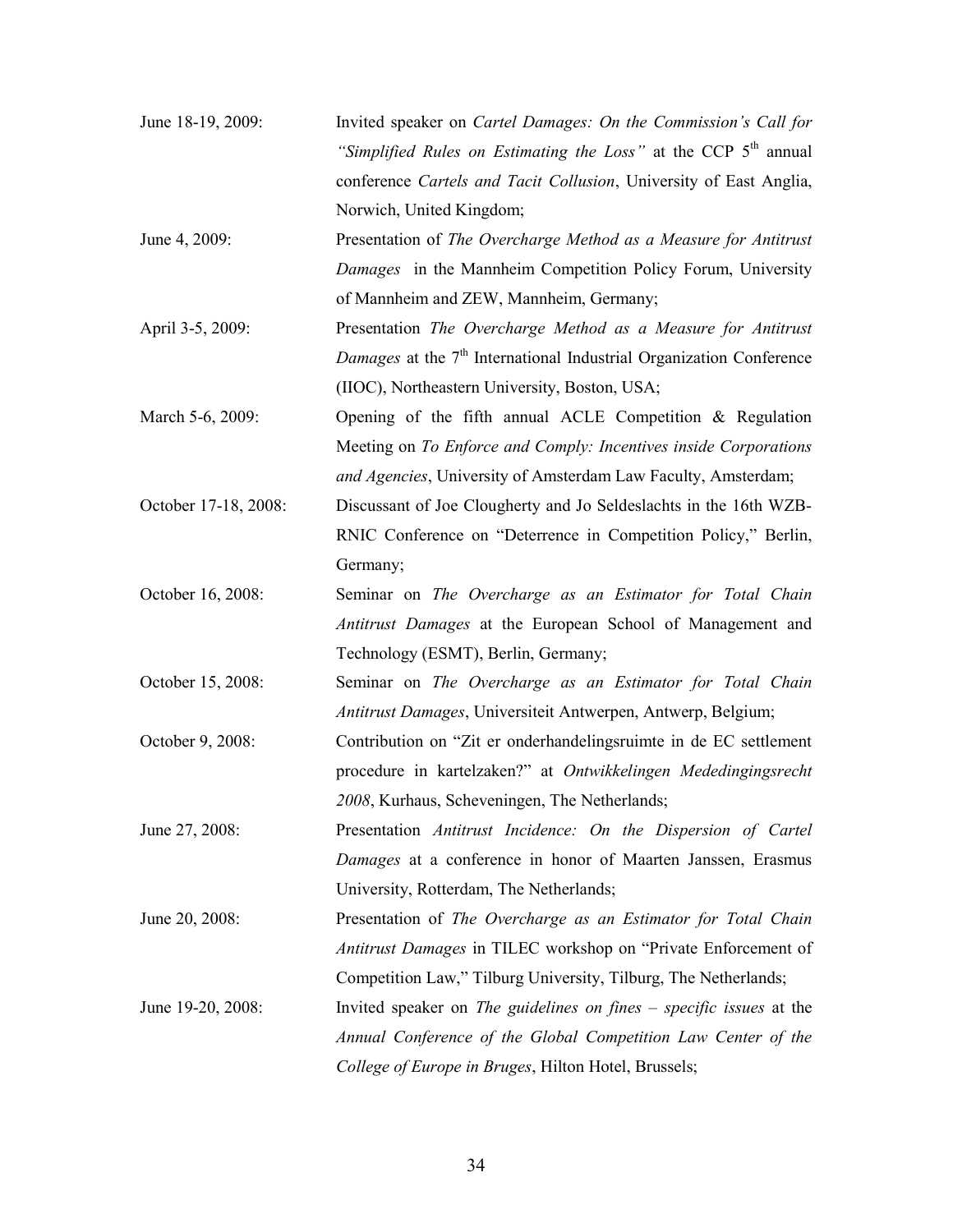| June 18-19, 2009:    | Invited speaker on <i>Cartel Damages: On the Commission's Call for</i>          |
|----------------------|---------------------------------------------------------------------------------|
|                      | "Simplified Rules on Estimating the Loss" at the CCP 5 <sup>th</sup> annual     |
|                      | conference Cartels and Tacit Collusion, University of East Anglia,              |
|                      | Norwich, United Kingdom;                                                        |
| June 4, 2009:        | Presentation of The Overcharge Method as a Measure for Antitrust                |
|                      | Damages in the Mannheim Competition Policy Forum, University                    |
|                      | of Mannheim and ZEW, Mannheim, Germany;                                         |
| April 3-5, 2009:     | Presentation The Overcharge Method as a Measure for Antitrust                   |
|                      | Damages at the 7 <sup>th</sup> International Industrial Organization Conference |
|                      | (IIOC), Northeastern University, Boston, USA;                                   |
| March 5-6, 2009:     | Opening of the fifth annual ACLE Competition & Regulation                       |
|                      | Meeting on To Enforce and Comply: Incentives inside Corporations                |
|                      | and Agencies, University of Amsterdam Law Faculty, Amsterdam;                   |
| October 17-18, 2008: | Discussant of Joe Clougherty and Jo Seldeslachts in the 16th WZB-               |
|                      | RNIC Conference on "Deterrence in Competition Policy," Berlin,                  |
|                      | Germany;                                                                        |
| October 16, 2008:    | Seminar on The Overcharge as an Estimator for Total Chain                       |
|                      | Antitrust Damages at the European School of Management and                      |
|                      | Technology (ESMT), Berlin, Germany;                                             |
| October 15, 2008:    | Seminar on The Overcharge as an Estimator for Total Chain                       |
|                      | Antitrust Damages, Universiteit Antwerpen, Antwerp, Belgium;                    |
| October 9, 2008:     | Contribution on "Zit er onderhandelingsruimte in de EC settlement               |
|                      | procedure in kartelzaken?" at Ontwikkelingen Mededingingsrecht                  |
|                      | 2008, Kurhaus, Scheveningen, The Netherlands;                                   |
| June 27, 2008:       | Presentation Antitrust Incidence: On the Dispersion of Cartel                   |
|                      | Damages at a conference in honor of Maarten Janssen, Erasmus                    |
|                      | University, Rotterdam, The Netherlands;                                         |
| June 20, 2008:       | Presentation of The Overcharge as an Estimator for Total Chain                  |
|                      | Antitrust Damages in TILEC workshop on "Private Enforcement of                  |
|                      | Competition Law," Tilburg University, Tilburg, The Netherlands;                 |
| June 19-20, 2008:    | Invited speaker on The guidelines on fines $-$ specific issues at the           |
|                      | Annual Conference of the Global Competition Law Center of the                   |
|                      | College of Europe in Bruges, Hilton Hotel, Brussels;                            |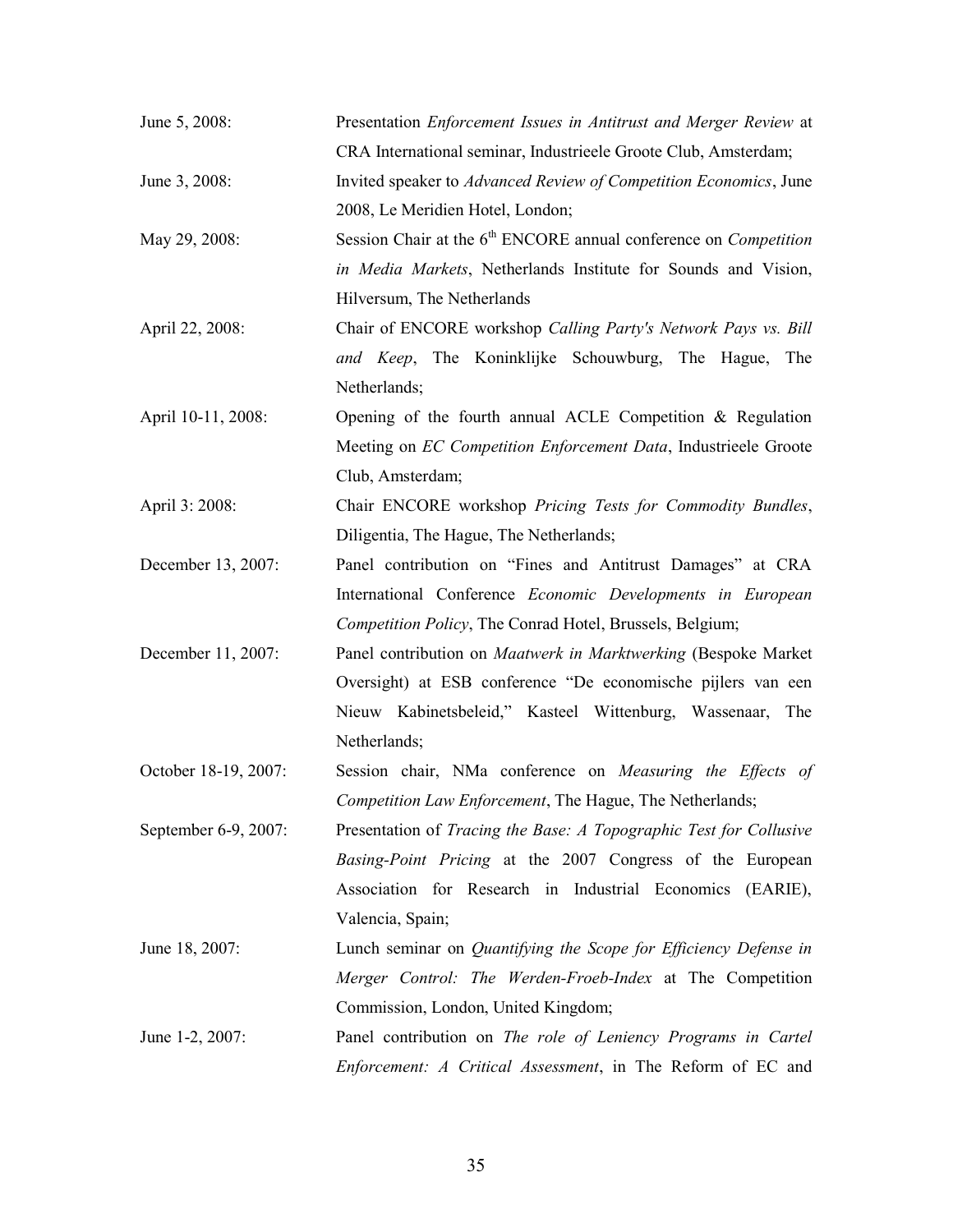| June 5, 2008:        | Presentation Enforcement Issues in Antitrust and Merger Review at         |
|----------------------|---------------------------------------------------------------------------|
|                      | CRA International seminar, Industrieele Groote Club, Amsterdam;           |
| June 3, 2008:        | Invited speaker to Advanced Review of Competition Economics, June         |
|                      | 2008, Le Meridien Hotel, London;                                          |
| May 29, 2008:        | Session Chair at the $6th$ ENCORE annual conference on <i>Competition</i> |
|                      | in Media Markets, Netherlands Institute for Sounds and Vision,            |
|                      | Hilversum, The Netherlands                                                |
| April 22, 2008:      | Chair of ENCORE workshop Calling Party's Network Pays vs. Bill            |
|                      | and Keep, The Koninklijke Schouwburg, The Hague, The                      |
|                      | Netherlands;                                                              |
| April 10-11, 2008:   | Opening of the fourth annual ACLE Competition $\&$ Regulation             |
|                      | Meeting on EC Competition Enforcement Data, Industrieele Groote           |
|                      | Club, Amsterdam;                                                          |
| April 3: 2008:       | Chair ENCORE workshop Pricing Tests for Commodity Bundles,                |
|                      | Diligentia, The Hague, The Netherlands;                                   |
| December 13, 2007:   | Panel contribution on "Fines and Antitrust Damages" at CRA                |
|                      | International Conference Economic Developments in European                |
|                      | Competition Policy, The Conrad Hotel, Brussels, Belgium;                  |
| December 11, 2007:   | Panel contribution on Maatwerk in Marktwerking (Bespoke Market            |
|                      | Oversight) at ESB conference "De economische pijlers van een              |
|                      | Nieuw Kabinetsbeleid," Kasteel Wittenburg, Wassenaar, The                 |
|                      | Netherlands;                                                              |
| October 18-19, 2007: | Session chair, NMa conference on Measuring the Effects of                 |
|                      | Competition Law Enforcement, The Hague, The Netherlands;                  |
| September 6-9, 2007: | Presentation of Tracing the Base: A Topographic Test for Collusive        |
|                      | Basing-Point Pricing at the 2007 Congress of the European                 |
|                      | Association for Research in Industrial Economics (EARIE),                 |
|                      | Valencia, Spain;                                                          |
| June 18, 2007:       | Lunch seminar on Quantifying the Scope for Efficiency Defense in          |
|                      | Merger Control: The Werden-Froeb-Index at The Competition                 |
|                      | Commission, London, United Kingdom;                                       |
| June 1-2, 2007:      | Panel contribution on The role of Leniency Programs in Cartel             |
|                      | Enforcement: A Critical Assessment, in The Reform of EC and               |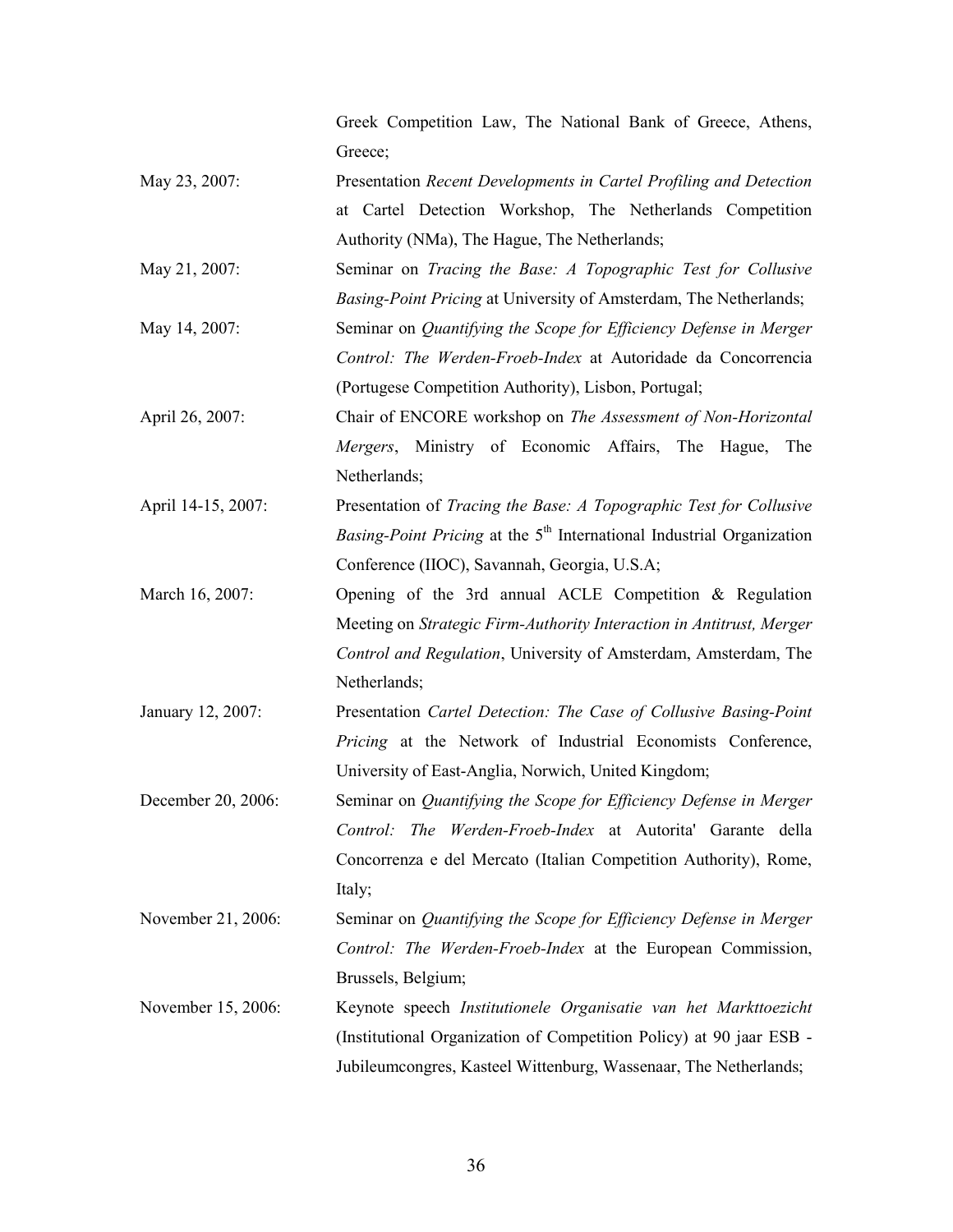Greek Competition Law, The National Bank of Greece, Athens, Greece;

- May 23, 2007: Presentation *Recent Developments in Cartel Profiling and Detection* at Cartel Detection Workshop, The Netherlands Competition Authority (NMa), The Hague, The Netherlands;
- May 21, 2007: Seminar on *Tracing the Base: A Topographic Test for Collusive* Basing-Point Pricing at University of Amsterdam, The Netherlands; May 14, 2007: Seminar on *Quantifying the Scope for Efficiency Defense in Merger* Control: The Werden-Froeb-Index at Autoridade da Concorrencia (Portugese Competition Authority), Lisbon, Portugal;
- April 26, 2007: Chair of ENCORE workshop on *The Assessment of Non-Horizontal* Mergers, Ministry of Economic Affairs, The Hague, The Netherlands;
- April 14-15, 2007: Presentation of *Tracing the Base: A Topographic Test for Collusive* Basing-Point Pricing at the 5<sup>th</sup> International Industrial Organization Conference (IIOC), Savannah, Georgia, U.S.A;
- March 16, 2007: Opening of the 3rd annual ACLE Competition & Regulation Meeting on Strategic Firm-Authority Interaction in Antitrust, Merger Control and Regulation, University of Amsterdam, Amsterdam, The Netherlands;
- January 12, 2007: Presentation Cartel Detection: The Case of Collusive Basing-Point Pricing at the Network of Industrial Economists Conference, University of East-Anglia, Norwich, United Kingdom;
- December 20, 2006: Seminar on *Quantifying the Scope for Efficiency Defense in Merger* Control: The Werden-Froeb-Index at Autorita' Garante della Concorrenza e del Mercato (Italian Competition Authority), Rome, Italy;
- November 21, 2006: Seminar on *Quantifying the Scope for Efficiency Defense in Merger* Control: The Werden-Froeb-Index at the European Commission, Brussels, Belgium;
- November 15, 2006: Keynote speech Institutionele Organisatie van het Markttoezicht (Institutional Organization of Competition Policy) at 90 jaar ESB - Jubileumcongres, Kasteel Wittenburg, Wassenaar, The Netherlands;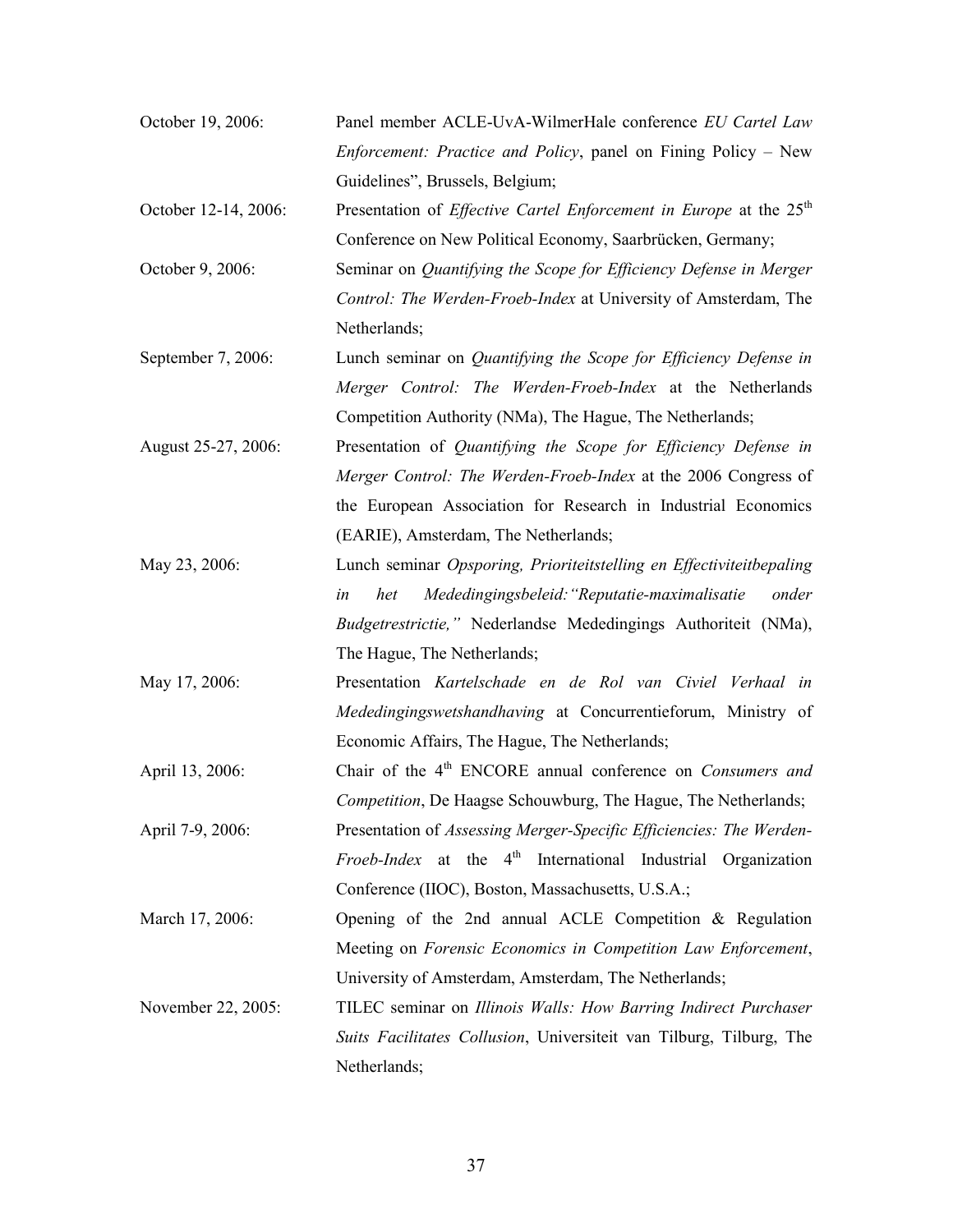| October 19, 2006:    | Panel member ACLE-UvA-WilmerHale conference EU Cartel Law                   |
|----------------------|-----------------------------------------------------------------------------|
|                      | <i>Enforcement: Practice and Policy, panel on Fining Policy – New</i>       |
|                      | Guidelines", Brussels, Belgium;                                             |
| October 12-14, 2006: | Presentation of <i>Effective Cartel Enforcement in Europe</i> at the $25th$ |
|                      | Conference on New Political Economy, Saarbrücken, Germany;                  |
| October 9, 2006:     | Seminar on Quantifying the Scope for Efficiency Defense in Merger           |
|                      | Control: The Werden-Froeb-Index at University of Amsterdam, The             |
|                      | Netherlands;                                                                |
| September 7, 2006:   | Lunch seminar on Quantifying the Scope for Efficiency Defense in            |
|                      | Merger Control: The Werden-Froeb-Index at the Netherlands                   |
|                      | Competition Authority (NMa), The Hague, The Netherlands;                    |
| August 25-27, 2006:  | Presentation of Quantifying the Scope for Efficiency Defense in             |
|                      | Merger Control: The Werden-Froeb-Index at the 2006 Congress of              |
|                      | the European Association for Research in Industrial Economics               |
|                      | (EARIE), Amsterdam, The Netherlands;                                        |
| May 23, 2006:        | Lunch seminar Opsporing, Prioriteitstelling en Effectiviteitbepaling        |
|                      | Mededingingsbeleid: "Reputatie-maximalisatie<br>in<br>het<br>onder          |
|                      | Budgetrestrictie," Nederlandse Mededingings Authoriteit (NMa),              |
|                      | The Hague, The Netherlands;                                                 |
| May 17, 2006:        | Presentation Kartelschade en de Rol van Civiel Verhaal in                   |
|                      | Mededingingswetshandhaving at Concurrentieforum, Ministry of                |
|                      | Economic Affairs, The Hague, The Netherlands;                               |
| April 13, 2006:      | Chair of the 4 <sup>th</sup> ENCORE annual conference on Consumers and      |
|                      | Competition, De Haagse Schouwburg, The Hague, The Netherlands;              |
| April 7-9, 2006:     | Presentation of Assessing Merger-Specific Efficiencies: The Werden-         |
|                      | <i>Froeb-Index</i> at the $4th$ International Industrial Organization       |
|                      | Conference (IIOC), Boston, Massachusetts, U.S.A.;                           |
| March 17, 2006:      | Opening of the 2nd annual ACLE Competition $\&$ Regulation                  |
|                      | Meeting on Forensic Economics in Competition Law Enforcement,               |
|                      | University of Amsterdam, Amsterdam, The Netherlands;                        |
| November 22, 2005:   | TILEC seminar on Illinois Walls: How Barring Indirect Purchaser             |
|                      | Suits Facilitates Collusion, Universiteit van Tilburg, Tilburg, The         |
|                      | Netherlands;                                                                |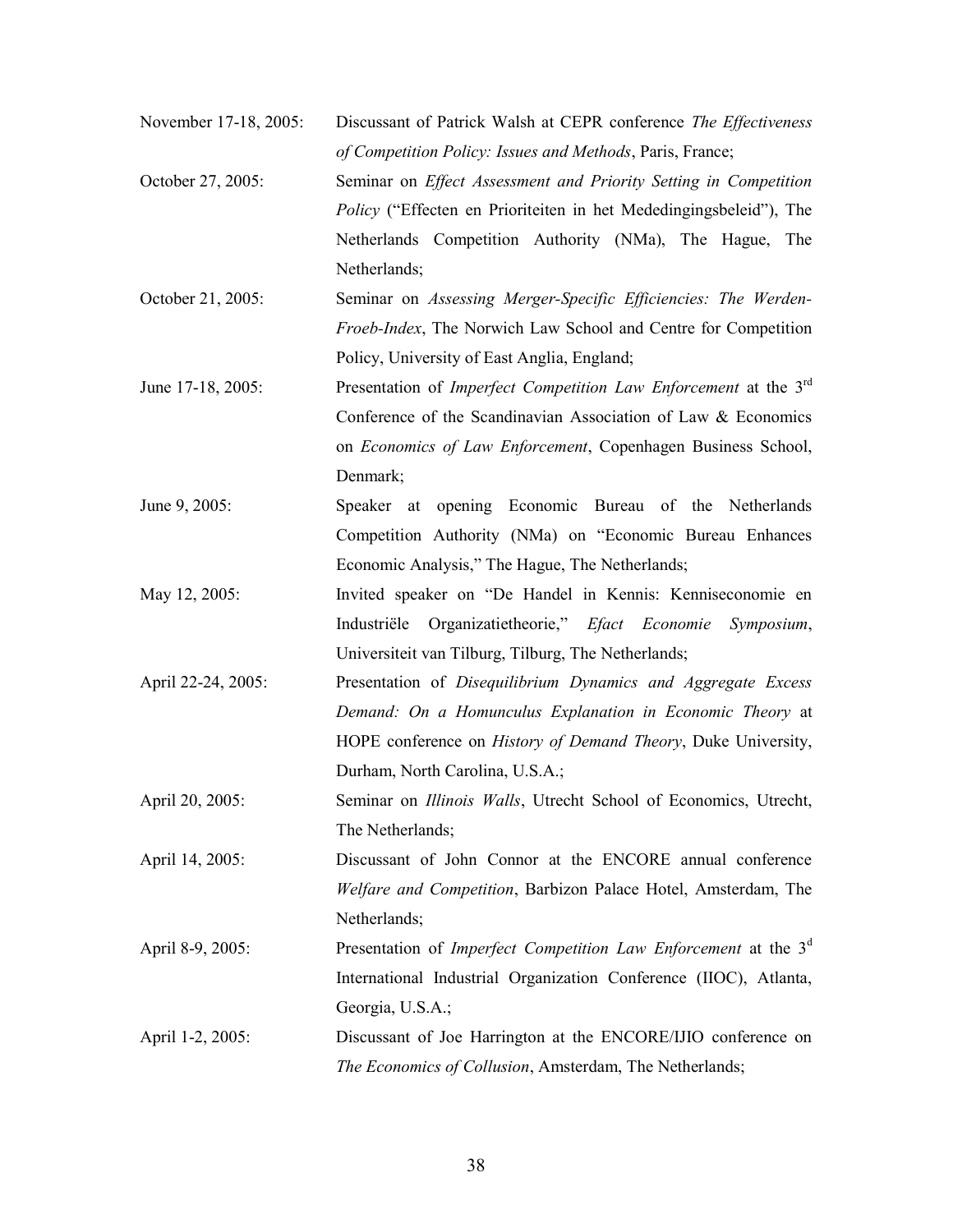| November 17-18, 2005: | Discussant of Patrick Walsh at CEPR conference The Effectiveness |  |
|-----------------------|------------------------------------------------------------------|--|
|                       | of Competition Policy: Issues and Methods, Paris, France;        |  |

- October 27, 2005: Seminar on Effect Assessment and Priority Setting in Competition Policy ("Effecten en Prioriteiten in het Mededingingsbeleid"), The Netherlands Competition Authority (NMa), The Hague, The Netherlands;
- October 21, 2005: Seminar on Assessing Merger-Specific Efficiencies: The Werden-Froeb-Index, The Norwich Law School and Centre for Competition Policy, University of East Anglia, England;
- June 17-18, 2005: Presentation of *Imperfect Competition Law Enforcement* at the  $3<sup>rd</sup>$ Conference of the Scandinavian Association of Law & Economics on Economics of Law Enforcement, Copenhagen Business School, Denmark;
- June 9, 2005: Speaker at opening Economic Bureau of the Netherlands Competition Authority (NMa) on "Economic Bureau Enhances Economic Analysis," The Hague, The Netherlands;
- May 12, 2005: Invited speaker on "De Handel in Kennis: Kenniseconomie en Industriële Organizatietheorie," Efact Economie Symposium, Universiteit van Tilburg, Tilburg, The Netherlands;
- April 22-24, 2005: Presentation of *Disequilibrium Dynamics and Aggregate Excess* Demand: On a Homunculus Explanation in Economic Theory at HOPE conference on *History of Demand Theory*, Duke University, Durham, North Carolina, U.S.A.;
- April 20, 2005: Seminar on *Illinois Walls*, Utrecht School of Economics, Utrecht, The Netherlands;

April 14, 2005: Discussant of John Connor at the ENCORE annual conference Welfare and Competition, Barbizon Palace Hotel, Amsterdam, The Netherlands;

- April 8-9, 2005: Presentation of *Imperfect Competition Law Enforcement* at the  $3<sup>d</sup>$ International Industrial Organization Conference (IIOC), Atlanta, Georgia, U.S.A.;
- April 1-2, 2005: Discussant of Joe Harrington at the ENCORE/IJIO conference on The Economics of Collusion, Amsterdam, The Netherlands;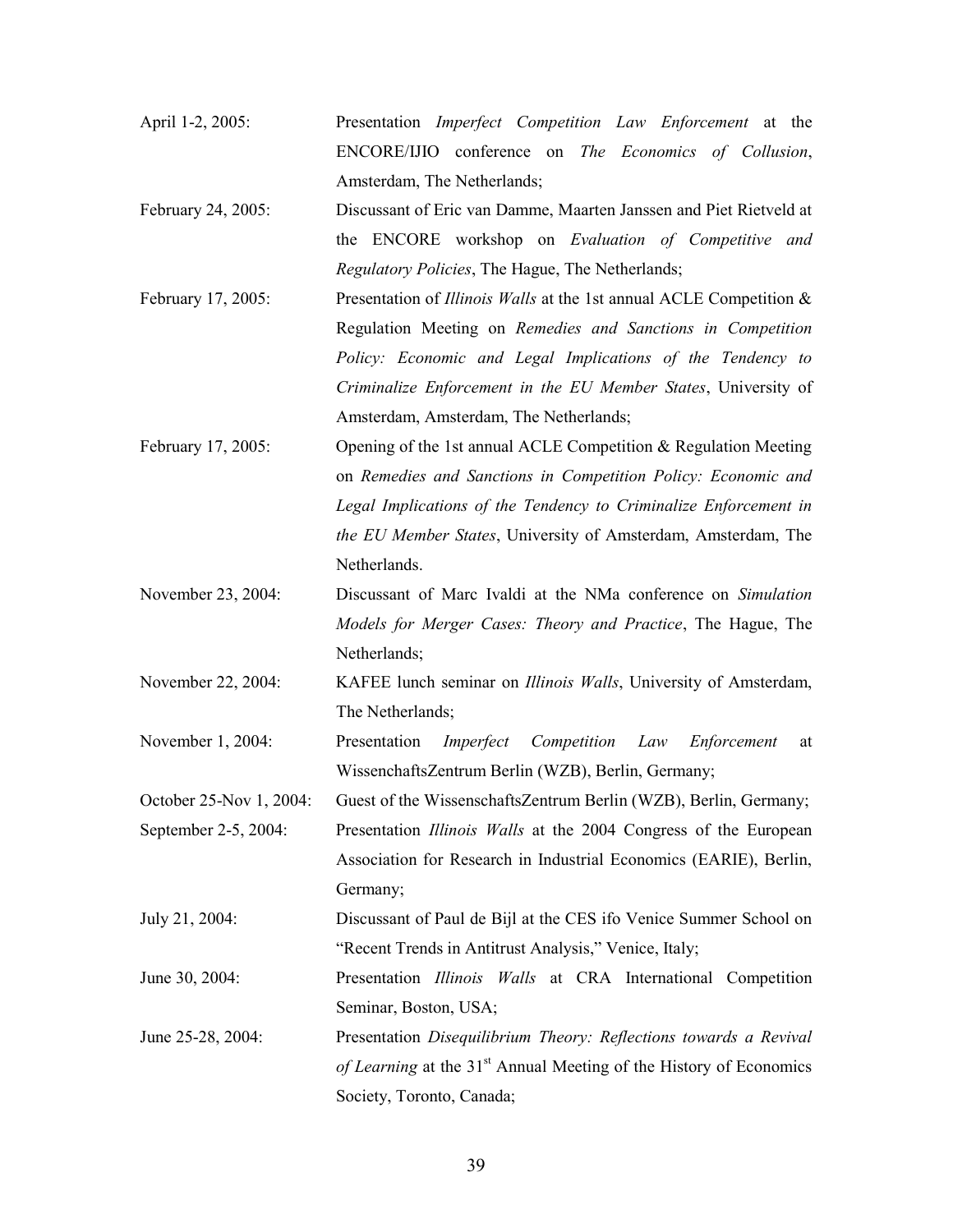| April 1-2, 2005:        | Presentation <i>Imperfect Competition Law Enforcement</i> at the               |
|-------------------------|--------------------------------------------------------------------------------|
|                         | ENCORE/IJIO conference on The Economics of Collusion,                          |
|                         | Amsterdam, The Netherlands;                                                    |
| February 24, 2005:      | Discussant of Eric van Damme, Maarten Janssen and Piet Rietveld at             |
|                         | the ENCORE workshop on <i>Evaluation of Competitive and</i>                    |
|                         | Regulatory Policies, The Hague, The Netherlands;                               |
| February 17, 2005:      | Presentation of <i>Illinois Walls</i> at the 1st annual ACLE Competition &     |
|                         | Regulation Meeting on Remedies and Sanctions in Competition                    |
|                         | Policy: Economic and Legal Implications of the Tendency to                     |
|                         | Criminalize Enforcement in the EU Member States, University of                 |
|                         | Amsterdam, Amsterdam, The Netherlands;                                         |
| February 17, 2005:      | Opening of the 1st annual ACLE Competition & Regulation Meeting                |
|                         | on Remedies and Sanctions in Competition Policy: Economic and                  |
|                         | Legal Implications of the Tendency to Criminalize Enforcement in               |
|                         | the EU Member States, University of Amsterdam, Amsterdam, The                  |
|                         | Netherlands.                                                                   |
| November 23, 2004:      | Discussant of Marc Ivaldi at the NMa conference on Simulation                  |
|                         | Models for Merger Cases: Theory and Practice, The Hague, The                   |
|                         | Netherlands;                                                                   |
| November 22, 2004:      | KAFEE lunch seminar on Illinois Walls, University of Amsterdam,                |
|                         | The Netherlands;                                                               |
| November 1, 2004:       | Presentation<br>Imperfect<br>Competition Law<br>Enforcement<br>at              |
|                         | WissenchaftsZentrum Berlin (WZB), Berlin, Germany;                             |
| October 25-Nov 1, 2004: | Guest of the WissenschaftsZentrum Berlin (WZB), Berlin, Germany;               |
| September 2-5, 2004:    | Presentation <i>Illinois Walls</i> at the 2004 Congress of the European        |
|                         | Association for Research in Industrial Economics (EARIE), Berlin,              |
|                         | Germany;                                                                       |
| July 21, 2004:          | Discussant of Paul de Bijl at the CES ifo Venice Summer School on              |
|                         | "Recent Trends in Antitrust Analysis," Venice, Italy;                          |
| June 30, 2004:          | Presentation Illinois Walls at CRA International Competition                   |
|                         | Seminar, Boston, USA;                                                          |
| June 25-28, 2004:       | Presentation Disequilibrium Theory: Reflections towards a Revival              |
|                         | of Learning at the 31 <sup>st</sup> Annual Meeting of the History of Economics |
|                         | Society, Toronto, Canada;                                                      |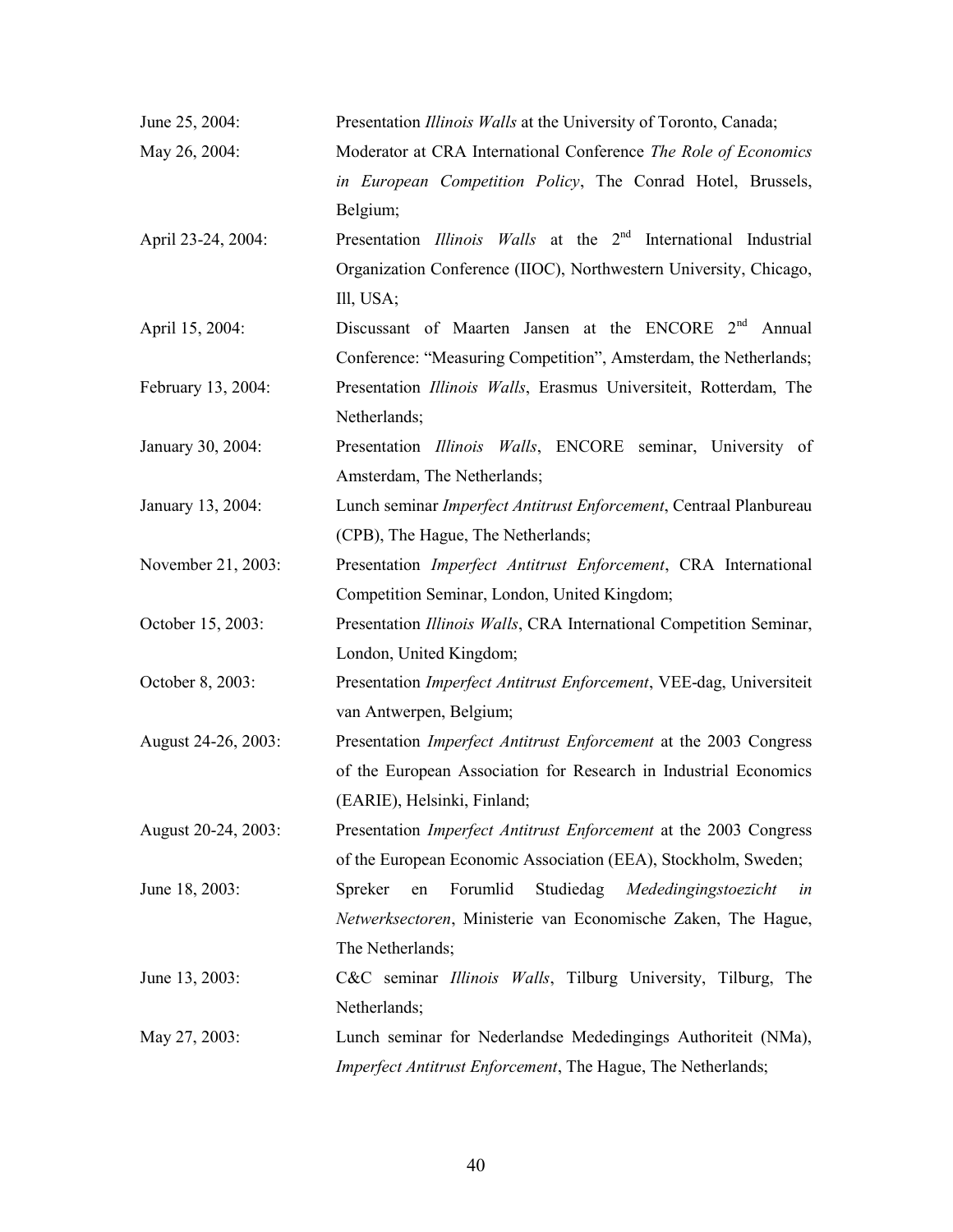| June 25, 2004:      | Presentation Illinois Walls at the University of Toronto, Canada;                  |
|---------------------|------------------------------------------------------------------------------------|
| May 26, 2004:       | Moderator at CRA International Conference The Role of Economics                    |
|                     | in European Competition Policy, The Conrad Hotel, Brussels,                        |
|                     | Belgium;                                                                           |
| April 23-24, 2004:  | Presentation <i>Illinois Walls</i> at the 2 <sup>nd</sup> International Industrial |
|                     | Organization Conference (IIOC), Northwestern University, Chicago,                  |
|                     | Ill, USA;                                                                          |
| April 15, 2004:     | Discussant of Maarten Jansen at the ENCORE 2 <sup>nd</sup> Annual                  |
|                     | Conference: "Measuring Competition", Amsterdam, the Netherlands;                   |
| February 13, 2004:  | Presentation Illinois Walls, Erasmus Universiteit, Rotterdam, The                  |
|                     | Netherlands;                                                                       |
| January 30, 2004:   | Presentation Illinois Walls, ENCORE seminar, University of                         |
|                     | Amsterdam, The Netherlands;                                                        |
| January 13, 2004:   | Lunch seminar Imperfect Antitrust Enforcement, Centraal Planbureau                 |
|                     | (CPB), The Hague, The Netherlands;                                                 |
| November 21, 2003:  | Presentation <i>Imperfect Antitrust Enforcement</i> , CRA International            |
|                     | Competition Seminar, London, United Kingdom;                                       |
| October 15, 2003:   | Presentation Illinois Walls, CRA International Competition Seminar,                |
|                     | London, United Kingdom;                                                            |
| October 8, 2003:    | Presentation Imperfect Antitrust Enforcement, VEE-dag, Universiteit                |
|                     | van Antwerpen, Belgium;                                                            |
| August 24-26, 2003: | Presentation Imperfect Antitrust Enforcement at the 2003 Congress                  |
|                     | of the European Association for Research in Industrial Economics                   |
|                     | (EARIE), Helsinki, Finland;                                                        |
| August 20-24, 2003: | Presentation Imperfect Antitrust Enforcement at the 2003 Congress                  |
|                     | of the European Economic Association (EEA), Stockholm, Sweden;                     |
| June 18, 2003:      | Forumlid<br>Studiedag<br>Spreker<br>Mededingingstoezicht<br>en<br>in               |
|                     | Netwerksectoren, Ministerie van Economische Zaken, The Hague,                      |
|                     | The Netherlands;                                                                   |
| June 13, 2003:      | C&C seminar <i>Illinois Walls</i> , Tilburg University, Tilburg, The               |
|                     | Netherlands;                                                                       |
| May 27, 2003:       | Lunch seminar for Nederlandse Mededingings Authoriteit (NMa),                      |
|                     | Imperfect Antitrust Enforcement, The Hague, The Netherlands;                       |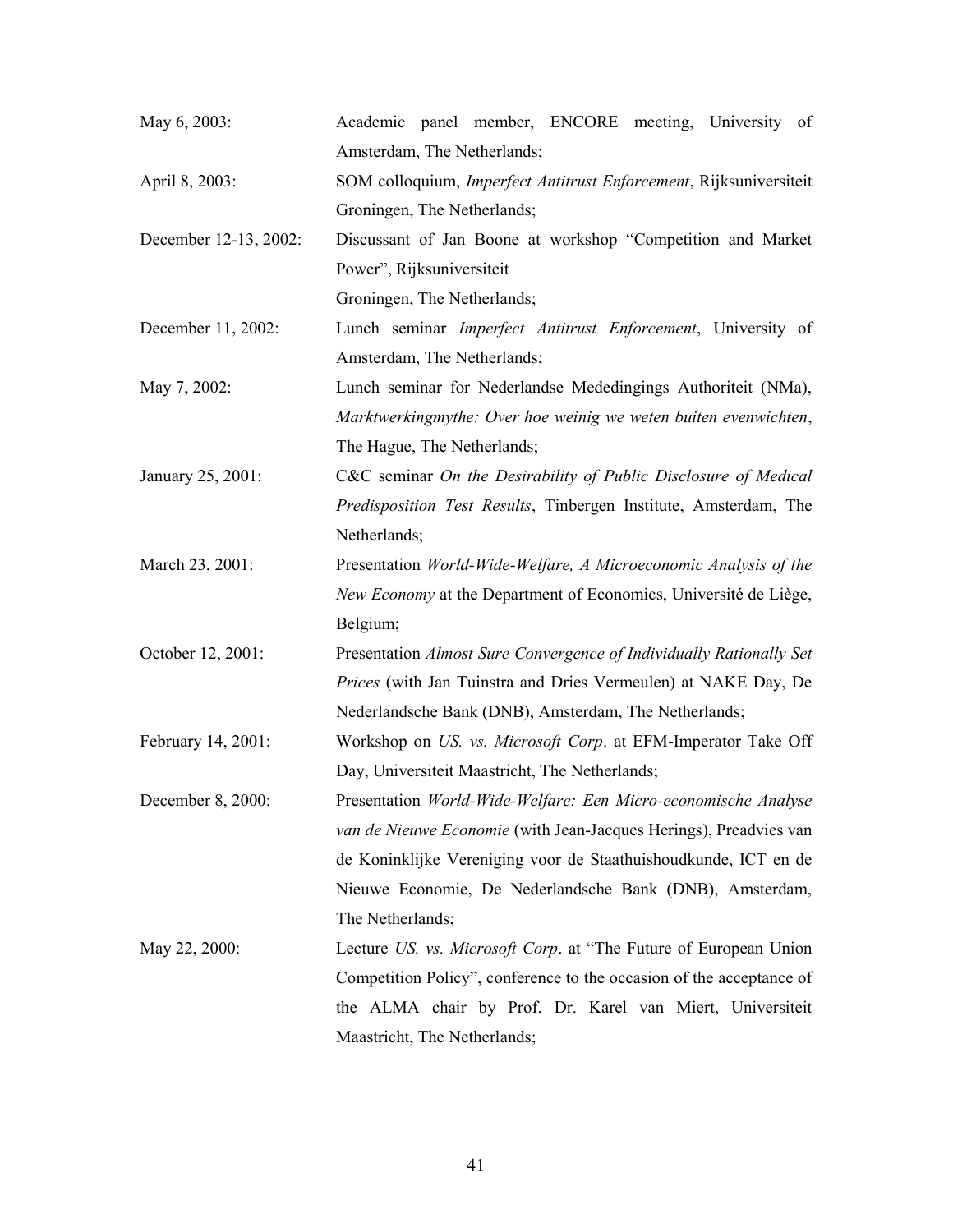| May 6, 2003:          | Academic panel member, ENCORE meeting, University of                 |
|-----------------------|----------------------------------------------------------------------|
|                       | Amsterdam, The Netherlands;                                          |
| April 8, 2003:        | SOM colloquium, Imperfect Antitrust Enforcement, Rijksuniversiteit   |
|                       | Groningen, The Netherlands;                                          |
| December 12-13, 2002: | Discussant of Jan Boone at workshop "Competition and Market          |
|                       | Power", Rijksuniversiteit                                            |
|                       | Groningen, The Netherlands;                                          |
| December 11, 2002:    | Lunch seminar Imperfect Antitrust Enforcement, University of         |
|                       | Amsterdam, The Netherlands;                                          |
| May 7, 2002:          | Lunch seminar for Nederlandse Mededingings Authoriteit (NMa),        |
|                       | Marktwerkingmythe: Over hoe weinig we weten buiten evenwichten,      |
|                       | The Hague, The Netherlands;                                          |
| January 25, 2001:     | C&C seminar On the Desirability of Public Disclosure of Medical      |
|                       | Predisposition Test Results, Tinbergen Institute, Amsterdam, The     |
|                       | Netherlands;                                                         |
| March 23, 2001:       | Presentation World-Wide-Welfare, A Microeconomic Analysis of the     |
|                       | New Economy at the Department of Economics, Université de Liège,     |
|                       | Belgium;                                                             |
| October 12, 2001:     | Presentation Almost Sure Convergence of Individually Rationally Set  |
|                       | Prices (with Jan Tuinstra and Dries Vermeulen) at NAKE Day, De       |
|                       | Nederlandsche Bank (DNB), Amsterdam, The Netherlands;                |
| February 14, 2001:    | Workshop on US. vs. Microsoft Corp. at EFM-Imperator Take Off        |
|                       | Day, Universiteit Maastricht, The Netherlands;                       |
| December 8, 2000:     | Presentation World-Wide-Welfare: Een Micro-economische Analyse       |
|                       | van de Nieuwe Economie (with Jean-Jacques Herings), Preadvies van    |
|                       | de Koninklijke Vereniging voor de Staathuishoudkunde, ICT en de      |
|                       | Nieuwe Economie, De Nederlandsche Bank (DNB), Amsterdam,             |
|                       | The Netherlands;                                                     |
| May 22, 2000:         | Lecture US. vs. Microsoft Corp. at "The Future of European Union"    |
|                       | Competition Policy", conference to the occasion of the acceptance of |
|                       | the ALMA chair by Prof. Dr. Karel van Miert, Universiteit            |
|                       | Maastricht, The Netherlands;                                         |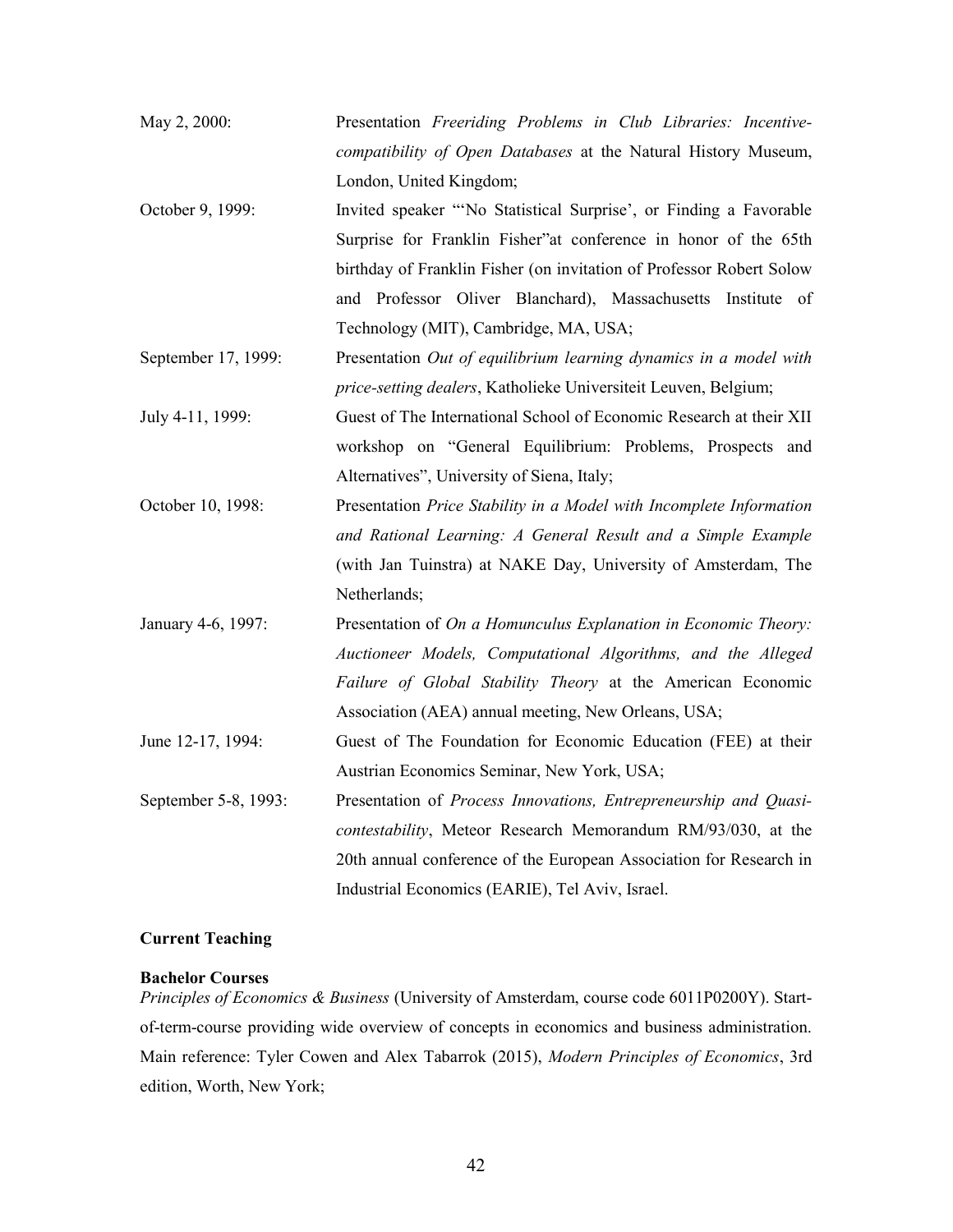| May 2, 2000:         | Presentation Freeriding Problems in Club Libraries: Incentive-       |
|----------------------|----------------------------------------------------------------------|
|                      | compatibility of Open Databases at the Natural History Museum,       |
|                      | London, United Kingdom;                                              |
| October 9, 1999:     | Invited speaker "No Statistical Surprise', or Finding a Favorable    |
|                      | Surprise for Franklin Fisher"at conference in honor of the 65th      |
|                      | birthday of Franklin Fisher (on invitation of Professor Robert Solow |
|                      | and Professor Oliver Blanchard), Massachusetts Institute of          |
|                      | Technology (MIT), Cambridge, MA, USA;                                |
| September 17, 1999:  | Presentation Out of equilibrium learning dynamics in a model with    |
|                      | price-setting dealers, Katholieke Universiteit Leuven, Belgium;      |
| July 4-11, 1999:     | Guest of The International School of Economic Research at their XII  |
|                      | workshop on "General Equilibrium: Problems, Prospects and            |
|                      | Alternatives", University of Siena, Italy;                           |
| October 10, 1998:    | Presentation Price Stability in a Model with Incomplete Information  |
|                      | and Rational Learning: A General Result and a Simple Example         |
|                      | (with Jan Tuinstra) at NAKE Day, University of Amsterdam, The        |
|                      | Netherlands;                                                         |
| January 4-6, 1997:   | Presentation of On a Homunculus Explanation in Economic Theory:      |
|                      | Auctioneer Models, Computational Algorithms, and the Alleged         |
|                      | Failure of Global Stability Theory at the American Economic          |
|                      | Association (AEA) annual meeting, New Orleans, USA;                  |
| June 12-17, 1994:    | Guest of The Foundation for Economic Education (FEE) at their        |
|                      | Austrian Economics Seminar, New York, USA;                           |
| September 5-8, 1993: | Presentation of Process Innovations, Entrepreneurship and Quasi-     |
|                      | contestability, Meteor Research Memorandum RM/93/030, at the         |
|                      | 20th annual conference of the European Association for Research in   |
|                      | Industrial Economics (EARIE), Tel Aviv, Israel.                      |

# Current Teaching

# Bachelor Courses

Principles of Economics & Business (University of Amsterdam, course code 6011P0200Y). Startof-term-course providing wide overview of concepts in economics and business administration. Main reference: Tyler Cowen and Alex Tabarrok (2015), Modern Principles of Economics, 3rd edition, Worth, New York;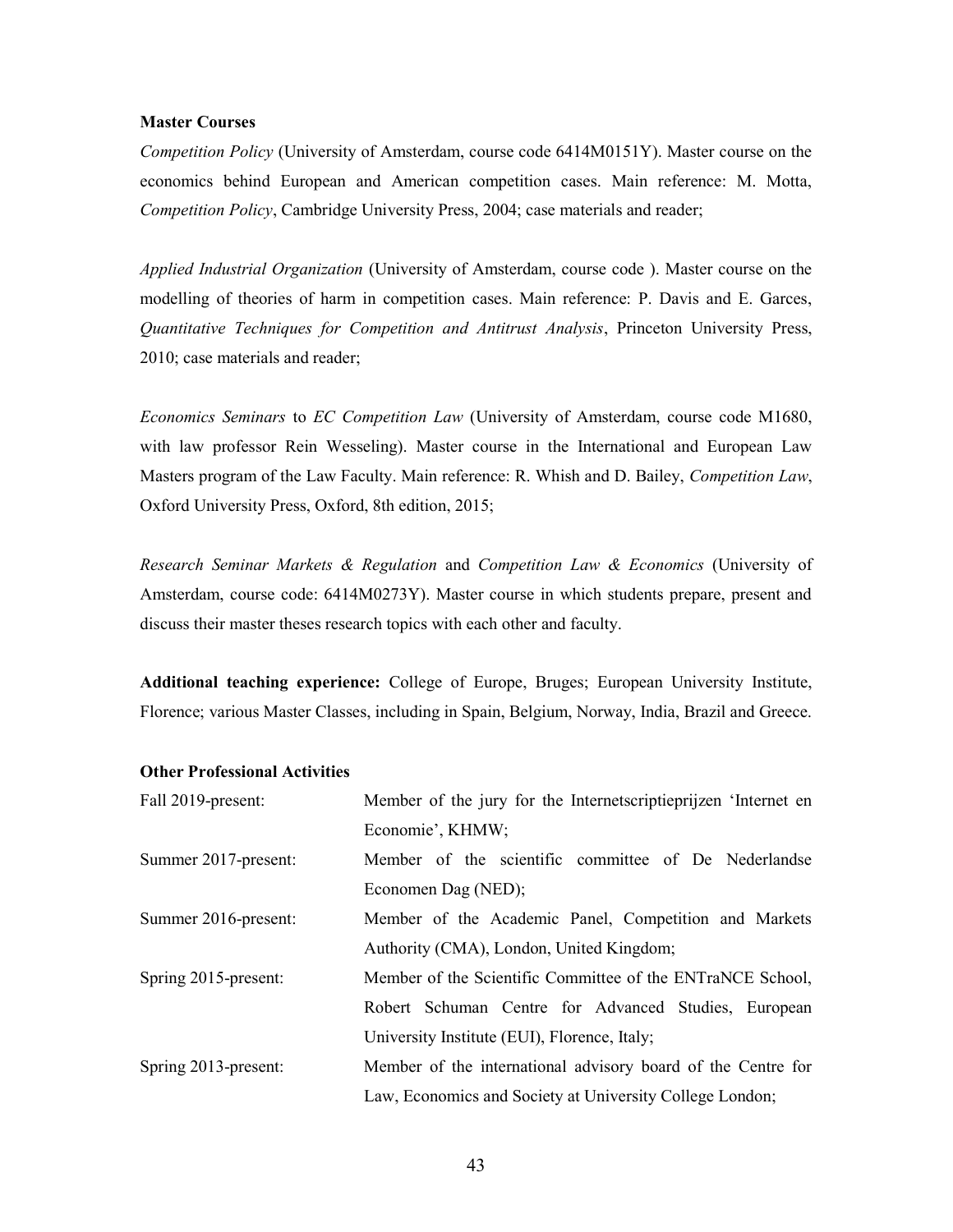## Master Courses

Competition Policy (University of Amsterdam, course code 6414M0151Y). Master course on the economics behind European and American competition cases. Main reference: M. Motta, Competition Policy, Cambridge University Press, 2004; case materials and reader;

Applied Industrial Organization (University of Amsterdam, course code). Master course on the modelling of theories of harm in competition cases. Main reference: P. Davis and E. Garces, Quantitative Techniques for Competition and Antitrust Analysis, Princeton University Press, 2010; case materials and reader;

Economics Seminars to EC Competition Law (University of Amsterdam, course code M1680, with law professor Rein Wesseling). Master course in the International and European Law Masters program of the Law Faculty. Main reference: R. Whish and D. Bailey, Competition Law, Oxford University Press, Oxford, 8th edition, 2015;

Research Seminar Markets & Regulation and Competition Law & Economics (University of Amsterdam, course code: 6414M0273Y). Master course in which students prepare, present and discuss their master theses research topics with each other and faculty.

Additional teaching experience: College of Europe, Bruges; European University Institute, Florence; various Master Classes, including in Spain, Belgium, Norway, India, Brazil and Greece.

| Fall 2019-present:   | Member of the jury for the Internetscriptieprijzen 'Internet en |
|----------------------|-----------------------------------------------------------------|
|                      | Economie', KHMW;                                                |
| Summer 2017-present: | Member of the scientific committee of De Nederlandse            |
|                      | Economen Dag (NED);                                             |
| Summer 2016-present: | Member of the Academic Panel, Competition and Markets           |
|                      | Authority (CMA), London, United Kingdom;                        |
| Spring 2015-present: | Member of the Scientific Committee of the ENTraNCE School,      |
|                      | Robert Schuman Centre for Advanced Studies, European            |
|                      | University Institute (EUI), Florence, Italy;                    |
| Spring 2013-present: | Member of the international advisory board of the Centre for    |
|                      | Law, Economics and Society at University College London;        |

#### Other Professional Activities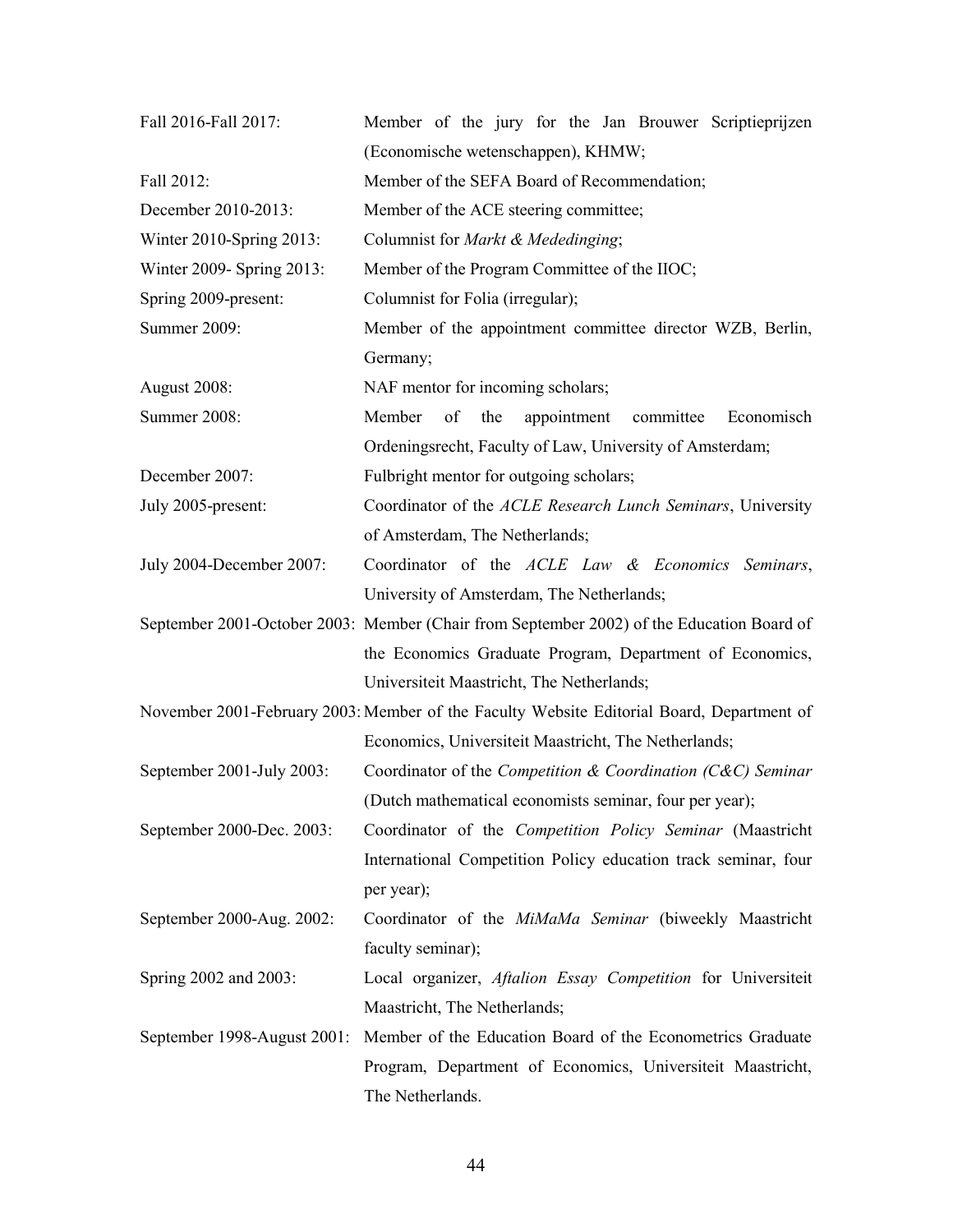| Fall 2016-Fall 2017:      | Member of the jury for the Jan Brouwer Scriptieprijzen                                    |
|---------------------------|-------------------------------------------------------------------------------------------|
|                           | (Economische wetenschappen), KHMW;                                                        |
| Fall 2012:                | Member of the SEFA Board of Recommendation;                                               |
| December 2010-2013:       | Member of the ACE steering committee;                                                     |
| Winter 2010-Spring 2013:  | Columnist for Markt & Mededinging;                                                        |
| Winter 2009- Spring 2013: | Member of the Program Committee of the IIOC;                                              |
| Spring 2009-present:      | Columnist for Folia (irregular);                                                          |
| Summer 2009:              | Member of the appointment committee director WZB, Berlin,                                 |
|                           | Germany;                                                                                  |
| August 2008:              | NAF mentor for incoming scholars;                                                         |
| Summer 2008:              | Member<br>of<br>committee<br>Economisch<br>the<br>appointment                             |
|                           | Ordeningsrecht, Faculty of Law, University of Amsterdam;                                  |
| December 2007:            | Fulbright mentor for outgoing scholars;                                                   |
| July 2005-present:        | Coordinator of the ACLE Research Lunch Seminars, University                               |
|                           | of Amsterdam, The Netherlands;                                                            |
| July 2004-December 2007:  | Coordinator of the ACLE Law & Economics Seminars,                                         |
|                           | University of Amsterdam, The Netherlands;                                                 |
|                           | September 2001-October 2003: Member (Chair from September 2002) of the Education Board of |
|                           | the Economics Graduate Program, Department of Economics,                                  |
|                           | Universiteit Maastricht, The Netherlands;                                                 |
|                           | November 2001-February 2003: Member of the Faculty Website Editorial Board, Department of |
|                           | Economics, Universiteit Maastricht, The Netherlands;                                      |
| September 2001-July 2003: | Coordinator of the <i>Competition</i> & <i>Coordination</i> ( $C\&C$ ) <i>Seminar</i>     |
|                           | (Dutch mathematical economists seminar, four per year);                                   |
| September 2000-Dec. 2003: | Coordinator of the Competition Policy Seminar (Maastricht                                 |
|                           | International Competition Policy education track seminar, four                            |
|                           | per year);                                                                                |
| September 2000-Aug. 2002: | Coordinator of the MiMaMa Seminar (biweekly Maastricht                                    |
|                           | faculty seminar);                                                                         |
| Spring 2002 and 2003:     | Local organizer, Aftalion Essay Competition for Universiteit                              |
|                           | Maastricht, The Netherlands;                                                              |
|                           | September 1998-August 2001: Member of the Education Board of the Econometrics Graduate    |
|                           | Program, Department of Economics, Universiteit Maastricht,                                |
|                           | The Netherlands.                                                                          |